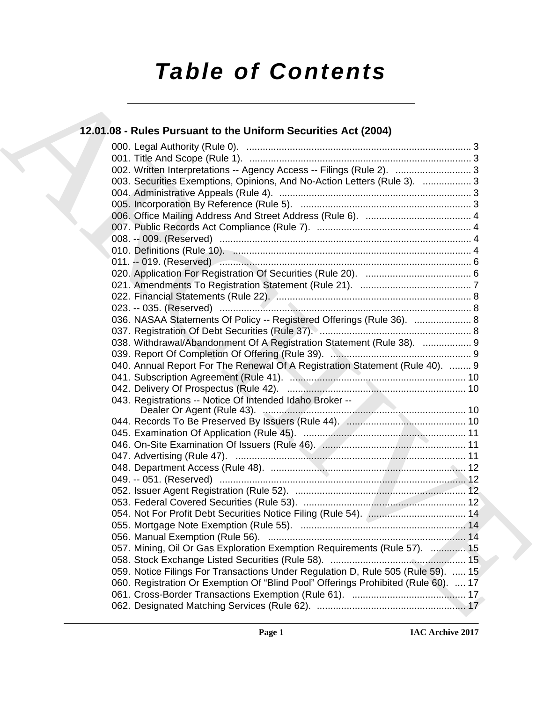# *Table of Contents*

### **12.01.08 - Rules Pursuant to the Uniform Securities Act (2004)**

| 12.01.08 - Rules Pursuant to the Uniform Securities Act (2004)                     |
|------------------------------------------------------------------------------------|
|                                                                                    |
|                                                                                    |
| 002. Written Interpretations -- Agency Access -- Filings (Rule 2).  3              |
| 003. Securities Exemptions, Opinions, And No-Action Letters (Rule 3).  3           |
|                                                                                    |
|                                                                                    |
|                                                                                    |
|                                                                                    |
|                                                                                    |
|                                                                                    |
|                                                                                    |
|                                                                                    |
|                                                                                    |
|                                                                                    |
|                                                                                    |
| 036. NASAA Statements Of Policy -- Registered Offerings (Rule 36).  8              |
|                                                                                    |
| 038. Withdrawal/Abandonment Of A Registration Statement (Rule 38).  9              |
|                                                                                    |
| 040. Annual Report For The Renewal Of A Registration Statement (Rule 40).  9       |
|                                                                                    |
|                                                                                    |
| 043. Registrations -- Notice Of Intended Idaho Broker --                           |
|                                                                                    |
|                                                                                    |
|                                                                                    |
|                                                                                    |
|                                                                                    |
|                                                                                    |
|                                                                                    |
|                                                                                    |
|                                                                                    |
|                                                                                    |
|                                                                                    |
|                                                                                    |
| 057. Mining, Oil Or Gas Exploration Exemption Requirements (Rule 57).  15          |
|                                                                                    |
| 059. Notice Filings For Transactions Under Regulation D, Rule 505 (Rule 59).  15   |
| 060. Registration Or Exemption Of "Blind Pool" Offerings Prohibited (Rule 60).  17 |
|                                                                                    |
|                                                                                    |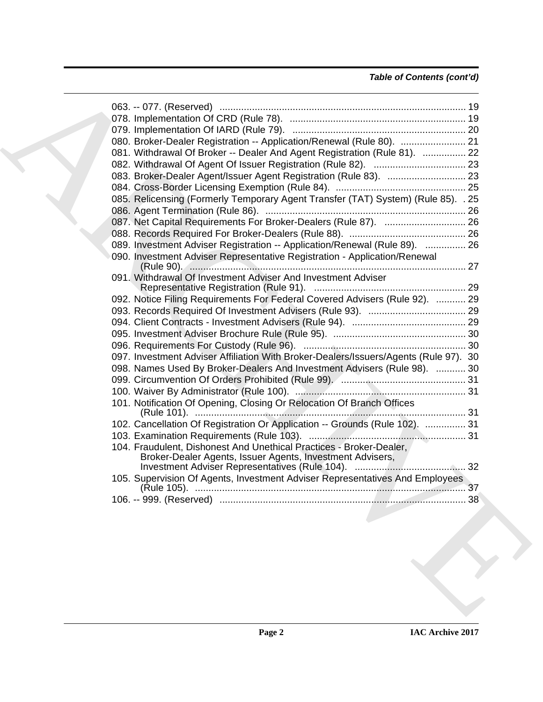### *Table of Contents (cont'd)*

| 080. Broker-Dealer Registration -- Application/Renewal (Rule 80).  21<br>081. Withdrawal Of Broker -- Dealer And Agent Registration (Rule 81).  22<br>085. Relicensing (Formerly Temporary Agent Transfer (TAT) System) (Rule 85). . 25<br>087. Net Capital Requirements For Broker-Dealers (Rule 87).  26<br>089. Investment Adviser Registration -- Application/Renewal (Rule 89).  26<br>090. Investment Adviser Representative Registration - Application/Renewal<br>091. Withdrawal Of Investment Adviser And Investment Adviser<br>092. Notice Filing Requirements For Federal Covered Advisers (Rule 92).  29<br>097. Investment Adviser Affiliation With Broker-Dealers/Issuers/Agents (Rule 97). 30<br>098. Names Used By Broker-Dealers And Investment Advisers (Rule 98).  30<br>101. Notification Of Opening, Closing Or Relocation Of Branch Offices<br>102. Cancellation Of Registration Or Application -- Grounds (Rule 102).  31<br>104. Fraudulent, Dishonest And Unethical Practices - Broker-Dealer,<br>105. Supervision Of Agents, Investment Adviser Representatives And Employees |  |  |  |
|---------------------------------------------------------------------------------------------------------------------------------------------------------------------------------------------------------------------------------------------------------------------------------------------------------------------------------------------------------------------------------------------------------------------------------------------------------------------------------------------------------------------------------------------------------------------------------------------------------------------------------------------------------------------------------------------------------------------------------------------------------------------------------------------------------------------------------------------------------------------------------------------------------------------------------------------------------------------------------------------------------------------------------------------------------------------------------------------------------|--|--|--|
|                                                                                                                                                                                                                                                                                                                                                                                                                                                                                                                                                                                                                                                                                                                                                                                                                                                                                                                                                                                                                                                                                                         |  |  |  |
|                                                                                                                                                                                                                                                                                                                                                                                                                                                                                                                                                                                                                                                                                                                                                                                                                                                                                                                                                                                                                                                                                                         |  |  |  |
|                                                                                                                                                                                                                                                                                                                                                                                                                                                                                                                                                                                                                                                                                                                                                                                                                                                                                                                                                                                                                                                                                                         |  |  |  |
|                                                                                                                                                                                                                                                                                                                                                                                                                                                                                                                                                                                                                                                                                                                                                                                                                                                                                                                                                                                                                                                                                                         |  |  |  |
|                                                                                                                                                                                                                                                                                                                                                                                                                                                                                                                                                                                                                                                                                                                                                                                                                                                                                                                                                                                                                                                                                                         |  |  |  |
|                                                                                                                                                                                                                                                                                                                                                                                                                                                                                                                                                                                                                                                                                                                                                                                                                                                                                                                                                                                                                                                                                                         |  |  |  |
|                                                                                                                                                                                                                                                                                                                                                                                                                                                                                                                                                                                                                                                                                                                                                                                                                                                                                                                                                                                                                                                                                                         |  |  |  |
|                                                                                                                                                                                                                                                                                                                                                                                                                                                                                                                                                                                                                                                                                                                                                                                                                                                                                                                                                                                                                                                                                                         |  |  |  |
|                                                                                                                                                                                                                                                                                                                                                                                                                                                                                                                                                                                                                                                                                                                                                                                                                                                                                                                                                                                                                                                                                                         |  |  |  |
|                                                                                                                                                                                                                                                                                                                                                                                                                                                                                                                                                                                                                                                                                                                                                                                                                                                                                                                                                                                                                                                                                                         |  |  |  |
|                                                                                                                                                                                                                                                                                                                                                                                                                                                                                                                                                                                                                                                                                                                                                                                                                                                                                                                                                                                                                                                                                                         |  |  |  |
|                                                                                                                                                                                                                                                                                                                                                                                                                                                                                                                                                                                                                                                                                                                                                                                                                                                                                                                                                                                                                                                                                                         |  |  |  |
|                                                                                                                                                                                                                                                                                                                                                                                                                                                                                                                                                                                                                                                                                                                                                                                                                                                                                                                                                                                                                                                                                                         |  |  |  |
|                                                                                                                                                                                                                                                                                                                                                                                                                                                                                                                                                                                                                                                                                                                                                                                                                                                                                                                                                                                                                                                                                                         |  |  |  |
|                                                                                                                                                                                                                                                                                                                                                                                                                                                                                                                                                                                                                                                                                                                                                                                                                                                                                                                                                                                                                                                                                                         |  |  |  |
|                                                                                                                                                                                                                                                                                                                                                                                                                                                                                                                                                                                                                                                                                                                                                                                                                                                                                                                                                                                                                                                                                                         |  |  |  |
|                                                                                                                                                                                                                                                                                                                                                                                                                                                                                                                                                                                                                                                                                                                                                                                                                                                                                                                                                                                                                                                                                                         |  |  |  |
|                                                                                                                                                                                                                                                                                                                                                                                                                                                                                                                                                                                                                                                                                                                                                                                                                                                                                                                                                                                                                                                                                                         |  |  |  |
|                                                                                                                                                                                                                                                                                                                                                                                                                                                                                                                                                                                                                                                                                                                                                                                                                                                                                                                                                                                                                                                                                                         |  |  |  |
|                                                                                                                                                                                                                                                                                                                                                                                                                                                                                                                                                                                                                                                                                                                                                                                                                                                                                                                                                                                                                                                                                                         |  |  |  |
|                                                                                                                                                                                                                                                                                                                                                                                                                                                                                                                                                                                                                                                                                                                                                                                                                                                                                                                                                                                                                                                                                                         |  |  |  |
|                                                                                                                                                                                                                                                                                                                                                                                                                                                                                                                                                                                                                                                                                                                                                                                                                                                                                                                                                                                                                                                                                                         |  |  |  |
|                                                                                                                                                                                                                                                                                                                                                                                                                                                                                                                                                                                                                                                                                                                                                                                                                                                                                                                                                                                                                                                                                                         |  |  |  |
|                                                                                                                                                                                                                                                                                                                                                                                                                                                                                                                                                                                                                                                                                                                                                                                                                                                                                                                                                                                                                                                                                                         |  |  |  |
|                                                                                                                                                                                                                                                                                                                                                                                                                                                                                                                                                                                                                                                                                                                                                                                                                                                                                                                                                                                                                                                                                                         |  |  |  |
|                                                                                                                                                                                                                                                                                                                                                                                                                                                                                                                                                                                                                                                                                                                                                                                                                                                                                                                                                                                                                                                                                                         |  |  |  |
|                                                                                                                                                                                                                                                                                                                                                                                                                                                                                                                                                                                                                                                                                                                                                                                                                                                                                                                                                                                                                                                                                                         |  |  |  |
|                                                                                                                                                                                                                                                                                                                                                                                                                                                                                                                                                                                                                                                                                                                                                                                                                                                                                                                                                                                                                                                                                                         |  |  |  |
|                                                                                                                                                                                                                                                                                                                                                                                                                                                                                                                                                                                                                                                                                                                                                                                                                                                                                                                                                                                                                                                                                                         |  |  |  |
|                                                                                                                                                                                                                                                                                                                                                                                                                                                                                                                                                                                                                                                                                                                                                                                                                                                                                                                                                                                                                                                                                                         |  |  |  |
|                                                                                                                                                                                                                                                                                                                                                                                                                                                                                                                                                                                                                                                                                                                                                                                                                                                                                                                                                                                                                                                                                                         |  |  |  |
|                                                                                                                                                                                                                                                                                                                                                                                                                                                                                                                                                                                                                                                                                                                                                                                                                                                                                                                                                                                                                                                                                                         |  |  |  |
|                                                                                                                                                                                                                                                                                                                                                                                                                                                                                                                                                                                                                                                                                                                                                                                                                                                                                                                                                                                                                                                                                                         |  |  |  |
|                                                                                                                                                                                                                                                                                                                                                                                                                                                                                                                                                                                                                                                                                                                                                                                                                                                                                                                                                                                                                                                                                                         |  |  |  |
|                                                                                                                                                                                                                                                                                                                                                                                                                                                                                                                                                                                                                                                                                                                                                                                                                                                                                                                                                                                                                                                                                                         |  |  |  |
|                                                                                                                                                                                                                                                                                                                                                                                                                                                                                                                                                                                                                                                                                                                                                                                                                                                                                                                                                                                                                                                                                                         |  |  |  |
|                                                                                                                                                                                                                                                                                                                                                                                                                                                                                                                                                                                                                                                                                                                                                                                                                                                                                                                                                                                                                                                                                                         |  |  |  |
|                                                                                                                                                                                                                                                                                                                                                                                                                                                                                                                                                                                                                                                                                                                                                                                                                                                                                                                                                                                                                                                                                                         |  |  |  |
|                                                                                                                                                                                                                                                                                                                                                                                                                                                                                                                                                                                                                                                                                                                                                                                                                                                                                                                                                                                                                                                                                                         |  |  |  |
|                                                                                                                                                                                                                                                                                                                                                                                                                                                                                                                                                                                                                                                                                                                                                                                                                                                                                                                                                                                                                                                                                                         |  |  |  |
|                                                                                                                                                                                                                                                                                                                                                                                                                                                                                                                                                                                                                                                                                                                                                                                                                                                                                                                                                                                                                                                                                                         |  |  |  |
|                                                                                                                                                                                                                                                                                                                                                                                                                                                                                                                                                                                                                                                                                                                                                                                                                                                                                                                                                                                                                                                                                                         |  |  |  |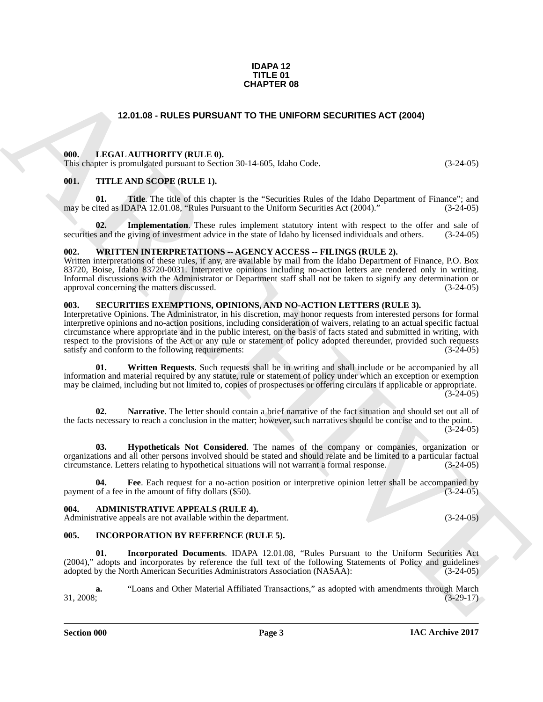#### **IDAPA 12 TITLE 01 CHAPTER 08**

#### **12.01.08 - RULES PURSUANT TO THE UNIFORM SECURITIES ACT (2004)**

#### <span id="page-2-1"></span><span id="page-2-0"></span>**000. LEGAL AUTHORITY (RULE 0).**

This chapter is promulgated pursuant to Section 30-14-605, Idaho Code. (3-24-05)

#### <span id="page-2-2"></span>**001. TITLE AND SCOPE (RULE 1).**

**01. Title**. The title of this chapter is the "Securities Rules of the Idaho Department of Finance"; and may be cited as IDAPA 12.01.08, "Rules Pursuant to the Uniform Securities Act (2004)." (3-24-05)

**02.** Implementation. These rules implement statutory intent with respect to the offer and sale of s and the giving of investment advice in the state of Idaho by licensed individuals and others. (3-24-05) securities and the giving of investment advice in the state of Idaho by licensed individuals and others.

#### <span id="page-2-3"></span>**002. WRITTEN INTERPRETATIONS -- AGENCY ACCESS -- FILINGS (RULE 2).**

Written interpretations of these rules, if any, are available by mail from the Idaho Department of Finance, P.O. Box 83720, Boise, Idaho 83720-0031. Interpretive opinions including no-action letters are rendered only in writing. Informal discussions with the Administrator or Department staff shall not be taken to signify any determination or approval concerning the matters discussed.

#### <span id="page-2-4"></span>**003. SECURITIES EXEMPTIONS, OPINIONS, AND NO-ACTION LETTERS (RULE 3).**

**CHAPTER 08**<br>
12.01.08 - RULES PURSUANT TO THE UNIFORM SECURITIES ACT (2004)<br>
19.1. LETTER AND SCOPE (RULE 16.<br>
19.1. LETTER AND SCOPE (RULE 11.<br>
19.1. LETTER AND SCOPE (RULE 11.<br>
19.1. LETTER AND SCOPE (RULE 11.<br>
19. LET Interpretative Opinions. The Administrator, in his discretion, may honor requests from interested persons for formal interpretive opinions and no-action positions, including consideration of waivers, relating to an actual specific factual circumstance where appropriate and in the public interest, on the basis of facts stated and submitted in writing, with respect to the provisions of the Act or any rule or statement of policy adopted thereunder, provided such requests satisfy and conform to the following requirements: (3-24-05) satisfy and conform to the following requirements:

**01. Written Requests**. Such requests shall be in writing and shall include or be accompanied by all information and material required by any statute, rule or statement of policy under which an exception or exemption may be claimed, including but not limited to, copies of prospectuses or offering circulars if applicable or appropriate.  $(3-24-05)$ 

**02. Narrative**. The letter should contain a brief narrative of the fact situation and should set out all of the facts necessary to reach a conclusion in the matter; however, such narratives should be concise and to the point.  $(3-24-05)$ 

**03. Hypotheticals Not Considered**. The names of the company or companies, organization or organizations and all other persons involved should be stated and should relate and be limited to a particular factual circumstance. Letters relating to hypothetical situations will not warrant a formal response. (3-24-05)

**04.** Fee. Each request for a no-action position or interpretive opinion letter shall be accompanied by of a fee in the amount of fifty dollars (\$50).  $(3-24-05)$ payment of a fee in the amount of fifty dollars (\$50).

#### <span id="page-2-5"></span>**004. ADMINISTRATIVE APPEALS (RULE 4).**

Administrative appeals are not available within the department. (3-24-05)

#### <span id="page-2-6"></span>**005. INCORPORATION BY REFERENCE (RULE 5).**

**01. Incorporated Documents**. IDAPA 12.01.08, "Rules Pursuant to the Uniform Securities Act (2004)," adopts and incorporates by reference the full text of the following Statements of Policy and guidelines adopted by the North American Securities Administrators Association (NASAA): (3-24-05) adopted by the North American Securities Administrators Association (NASAA):

**a.** "Loans and Other Material Affiliated Transactions," as adopted with amendments through March 31, 2008; (3-29-17)  $31, 2008;$  (3-29-17)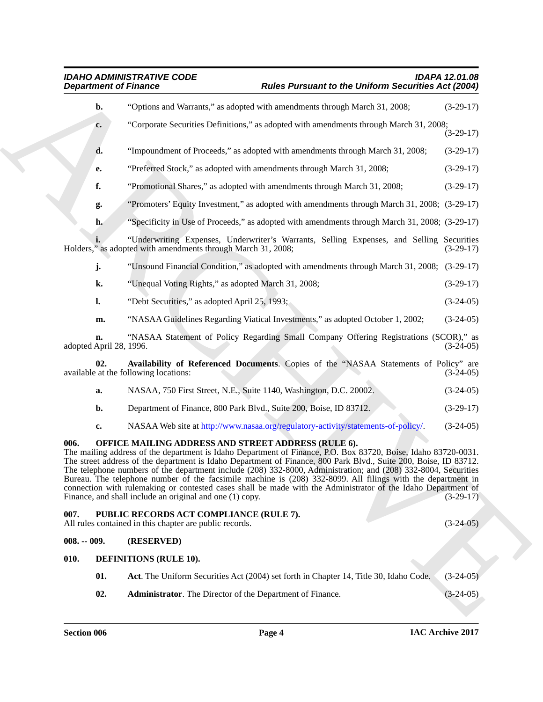<span id="page-3-6"></span><span id="page-3-5"></span><span id="page-3-4"></span><span id="page-3-3"></span><span id="page-3-2"></span><span id="page-3-1"></span><span id="page-3-0"></span>

| <b>Department of Finance</b>  | <b>IDAHO ADMINISTRATIVE CODE</b>                                                                                                                                                                                                                                                                                                                                                                                                                                                                                                                                                                                                                                                                        | <b>Rules Pursuant to the Uniform Securities Act (2004)</b> | <b>IDAPA 12.01.08</b> |
|-------------------------------|---------------------------------------------------------------------------------------------------------------------------------------------------------------------------------------------------------------------------------------------------------------------------------------------------------------------------------------------------------------------------------------------------------------------------------------------------------------------------------------------------------------------------------------------------------------------------------------------------------------------------------------------------------------------------------------------------------|------------------------------------------------------------|-----------------------|
| b.                            | "Options and Warrants," as adopted with amendments through March 31, 2008;                                                                                                                                                                                                                                                                                                                                                                                                                                                                                                                                                                                                                              |                                                            | $(3-29-17)$           |
| $c_{\bullet}$                 | "Corporate Securities Definitions," as adopted with amendments through March 31, 2008;                                                                                                                                                                                                                                                                                                                                                                                                                                                                                                                                                                                                                  |                                                            | $(3-29-17)$           |
| d.                            | "Impoundment of Proceeds," as adopted with amendments through March 31, 2008;                                                                                                                                                                                                                                                                                                                                                                                                                                                                                                                                                                                                                           |                                                            | $(3-29-17)$           |
| е.                            | "Preferred Stock," as adopted with amendments through March 31, 2008;                                                                                                                                                                                                                                                                                                                                                                                                                                                                                                                                                                                                                                   |                                                            | $(3-29-17)$           |
| f.                            | "Promotional Shares," as adopted with amendments through March 31, 2008;                                                                                                                                                                                                                                                                                                                                                                                                                                                                                                                                                                                                                                |                                                            | $(3-29-17)$           |
| g.                            | "Promoters' Equity Investment," as adopted with amendments through March 31, 2008; (3-29-17)                                                                                                                                                                                                                                                                                                                                                                                                                                                                                                                                                                                                            |                                                            |                       |
| h.                            | "Specificity in Use of Proceeds," as adopted with amendments through March 31, 2008; (3-29-17)                                                                                                                                                                                                                                                                                                                                                                                                                                                                                                                                                                                                          |                                                            |                       |
|                               | "Underwriting Expenses, Underwriter's Warrants, Selling Expenses, and Selling Securities<br>Holders," as adopted with amendments through March 31, 2008;                                                                                                                                                                                                                                                                                                                                                                                                                                                                                                                                                |                                                            | $(3-29-17)$           |
| j.                            | "Unsound Financial Condition," as adopted with amendments through March 31, 2008; (3-29-17)                                                                                                                                                                                                                                                                                                                                                                                                                                                                                                                                                                                                             |                                                            |                       |
| k.                            | "Unequal Voting Rights," as adopted March 31, 2008;                                                                                                                                                                                                                                                                                                                                                                                                                                                                                                                                                                                                                                                     |                                                            | $(3-29-17)$           |
| $\mathbf{l}$ .                | "Debt Securities," as adopted April 25, 1993;                                                                                                                                                                                                                                                                                                                                                                                                                                                                                                                                                                                                                                                           |                                                            | $(3-24-05)$           |
| m.                            | "NASAA Guidelines Regarding Viatical Investments," as adopted October 1, 2002;                                                                                                                                                                                                                                                                                                                                                                                                                                                                                                                                                                                                                          |                                                            | $(3-24-05)$           |
| n.<br>adopted April 28, 1996. | "NASAA Statement of Policy Regarding Small Company Offering Registrations (SCOR)," as                                                                                                                                                                                                                                                                                                                                                                                                                                                                                                                                                                                                                   |                                                            | $(3-24-05)$           |
| 02.                           | Availability of Referenced Documents. Copies of the "NASAA Statements of Policy" are<br>available at the following locations:                                                                                                                                                                                                                                                                                                                                                                                                                                                                                                                                                                           |                                                            | $(3-24-05)$           |
| a.                            | NASAA, 750 First Street, N.E., Suite 1140, Washington, D.C. 20002.                                                                                                                                                                                                                                                                                                                                                                                                                                                                                                                                                                                                                                      |                                                            | $(3-24-05)$           |
| b.                            | Department of Finance, 800 Park Blvd., Suite 200, Boise, ID 83712.                                                                                                                                                                                                                                                                                                                                                                                                                                                                                                                                                                                                                                      |                                                            | $(3-29-17)$           |
| c.                            | NASAA Web site at http://www.nasaa.org/regulatory-activity/statements-of-policy/.                                                                                                                                                                                                                                                                                                                                                                                                                                                                                                                                                                                                                       |                                                            | $(3-24-05)$           |
| 006.                          | OFFICE MAILING ADDRESS AND STREET ADDRESS (RULE 6).<br>The mailing address of the department is Idaho Department of Finance, P.O. Box 83720, Boise, Idaho 83720-0031.<br>The street address of the department is Idaho Department of Finance, 800 Park Blvd., Suite 200, Boise, ID 83712.<br>The telephone numbers of the department include (208) 332-8000, Administration; and (208) 332-8004, Securities<br>Bureau. The telephone number of the facsimile machine is (208) 332-8099. All filings with the department in<br>connection with rulemaking or contested cases shall be made with the Administrator of the Idaho Department of<br>Finance, and shall include an original and one (1) copy. |                                                            | $(3-29-17)$           |
| 007.                          | PUBLIC RECORDS ACT COMPLIANCE (RULE 7).<br>All rules contained in this chapter are public records.                                                                                                                                                                                                                                                                                                                                                                                                                                                                                                                                                                                                      |                                                            | $(3-24-05)$           |
| $008. - 009.$                 | (RESERVED)                                                                                                                                                                                                                                                                                                                                                                                                                                                                                                                                                                                                                                                                                              |                                                            |                       |
| 010.                          | <b>DEFINITIONS (RULE 10).</b>                                                                                                                                                                                                                                                                                                                                                                                                                                                                                                                                                                                                                                                                           |                                                            |                       |
| 01.                           | Act. The Uniform Securities Act (2004) set forth in Chapter 14, Title 30, Idaho Code.                                                                                                                                                                                                                                                                                                                                                                                                                                                                                                                                                                                                                   |                                                            | $(3-24-05)$           |
|                               |                                                                                                                                                                                                                                                                                                                                                                                                                                                                                                                                                                                                                                                                                                         |                                                            |                       |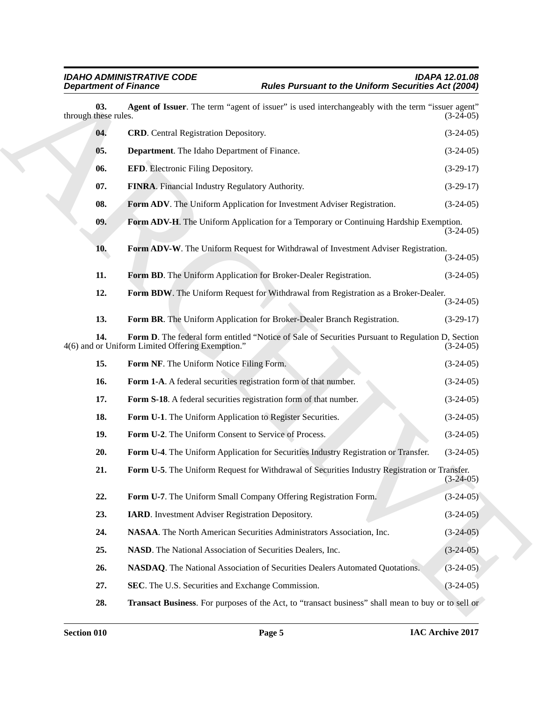<span id="page-4-25"></span><span id="page-4-24"></span><span id="page-4-23"></span><span id="page-4-22"></span><span id="page-4-21"></span><span id="page-4-20"></span><span id="page-4-19"></span><span id="page-4-18"></span><span id="page-4-17"></span><span id="page-4-16"></span><span id="page-4-15"></span><span id="page-4-14"></span><span id="page-4-13"></span><span id="page-4-12"></span><span id="page-4-11"></span><span id="page-4-10"></span><span id="page-4-9"></span><span id="page-4-8"></span><span id="page-4-7"></span><span id="page-4-6"></span><span id="page-4-5"></span><span id="page-4-4"></span><span id="page-4-3"></span><span id="page-4-2"></span><span id="page-4-1"></span><span id="page-4-0"></span>

| <b>Department of Finance</b> |                                                                         | <b>Rules Pursuant to the Uniform Securities Act (2004)</b>                                         |             |  |  |
|------------------------------|-------------------------------------------------------------------------|----------------------------------------------------------------------------------------------------|-------------|--|--|
| 03.<br>through these rules.  |                                                                         | Agent of Issuer. The term "agent of issuer" is used interchangeably with the term "issuer agent"   | $(3-24-05)$ |  |  |
| 04.                          | <b>CRD.</b> Central Registration Depository.                            |                                                                                                    | $(3-24-05)$ |  |  |
| 05.                          | Department. The Idaho Department of Finance.                            |                                                                                                    | $(3-24-05)$ |  |  |
| 06.                          | <b>EFD.</b> Electronic Filing Depository.                               |                                                                                                    | $(3-29-17)$ |  |  |
| 07.                          | FINRA. Financial Industry Regulatory Authority.                         |                                                                                                    | $(3-29-17)$ |  |  |
| 08.                          | Form ADV. The Uniform Application for Investment Adviser Registration.  |                                                                                                    | $(3-24-05)$ |  |  |
| 09.                          |                                                                         | Form ADV-H. The Uniform Application for a Temporary or Continuing Hardship Exemption.              | $(3-24-05)$ |  |  |
| 10.                          |                                                                         | Form ADV-W. The Uniform Request for Withdrawal of Investment Adviser Registration.                 | $(3-24-05)$ |  |  |
| 11.                          | Form BD. The Uniform Application for Broker-Dealer Registration.        |                                                                                                    | $(3-24-05)$ |  |  |
| 12.                          |                                                                         | Form BDW. The Uniform Request for Withdrawal from Registration as a Broker-Dealer.                 | $(3-24-05)$ |  |  |
| 13.                          | Form BR. The Uniform Application for Broker-Dealer Branch Registration. |                                                                                                    | $(3-29-17)$ |  |  |
| 14.                          | 4(6) and or Uniform Limited Offering Exemption."                        | Form D. The federal form entitled "Notice of Sale of Securities Pursuant to Regulation D, Section  | $(3-24-05)$ |  |  |
| 15.                          | Form NF. The Uniform Notice Filing Form.                                |                                                                                                    | $(3-24-05)$ |  |  |
| 16.                          | Form 1-A. A federal securities registration form of that number.        |                                                                                                    | $(3-24-05)$ |  |  |
| 17.                          | Form S-18. A federal securities registration form of that number.       |                                                                                                    | $(3-24-05)$ |  |  |
| 18.                          | Form U-1. The Uniform Application to Register Securities.               |                                                                                                    | $(3-24-05)$ |  |  |
| 19.                          | Form U-2. The Uniform Consent to Service of Process.                    |                                                                                                    | $(3-24-05)$ |  |  |
| 20.                          |                                                                         | Form U-4. The Uniform Application for Securities Industry Registration or Transfer.                | $(3-24-05)$ |  |  |
| 21.                          |                                                                         | Form U-5. The Uniform Request for Withdrawal of Securities Industry Registration or Transfer.      | $(3-24-05)$ |  |  |
| 22.                          | Form U-7. The Uniform Small Company Offering Registration Form.         |                                                                                                    | $(3-24-05)$ |  |  |
| 23.                          | <b>IARD.</b> Investment Adviser Registration Depository.                |                                                                                                    | $(3-24-05)$ |  |  |
| 24.                          | NASAA. The North American Securities Administrators Association, Inc.   |                                                                                                    | $(3-24-05)$ |  |  |
| 25.                          | NASD. The National Association of Securities Dealers, Inc.              |                                                                                                    | $(3-24-05)$ |  |  |
| 26.                          |                                                                         | NASDAQ. The National Association of Securities Dealers Automated Quotations.                       | $(3-24-05)$ |  |  |
| 27.                          | SEC. The U.S. Securities and Exchange Commission.                       |                                                                                                    | $(3-24-05)$ |  |  |
| 28.                          |                                                                         | Transact Business. For purposes of the Act, to "transact business" shall mean to buy or to sell or |             |  |  |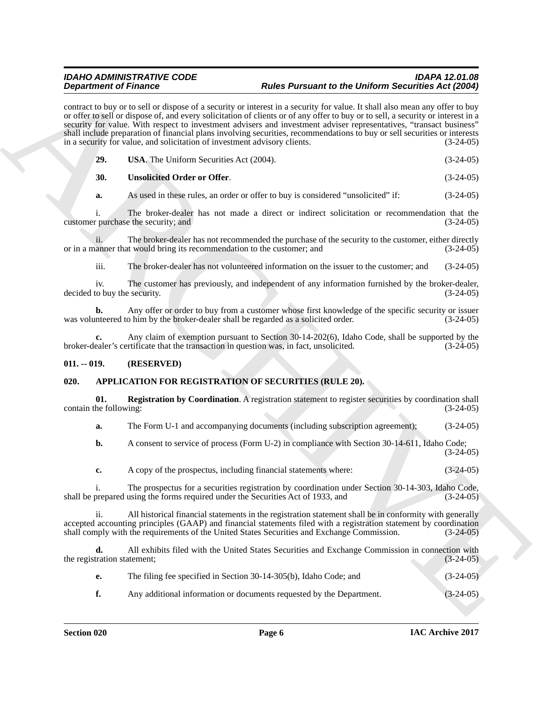**Experimental Finance C**<br> **Contact the business of a contact the formula in a contact of the <b>Contact Contact C**<br>
ARCHIVES CONTINUES IN a contact of the contact of the contact of the contact of the contact of the contact contract to buy or to sell or dispose of a security or interest in a security for value. It shall also mean any offer to buy or offer to sell or dispose of, and every solicitation of clients or of any offer to buy or to sell, a security or interest in a security for value. With respect to investment advisers and investment adviser representatives, "transact business" shall include preparation of financial plans involving securities, recommendations to buy or sell securities or interests in a security for value, and solicitation of investment advisory clients. (3-24-05)

<span id="page-5-5"></span>

| <b>USA</b> . The Uniform Securities Act (2004). | $(3-24-05)$ |
|-------------------------------------------------|-------------|
|                                                 |             |

#### <span id="page-5-4"></span>**30. Unsolicited Order or Offer**. (3-24-05)

**a.** As used in these rules, an order or offer to buy is considered "unsolicited" if:  $(3-24-05)$ 

i. The broker-dealer has not made a direct or indirect solicitation or recommendation that the customer purchase the security; and (3-24-05)

ii. The broker-dealer has not recommended the purchase of the security to the customer, either directly and (3-24-05) (3-24-05) or in a manner that would bring its recommendation to the customer; and

iii. The broker-dealer has not volunteered information on the issuer to the customer; and (3-24-05)

iv. The customer has previously, and independent of any information furnished by the broker-dealer, to buy the security. (3-24-05) decided to buy the security.

**b.** Any offer or order to buy from a customer whose first knowledge of the specific security or issuer neered to him by the broker-dealer shall be regarded as a solicited order. (3-24-05) was volunteered to him by the broker-dealer shall be regarded as a solicited order.

**c.** Any claim of exemption pursuant to Section 30-14-202(6), Idaho Code, shall be supported by the ealer's certificate that the transaction in question was, in fact, unsolicited. (3-24-05) broker-dealer's certificate that the transaction in question was, in fact, unsolicited.

#### <span id="page-5-0"></span>**011. -- 019. (RESERVED)**

#### <span id="page-5-2"></span><span id="page-5-1"></span>**020. APPLICATION FOR REGISTRATION OF SECURITIES (RULE 20).**

**01. Registration by Coordination**. A registration statement to register securities by coordination shall the following: (3-24-05) contain the following:

<span id="page-5-3"></span>**a.** The Form U-1 and accompanying documents (including subscription agreement); (3-24-05)

**b.** A consent to service of process (Form U-2) in compliance with Section 30-14-611, Idaho Code;  $(3-24-05)$ 

**c.** A copy of the prospectus, including financial statements where: (3-24-05)

i. The prospectus for a securities registration by coordination under Section 30-14-303, Idaho Code, prepared using the forms required under the Securities Act of 1933, and (3-24-05) shall be prepared using the forms required under the Securities Act of 1933, and

ii. All historical financial statements in the registration statement shall be in conformity with generally accepted accounting principles (GAAP) and financial statements filed with a registration statement by coordination shall comply with the requirements of the United States Securities and Exchange Commission. (3-24-05) shall comply with the requirements of the United States Securities and Exchange Commission.

**d.** All exhibits filed with the United States Securities and Exchange Commission in connection with the registration statement; (3-24-05)

| The filing fee specified in Section 30-14-305(b), Idaho Code; and | $(3-24-05)$ |
|-------------------------------------------------------------------|-------------|
|                                                                   |             |

**f.** Any additional information or documents requested by the Department. (3-24-05)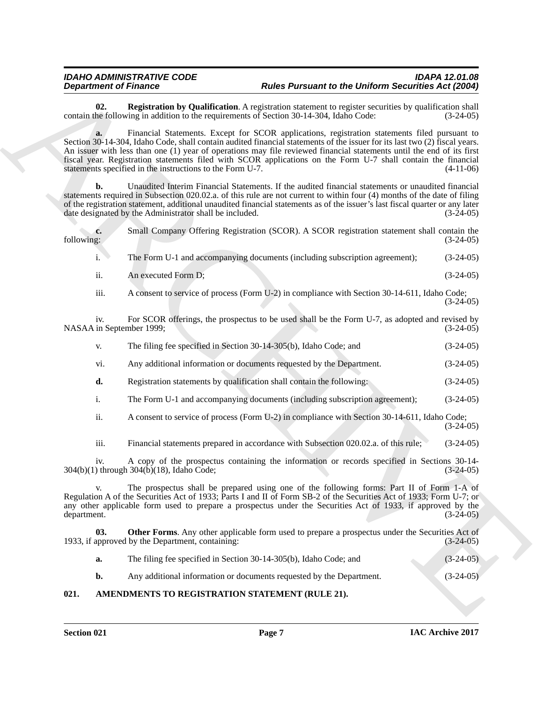<span id="page-6-3"></span>**02. Registration by Qualification**. A registration statement to register securities by qualification shall he following in addition to the requirements of Section 30-14-304. Idaho Code: (3-24-05) contain the following in addition to the requirements of Section 30-14-304, Idaho Code:

**a.** Financial Statements. Except for SCOR applications, registration statements filed pursuant to Section 30-14-304, Idaho Code, shall contain audited financial statements of the issuer for its last two (2) fiscal years. An issuer with less than one (1) year of operations may file reviewed financial statements until the end of its first fiscal year. Registration statements filed with SCOR applications on the Form U-7 shall contain the financial statements specified in the instructions to the Form U-7. (4-11-06)

**b.** Unaudited Interim Financial Statements. If the audited financial statements or unaudited financial statements required in Subsection 020.02.a. of this rule are not current to within four (4) months of the date of filing of the registration statement, additional unaudited financial statements as of the issuer's last fiscal quarter or any later date designated by the Administrator shall be included. (3-24-05) date designated by the Administrator shall be included.

**Department of Huestins by the following Finder Partment and the DePleton Securities Act (2003)<br>
Consider the Constitution of the College Constitution of the College Constitution of the College Constitution of the College c.** Small Company Offering Registration (SCOR). A SCOR registration statement shall contain the following: (3-24-05) following: (3-24-05) i. The Form U-1 and accompanying documents (including subscription agreement); (3-24-05) ii. An executed Form D; (3-24-05) iii. A consent to service of process (Form U-2) in compliance with Section 30-14-611, Idaho Code; (3-24-05) iv. For SCOR offerings, the prospectus to be used shall be the Form U-7, as adopted and revised by in September 1999; (3-24-05) NASAA in September 1999; v. The filing fee specified in Section 30-14-305(b), Idaho Code; and (3-24-05) vi. Any additional information or documents requested by the Department. (3-24-05) **d.** Registration statements by qualification shall contain the following: (3-24-05) i. The Form U-1 and accompanying documents (including subscription agreement); (3-24-05) ii. A consent to service of process (Form U-2) in compliance with Section 30-14-611, Idaho Code;  $(3-24-05)$ iii. Financial statements prepared in accordance with Subsection 020.02.a. of this rule; (3-24-05) iv. A copy of the prospectus containing the information or records specified in Sections 30-14-  $304(b)(1)$  through  $304(b)(18)$ , Idaho Code; v. The prospectus shall be prepared using one of the following forms: Part II of Form 1-A of Regulation A of the Securities Act of 1933; Parts I and II of Form SB-2 of the Securities Act of 1933; Form U-7; or any other applicable form used to prepare a prospectus under the Securities Act of 1933, if approved by the department. (3-24-05) **03. Other Forms**. Any other applicable form used to prepare a prospectus under the Securities Act of approved by the Department, containing: (3-24-05) 1933, if approved by the Department, containing: **a.** The filing fee specified in Section 30-14-305(b), Idaho Code; and (3-24-05) **b.** Any additional information or documents requested by the Department. (3-24-05)

#### <span id="page-6-2"></span><span id="page-6-1"></span><span id="page-6-0"></span>**021. AMENDMENTS TO REGISTRATION STATEMENT (RULE 21).**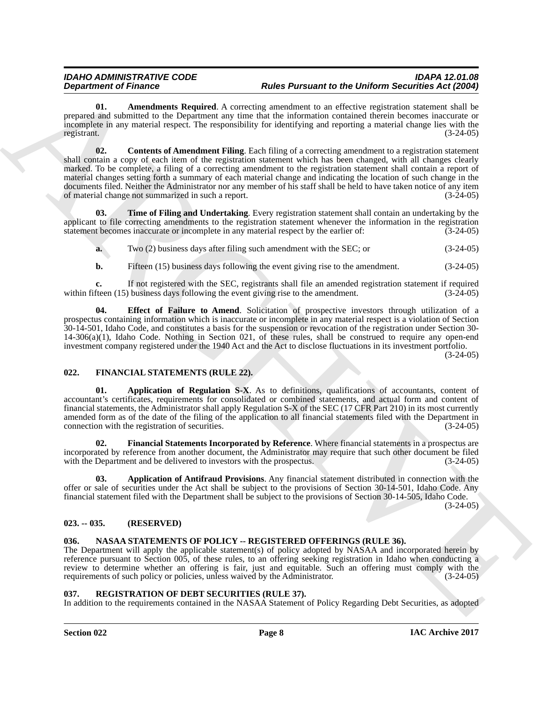<span id="page-7-5"></span><span id="page-7-4"></span>**01.** Amendments Required. A correcting amendment to an effective registration statement shall be prepared and submitted to the Department any time that the information contained therein becomes inaccurate or incomplete in any material respect. The responsibility for identifying and reporting a material change lies with the registrant. (3-24-05)

Department of Houston, the Houston Marchand Rosenwood to the Direction of Houston Marchand Adele Rosenwood and Schwarz (1998) and Schwarz (1998) and Schwarz (1998) and Schwarz (1998) and Schwarz (1998) and Schwarz (1998) **02.** Contents of Amendment Filing. Each filing of a correcting amendment to a registration statement shall contain a copy of each item of the registration statement which has been changed, with all changes clearly marked. To be complete, a filing of a correcting amendment to the registration statement shall contain a report of material changes setting forth a summary of each material change and indicating the location of such change in the documents filed. Neither the Administrator nor any member of his staff shall be held to have taken notice of any item<br>of material change not summarized in such a report. (3-24-05) of material change not summarized in such a report.

**03. Time of Filing and Undertaking**. Every registration statement shall contain an undertaking by the applicant to file correcting amendments to the registration statement whenever the information in the registration statement becomes inaccurate or incomplete in any material respect by the earlier of: (3-24-05)

<span id="page-7-7"></span>**a.** Two (2) business days after filing such amendment with the SEC; or (3-24-05)

<span id="page-7-6"></span>**b.** Fifteen (15) business days following the event giving rise to the amendment.  $(3-24-05)$ 

**c.** If not registered with the SEC, registrants shall file an amended registration statement if required freen (15) business days following the event giving rise to the amendment. (3-24-05) within fifteen  $(15)$  business days following the event giving rise to the amendment.

**04. Effect of Failure to Amend**. Solicitation of prospective investors through utilization of a prospectus containing information which is inaccurate or incomplete in any material respect is a violation of Section 30-14-501, Idaho Code, and constitutes a basis for the suspension or revocation of the registration under Section 30- 14-306(a)(1), Idaho Code. Nothing in Section 021, of these rules, shall be construed to require any open-end investment company registered under the 1940 Act and the Act to disclose fluctuations in its investment portfolio.

(3-24-05)

#### <span id="page-7-8"></span><span id="page-7-0"></span>**022. FINANCIAL STATEMENTS (RULE 22).**

<span id="page-7-10"></span>**01. Application of Regulation S-X**. As to definitions, qualifications of accountants, content of accountant's certificates, requirements for consolidated or combined statements, and actual form and content of financial statements, the Administrator shall apply Regulation S-X of the SEC (17 CFR Part 210) in its most currently amended form as of the date of the filing of the application to all financial statements filed with the Department in connection with the registration of securities. (3-24-05)

<span id="page-7-11"></span>**02. Financial Statements Incorporated by Reference**. Where financial statements in a prospectus are incorporated by reference from another document, the Administrator may require that such other document be filed with the Department and be delivered to investors with the prospectus. (3-24-05)

<span id="page-7-9"></span>**03. Application of Antifraud Provisions**. Any financial statement distributed in connection with the offer or sale of securities under the Act shall be subject to the provisions of Section 30-14-501, Idaho Code. Any financial statement filed with the Department shall be subject to the provisions of Section 30-14-505, Idaho Code.

 $(3-24-05)$ 

#### <span id="page-7-1"></span>**023. -- 035. (RESERVED)**

#### <span id="page-7-12"></span><span id="page-7-2"></span>**036. NASAA STATEMENTS OF POLICY -- REGISTERED OFFERINGS (RULE 36).**

The Department will apply the applicable statement(s) of policy adopted by NASAA and incorporated herein by reference pursuant to Section 005, of these rules, to an offering seeking registration in Idaho when conducting a review to determine whether an offering is fair, just and equitable. Such an offering must comply with the requirements of such policy or policies, unless waived by the Administrator. (3-24-05) requirements of such policy or policies, unless waived by the Administrator.

#### <span id="page-7-13"></span><span id="page-7-3"></span>**037. REGISTRATION OF DEBT SECURITIES (RULE 37).**

In addition to the requirements contained in the NASAA Statement of Policy Regarding Debt Securities, as adopted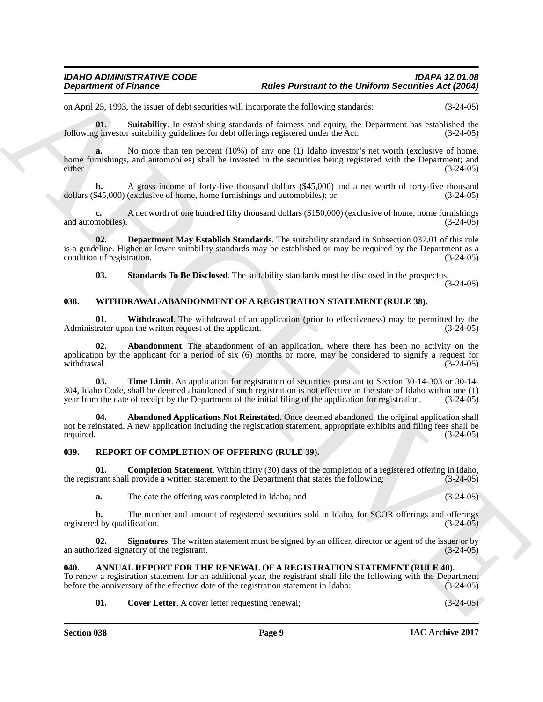on April 25, 1993, the issuer of debt securities will incorporate the following standards: (3-24-05)

<span id="page-8-7"></span>**01.** Suitability. In establishing standards of fairness and equity, the Department has established the g investor suitability guidelines for debt offerings registered under the Act:  $(3-24-05)$ following investor suitability guidelines for debt offerings registered under the Act:

**a.** No more than ten percent (10%) of any one (1) Idaho investor's net worth (exclusive of home, home furnishings, and automobiles) shall be invested in the securities being registered with the Department; and either (3-24-05) either (3-24-05)

**b.** A gross income of forty-five thousand dollars (\$45,000) and a net worth of forty-five thousand dollars (\$45,000) (exclusive of home, home furnishings and automobiles); or

**c.** A net worth of one hundred fifty thousand dollars (\$150,000) (exclusive of home, home furnishings mobiles). (3-24-05) and automobiles).

**02. Department May Establish Standards**. The suitability standard in Subsection 037.01 of this rule is a guideline. Higher or lower suitability standards may be established or may be required by the Department as a condition of registration. (3-24-05) condition of registration.

<span id="page-8-15"></span><span id="page-8-11"></span><span id="page-8-6"></span><span id="page-8-5"></span>**03. Standards To Be Disclosed**. The suitability standards must be disclosed in the prospectus.

(3-24-05)

#### <span id="page-8-0"></span>**038. WITHDRAWAL/ABANDONMENT OF A REGISTRATION STATEMENT (RULE 38).**

<span id="page-8-13"></span>**01. Withdrawal**. The withdrawal of an application (prior to effectiveness) may be permitted by the trator upon the written request of the applicant. (3-24-05) Administrator upon the written request of the applicant.

Department of Finance<br>
2016 Parameter to the Division Advisor and Euckspear and the Division Securities Advised to the Securities Advised to the Securities Advised to the Securities Advised to the Securities Control of th **02. Abandonment**. The abandonment of an application, where there has been no activity on the application by the applicant for a period of six  $(6)$  months or more, may be considered to signify a request for withdrawal.  $(3-24-05)$ withdrawal.  $(3-24-05)$ 

<span id="page-8-14"></span>**03. Time Limit**. An application for registration of securities pursuant to Section 30-14-303 or 30-14- 304, Idaho Code, shall be deemed abandoned if such registration is not effective in the state of Idaho within one (1) year from the date of receipt by the Department of the initial filing of the application for registratio year from the date of receipt by the Department of the initial filing of the application for registration.

<span id="page-8-12"></span>**04. Abandoned Applications Not Reinstated**. Once deemed abandoned, the original application shall not be reinstated. A new application including the registration statement, appropriate exhibits and filing fees shall be required. (3-24-05) required.  $(3-24-05)$ 

#### <span id="page-8-8"></span><span id="page-8-1"></span>**039. REPORT OF COMPLETION OF OFFERING (RULE 39).**

**01. Completion Statement**. Within thirty (30) days of the completion of a registered offering in Idaho, the registrant shall provide a written statement to the Department that states the following: (3-24-05)

<span id="page-8-10"></span><span id="page-8-9"></span>**a.** The date the offering was completed in Idaho; and (3-24-05)

**b.** The number and amount of registered securities sold in Idaho, for SCOR offerings and offerings d by qualification. (3-24-05) registered by qualification.

**02.** Signatures. The written statement must be signed by an officer, director or agent of the issuer or by rized signatory of the registrant. an authorized signatory of the registrant.

#### <span id="page-8-3"></span><span id="page-8-2"></span>**040. ANNUAL REPORT FOR THE RENEWAL OF A REGISTRATION STATEMENT (RULE 40).**

To renew a registration statement for an additional year, the registrant shall file the following with the Department before the anniversary of the effective date of the registration statement in Idaho:  $(3-24-05)$ before the anniversary of the effective date of the registration statement in Idaho:

<span id="page-8-4"></span>

| 01.<br><b>Cover Letter.</b> A cover letter requesting renewal; | $(3-24-05)$ |
|----------------------------------------------------------------|-------------|
|----------------------------------------------------------------|-------------|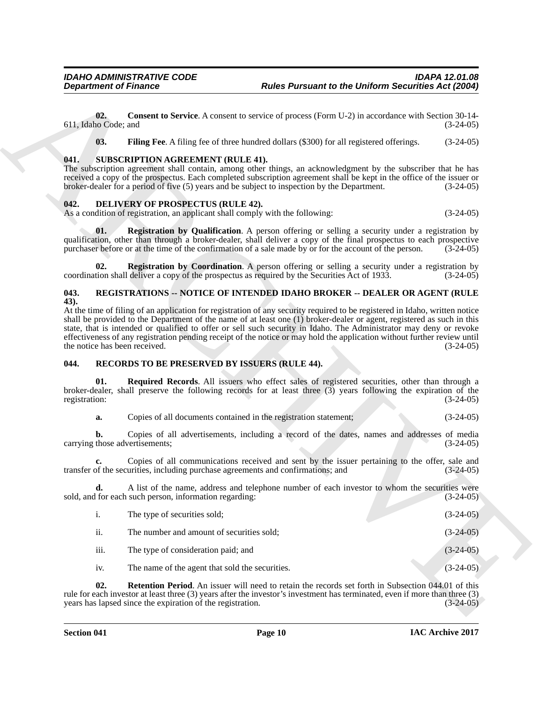#### <span id="page-9-13"></span><span id="page-9-5"></span><span id="page-9-4"></span><span id="page-9-0"></span>**041. SUBSCRIPTION AGREEMENT (RULE 41).**

#### <span id="page-9-8"></span><span id="page-9-6"></span><span id="page-9-1"></span>**042. DELIVERY OF PROSPECTUS (RULE 42).**

#### <span id="page-9-12"></span><span id="page-9-7"></span><span id="page-9-2"></span>**043. REGISTRATIONS -- NOTICE OF INTENDED IDAHO BROKER -- DEALER OR AGENT (RULE 43).**

#### <span id="page-9-11"></span><span id="page-9-10"></span><span id="page-9-9"></span><span id="page-9-3"></span>**044. RECORDS TO BE PRESERVED BY ISSUERS (RULE 44).**

| <b>Department of Finance</b>          |                                                                                                                           | <b>Rules Pursuant to the Uniform Securities Act (2004)</b>                                                                                                                                                                                                                                                                                                                                                                                                                                              |             |
|---------------------------------------|---------------------------------------------------------------------------------------------------------------------------|---------------------------------------------------------------------------------------------------------------------------------------------------------------------------------------------------------------------------------------------------------------------------------------------------------------------------------------------------------------------------------------------------------------------------------------------------------------------------------------------------------|-------------|
| 02.<br>611, Idaho Code; and           |                                                                                                                           | <b>Consent to Service.</b> A consent to service of process (Form U-2) in accordance with Section 30-14-                                                                                                                                                                                                                                                                                                                                                                                                 | $(3-24-05)$ |
| 03.                                   |                                                                                                                           | Filing Fee. A filing fee of three hundred dollars (\$300) for all registered offerings.                                                                                                                                                                                                                                                                                                                                                                                                                 | $(3-24-05)$ |
| 041.                                  | <b>SUBSCRIPTION AGREEMENT (RULE 41).</b>                                                                                  | The subscription agreement shall contain, among other things, an acknowledgment by the subscriber that he has<br>received a copy of the prospectus. Each completed subscription agreement shall be kept in the office of the issuer or<br>broker-dealer for a period of five (5) years and be subject to inspection by the Department.                                                                                                                                                                  | $(3-24-05)$ |
| 042.                                  | <b>DELIVERY OF PROSPECTUS (RULE 42).</b><br>As a condition of registration, an applicant shall comply with the following: |                                                                                                                                                                                                                                                                                                                                                                                                                                                                                                         | $(3-24-05)$ |
| 01.                                   |                                                                                                                           | <b>Registration by Qualification.</b> A person offering or selling a security under a registration by<br>qualification, other than through a broker-dealer, shall deliver a copy of the final prospectus to each prospective<br>purchaser before or at the time of the confirmation of a sale made by or for the account of the person.                                                                                                                                                                 | $(3-24-05)$ |
| 02.                                   |                                                                                                                           | <b>Registration by Coordination.</b> A person offering or selling a security under a registration by<br>coordination shall deliver a copy of the prospectus as required by the Securities Act of 1933.                                                                                                                                                                                                                                                                                                  | $(3-24-05)$ |
| 043.                                  |                                                                                                                           | REGISTRATIONS -- NOTICE OF INTENDED IDAHO BROKER -- DEALER OR AGENT (RULE                                                                                                                                                                                                                                                                                                                                                                                                                               |             |
| 43).<br>the notice has been received. |                                                                                                                           | At the time of filing of an application for registration of any security required to be registered in Idaho, written notice<br>shall be provided to the Department of the name of at least one (1) broker-dealer or agent, registered as such in this<br>state, that is intended or qualified to offer or sell such security in Idaho. The Administrator may deny or revoke<br>effectiveness of any registration pending receipt of the notice or may hold the application without further review until | $(3-24-05)$ |
| 044.                                  | RECORDS TO BE PRESERVED BY ISSUERS (RULE 44).                                                                             |                                                                                                                                                                                                                                                                                                                                                                                                                                                                                                         |             |
| 01.<br>registration:                  |                                                                                                                           | Required Records. All issuers who effect sales of registered securities, other than through a<br>broker-dealer, shall preserve the following records for at least three $(3)$ years following the expiration of the                                                                                                                                                                                                                                                                                     | $(3-24-05)$ |
| a.                                    | Copies of all documents contained in the registration statement;                                                          |                                                                                                                                                                                                                                                                                                                                                                                                                                                                                                         | $(3-24-05)$ |
| b.<br>carrying those advertisements;  |                                                                                                                           | Copies of all advertisements, including a record of the dates, names and addresses of media                                                                                                                                                                                                                                                                                                                                                                                                             | $(3-24-05)$ |
|                                       | transfer of the securities, including purchase agreements and confirmations; and                                          | Copies of all communications received and sent by the issuer pertaining to the offer, sale and                                                                                                                                                                                                                                                                                                                                                                                                          | $(3-24-05)$ |
| d.                                    | sold, and for each such person, information regarding:                                                                    | A list of the name, address and telephone number of each investor to whom the securities were                                                                                                                                                                                                                                                                                                                                                                                                           | $(3-24-05)$ |
| i.                                    | The type of securities sold;                                                                                              |                                                                                                                                                                                                                                                                                                                                                                                                                                                                                                         | $(3-24-05)$ |
| ii.                                   | The number and amount of securities sold;                                                                                 |                                                                                                                                                                                                                                                                                                                                                                                                                                                                                                         | $(3-24-05)$ |
| iii.                                  | The type of consideration paid; and                                                                                       |                                                                                                                                                                                                                                                                                                                                                                                                                                                                                                         | $(3-24-05)$ |
| iv.                                   | The name of the agent that sold the securities.                                                                           |                                                                                                                                                                                                                                                                                                                                                                                                                                                                                                         | $(3-24-05)$ |
| 02.                                   | years has lapsed since the expiration of the registration.                                                                | <b>Retention Period.</b> An issuer will need to retain the records set forth in Subsection 044,01 of this<br>rule for each investor at least three (3) years after the investor's investment has terminated, even if more than three (3)                                                                                                                                                                                                                                                                | $(3-24-05)$ |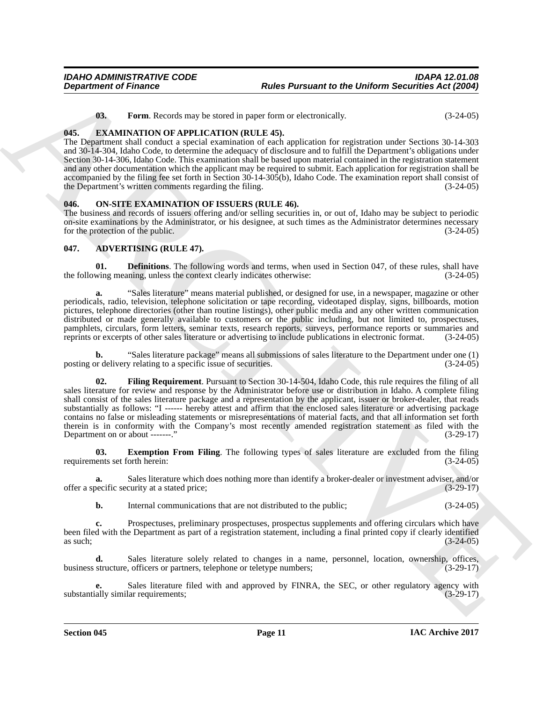<span id="page-10-9"></span><span id="page-10-7"></span>**03.** Form. Records may be stored in paper form or electronically. (3-24-05)

#### <span id="page-10-0"></span>**045. EXAMINATION OF APPLICATION (RULE 45).**

The Department shall conduct a special examination of each application for registration under Sections 30-14-303 and 30-14-304, Idaho Code, to determine the adequacy of disclosure and to fulfill the Department's obligations under Section 30-14-306, Idaho Code. This examination shall be based upon material contained in the registration statement and any other documentation which the applicant may be required to submit. Each application for registration shall be accompanied by the filing fee set forth in Section 30-14-305(b), Idaho Code. The examination report shall consist of the Department's written comments regarding the filing. (3-24-05)

#### <span id="page-10-8"></span><span id="page-10-1"></span>**046. ON-SITE EXAMINATION OF ISSUERS (RULE 46).**

The business and records of issuers offering and/or selling securities in, or out of, Idaho may be subject to periodic on-site examinations by the Administrator, or his designee, at such times as the Administrator determines necessary for the protection of the public. (3-24-05)

#### <span id="page-10-3"></span><span id="page-10-2"></span>**047. ADVERTISING (RULE 47).**

<span id="page-10-4"></span>**01. Definitions**. The following words and terms, when used in Section 047, of these rules, shall have wing meaning, unless the context clearly indicates otherwise:  $(3-24-05)$ the following meaning, unless the context clearly indicates otherwise:

**a.** "Sales literature" means material published, or designed for use, in a newspaper, magazine or other periodicals, radio, television, telephone solicitation or tape recording, videotaped display, signs, billboards, motion pictures, telephone directories (other than routine listings), other public media and any other written communication distributed or made generally available to customers or the public including, but not limited to, prospectuses, pamphlets, circulars, form letters, seminar texts, research reports, surveys, performance reports or summaries and reprints or excerpts of other sales literature or advertising to include publications in electronic format. reprints or excerpts of other sales literature or advertising to include publications in electronic format.

<span id="page-10-6"></span>**b.** "Sales literature package" means all submissions of sales literature to the Department under one (1) posting or delivery relating to a specific issue of securities.

**Department of Finance – Franche Parte Parte and the Division and European Content and the Children Content and Content and Content and Content and Content and Content and Content and Content and Content and Content and C 02. Filing Requirement**. Pursuant to Section 30-14-504, Idaho Code, this rule requires the filing of all sales literature for review and response by the Administrator before use or distribution in Idaho. A complete filing shall consist of the sales literature package and a representation by the applicant, issuer or broker-dealer, that reads substantially as follows: "I ------ hereby attest and affirm that the enclosed sales literature or advertising package contains no false or misleading statements or misrepresentations of material facts, and that all information set forth therein is in conformity with the Company's most recently amended registration statement as filed with the Department on or about -------." (3-29-17)

<span id="page-10-5"></span>**03. Exemption From Filing**. The following types of sales literature are excluded from the filing ents set forth herein: (3-24-05) requirements set forth herein:

**a.** Sales literature which does nothing more than identify a broker-dealer or investment adviser, and/or becific security at a stated price; (3-29-17) offer a specific security at a stated price;

**b.** Internal communications that are not distributed to the public;  $(3-24-05)$ 

**c.** Prospectuses, preliminary prospectuses, prospectus supplements and offering circulars which have been filed with the Department as part of a registration statement, including a final printed copy if clearly identified as such; (3-24-05) as such;  $(3-24-05)$ 

Sales literature solely related to changes in a name, personnel, location, ownership, offices, business structure, officers or partners, telephone or teletype numbers; (3-29-17)

**e.** Sales literature filed with and approved by FINRA, the SEC, or other regulatory agency with ally similar requirements; (3-29-17) substantially similar requirements;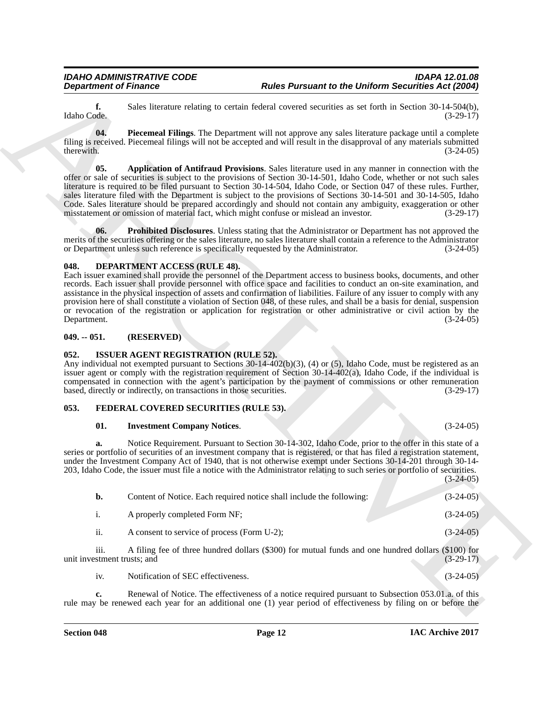#### <span id="page-11-7"></span><span id="page-11-6"></span><span id="page-11-4"></span><span id="page-11-0"></span>**048. DEPARTMENT ACCESS (RULE 48).**

#### <span id="page-11-1"></span>**049. -- 051. (RESERVED)**

#### <span id="page-11-10"></span><span id="page-11-2"></span>**052. ISSUER AGENT REGISTRATION (RULE 52).**

#### <span id="page-11-3"></span>**053. FEDERAL COVERED SECURITIES (RULE 53).**

#### <span id="page-11-9"></span><span id="page-11-8"></span>**01. Investment Company Notices**. (3-24-05)

<span id="page-11-5"></span>

|                                     | <b>Department of Finance</b>                                                                                              |                                                                                                                                                                                                                                                                                                                                                                                                                                                                                                                                                                                                                                                                                       | <b>Rules Pursuant to the Uniform Securities Act (2004)</b> |
|-------------------------------------|---------------------------------------------------------------------------------------------------------------------------|---------------------------------------------------------------------------------------------------------------------------------------------------------------------------------------------------------------------------------------------------------------------------------------------------------------------------------------------------------------------------------------------------------------------------------------------------------------------------------------------------------------------------------------------------------------------------------------------------------------------------------------------------------------------------------------|------------------------------------------------------------|
| f.<br>Idaho Code.                   |                                                                                                                           | Sales literature relating to certain federal covered securities as set forth in Section 30-14-504(b),                                                                                                                                                                                                                                                                                                                                                                                                                                                                                                                                                                                 | $(3-29-17)$                                                |
| 04.<br>therewith.                   |                                                                                                                           | Piecemeal Filings. The Department will not approve any sales literature package until a complete<br>filing is received. Piecemeal filings will not be accepted and will result in the disapproval of any materials submitted                                                                                                                                                                                                                                                                                                                                                                                                                                                          | $(3-24-05)$                                                |
| 05.                                 |                                                                                                                           | Application of Antifraud Provisions. Sales literature used in any manner in connection with the<br>offer or sale of securities is subject to the provisions of Section 30-14-501, Idaho Code, whether or not such sales<br>literature is required to be filed pursuant to Section 30-14-504, Idaho Code, or Section 047 of these rules. Further,<br>sales literature filed with the Department is subject to the provisions of Sections 30-14-501 and 30-14-505, Idaho<br>Code. Sales literature should be prepared accordingly and should not contain any ambiguity, exaggeration or other<br>misstatement or omission of material fact, which might confuse or mislead an investor. | $(3-29-17)$                                                |
| 06.                                 | or Department unless such reference is specifically requested by the Administrator.                                       | <b>Prohibited Disclosures.</b> Unless stating that the Administrator or Department has not approved the<br>merits of the securities offering or the sales literature, no sales literature shall contain a reference to the Administrator                                                                                                                                                                                                                                                                                                                                                                                                                                              | $(3-24-05)$                                                |
| 048.<br>Department.                 | <b>DEPARTMENT ACCESS (RULE 48).</b>                                                                                       | Each issuer examined shall provide the personnel of the Department access to business books, documents, and other<br>records. Each issuer shall provide personnel with office space and facilities to conduct an on-site examination, and<br>assistance in the physical inspection of assets and confirmation of liabilities. Failure of any issuer to comply with any<br>provision here of shall constitute a violation of Section 048, of these rules, and shall be a basis for denial, suspension<br>or revocation of the registration or application for registration or other administrative or civil action by the                                                              | $(3-24-05)$                                                |
| $049. - 051.$                       | (RESERVED)                                                                                                                |                                                                                                                                                                                                                                                                                                                                                                                                                                                                                                                                                                                                                                                                                       |                                                            |
| 052.                                | <b>ISSUER AGENT REGISTRATION (RULE 52).</b><br>based, directly or indirectly, on transactions in those securities.        | Any individual not exempted pursuant to Sections $30-14-402(b)(3)$ , (4) or (5), Idaho Code, must be registered as an<br>issuer agent or comply with the registration requirement of Section 30-14-402(a), Idaho Code, if the individual is<br>compensated in connection with the agent's participation by the payment of commissions or other remuneration                                                                                                                                                                                                                                                                                                                           | $(3-29-17)$                                                |
| 053.                                | FEDERAL COVERED SECURITIES (RULE 53).                                                                                     |                                                                                                                                                                                                                                                                                                                                                                                                                                                                                                                                                                                                                                                                                       |                                                            |
| 01.                                 | <b>Investment Company Notices.</b>                                                                                        |                                                                                                                                                                                                                                                                                                                                                                                                                                                                                                                                                                                                                                                                                       | $(3-24-05)$                                                |
| a.                                  | 203, Idaho Code, the issuer must file a notice with the Administrator relating to such series or portfolio of securities. | Notice Requirement. Pursuant to Section 30-14-302, Idaho Code, prior to the offer in this state of a<br>series or portfolio of securities of an investment company that is registered, or that has filed a registration statement,<br>under the Investment Company Act of 1940, that is not otherwise exempt under Sections 30-14-201 through 30-14-                                                                                                                                                                                                                                                                                                                                  |                                                            |
|                                     |                                                                                                                           |                                                                                                                                                                                                                                                                                                                                                                                                                                                                                                                                                                                                                                                                                       | $(3-24-05)$                                                |
| b.                                  |                                                                                                                           | Content of Notice. Each required notice shall include the following:                                                                                                                                                                                                                                                                                                                                                                                                                                                                                                                                                                                                                  | $(3-24-05)$                                                |
| i.                                  | A properly completed Form NF;                                                                                             |                                                                                                                                                                                                                                                                                                                                                                                                                                                                                                                                                                                                                                                                                       | $(3-24-05)$                                                |
| ii.                                 | A consent to service of process (Form U-2);                                                                               |                                                                                                                                                                                                                                                                                                                                                                                                                                                                                                                                                                                                                                                                                       |                                                            |
| iii.<br>unit investment trusts; and |                                                                                                                           | A filing fee of three hundred dollars (\$300) for mutual funds and one hundred dollars (\$100) for                                                                                                                                                                                                                                                                                                                                                                                                                                                                                                                                                                                    | $(3-24-05)$<br>$(3-29-17)$                                 |
| iv.                                 | Notification of SEC effectiveness.                                                                                        |                                                                                                                                                                                                                                                                                                                                                                                                                                                                                                                                                                                                                                                                                       | $(3-24-05)$                                                |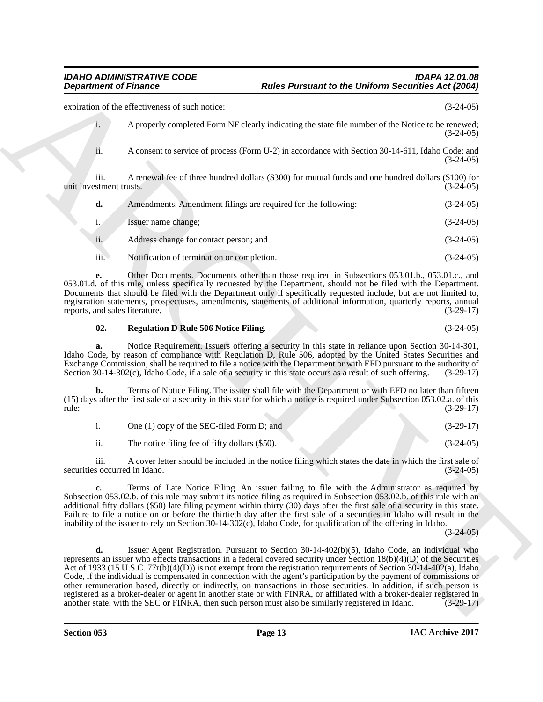expiration of the effectiveness of such notice: (3-24-05)

| i. | A properly completed Form NF clearly indicating the state file number of the Notice to be renewed;<br>$(3-24-05)$ |
|----|-------------------------------------------------------------------------------------------------------------------|
|    | A consent to service of process (Form U-2) in accordance with Section 30-14-611, Idaho Code; and<br>$(3-24-05)$   |

iii. A renewal fee of three hundred dollars (\$300) for mutual funds and one hundred dollars (\$100) for unit investment trusts. (3-24-05)

| d.   | Amendments. Amendment filings are required for the following: | $(3-24-05)$ |
|------|---------------------------------------------------------------|-------------|
|      | Issuer name change:                                           | $(3-24-05)$ |
| ii.  | Address change for contact person; and                        | $(3-24-05)$ |
| iii. | Notification of termination or completion.                    | $(3-24-05)$ |

**e.** Other Documents. Documents other than those required in Subsections 053.01.b., 053.01.c., and 053.01.d. of this rule, unless specifically requested by the Department, should not be filed with the Department. Documents that should be filed with the Department only if specifically requested include, but are not limited to, registration statements, prospectuses, amendments, statements of additional information, quarterly reports, annual reports, and sales literature. (3-29-17) reports, and sales literature.

#### <span id="page-12-0"></span>**02. Regulation D Rule 506 Notice Filing**. (3-24-05)

**a.** Notice Requirement. Issuers offering a security in this state in reliance upon Section 30-14-301, Idaho Code, by reason of compliance with Regulation D, Rule 506, adopted by the United States Securities and Exchange Commission, shall be required to file a notice with the Department or with EFD pursuant to the authority of Section 30-14-302(c), Idaho Code, if a sale of a security in this state occurs as a result of such offering. (3-29-17)

**b.** Terms of Notice Filing. The issuer shall file with the Department or with EFD no later than fifteen (15) days after the first sale of a security in this state for which a notice is required under Subsection 053.02.a. of this rule: (3-29-17)

| One (1) copy of the SEC-filed Form D; and |  |  | $(3-29-17)$ |
|-------------------------------------------|--|--|-------------|
|                                           |  |  |             |

ii. The notice filing fee of fifty dollars (\$50). (3-24-05)

iii. A cover letter should be included in the notice filing which states the date in which the first sale of securities occurred in Idaho. (3-24-05)

**c.** Terms of Late Notice Filing. An issuer failing to file with the Administrator as required by Subsection 053.02.b. of this rule may submit its notice filing as required in Subsection 053.02.b. of this rule with an additional fifty dollars (\$50) late filing payment within thirty (30) days after the first sale of a security in this state. Failure to file a notice on or before the thirtieth day after the first sale of a securities in Idaho will result in the inability of the issuer to rely on Section 30-14-302(c), Idaho Code, for qualification of the offering in Idaho.

 $(3-24-05)$ 

**Experiment of Finance Case of Language Parameter the Uniform Securing Adelastics Actual Securing Case (32.4%)**<br>
Consider the Case of the Case of Language Case of Summinster of the Network Case (32.4%)<br>
A reason to accoun **d.** Issuer Agent Registration. Pursuant to Section 30-14-402(b)(5), Idaho Code, an individual who represents an issuer who effects transactions in a federal covered security under Section 18(b)(4)(D) of the Securities Act of 1933 (15 U.S.C. 77r(b)(4)(D)) is not exempt from the registration requirements of Section 30-14-402(a), Idaho Code, if the individual is compensated in connection with the agent's participation by the payment of commissions or other remuneration based, directly or indirectly, on transactions in those securities. In addition, if such person is registered as a broker-dealer or agent in another state or with FINRA, or affiliated with a broker-dealer registered in another state, with the SEC or FINRA, then such person must also be similarly registered in Idaho. (3another state, with the SEC or FINRA, then such person must also be similarly registered in Idaho.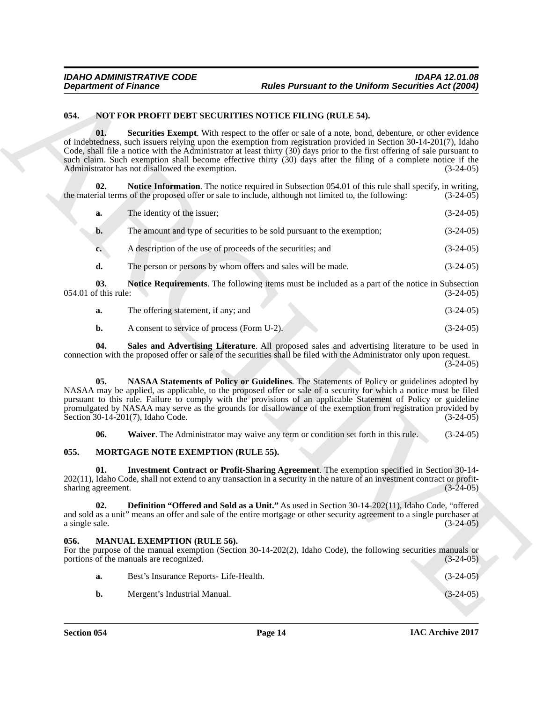#### <span id="page-13-12"></span><span id="page-13-9"></span><span id="page-13-7"></span><span id="page-13-0"></span>**054. NOT FOR PROFIT DEBT SECURITIES NOTICE FILING (RULE 54).**

|                             | <b>Department of Finance</b>                                            | <b>Rules Pursuant to the Uniform Securities Act (2004)</b>                                                                                                                                                                                                                                                                                                                                                                                                                |             |
|-----------------------------|-------------------------------------------------------------------------|---------------------------------------------------------------------------------------------------------------------------------------------------------------------------------------------------------------------------------------------------------------------------------------------------------------------------------------------------------------------------------------------------------------------------------------------------------------------------|-------------|
| 054.                        | NOT FOR PROFIT DEBT SECURITIES NOTICE FILING (RULE 54).                 |                                                                                                                                                                                                                                                                                                                                                                                                                                                                           |             |
| 01.                         | Administrator has not disallowed the exemption.                         | Securities Exempt. With respect to the offer or sale of a note, bond, debenture, or other evidence<br>of indebtedness, such issuers relying upon the exemption from registration provided in Section 30-14-201(7), Idaho<br>Code, shall file a notice with the Administrator at least thirty (30) days prior to the first offering of sale pursuant to<br>such claim. Such exemption shall become effective thirty (30) days after the filing of a complete notice if the | $(3-24-05)$ |
| 02.                         |                                                                         | <b>Notice Information.</b> The notice required in Subsection 054.01 of this rule shall specify, in writing,<br>the material terms of the proposed offer or sale to include, although not limited to, the following:                                                                                                                                                                                                                                                       | $(3-24-05)$ |
| a.                          | The identity of the issuer;                                             |                                                                                                                                                                                                                                                                                                                                                                                                                                                                           | $(3-24-05)$ |
| b.                          | The amount and type of securities to be sold pursuant to the exemption; |                                                                                                                                                                                                                                                                                                                                                                                                                                                                           | $(3-24-05)$ |
| $c_{\bullet}$               | A description of the use of proceeds of the securities; and             |                                                                                                                                                                                                                                                                                                                                                                                                                                                                           | $(3-24-05)$ |
| d.                          | The person or persons by whom offers and sales will be made.            |                                                                                                                                                                                                                                                                                                                                                                                                                                                                           | $(3-24-05)$ |
| 03.<br>054.01 of this rule: |                                                                         | <b>Notice Requirements.</b> The following items must be included as a part of the notice in Subsection                                                                                                                                                                                                                                                                                                                                                                    | $(3-24-05)$ |
| a.                          | The offering statement, if any; and                                     |                                                                                                                                                                                                                                                                                                                                                                                                                                                                           | $(3-24-05)$ |
| b.                          | A consent to service of process (Form U-2).                             |                                                                                                                                                                                                                                                                                                                                                                                                                                                                           | $(3-24-05)$ |
| 04.                         |                                                                         | Sales and Advertising Literature. All proposed sales and advertising literature to be used in<br>connection with the proposed offer or sale of the securities shall be filed with the Administrator only upon request.                                                                                                                                                                                                                                                    | $(3-24-05)$ |
| 05.                         | Section 30-14-201(7), Idaho Code.                                       | NASAA Statements of Policy or Guidelines. The Statements of Policy or guidelines adopted by<br>NASAA may be applied, as applicable, to the proposed offer or sale of a security for which a notice must be filed<br>pursuant to this rule. Failure to comply with the provisions of an applicable Statement of Policy or guideline<br>promulgated by NASAA may serve as the grounds for disallowance of the exemption from registration provided by                       | $(3-24-05)$ |
| 06.                         |                                                                         | Waiver. The Administrator may waive any term or condition set forth in this rule.                                                                                                                                                                                                                                                                                                                                                                                         | $(3-24-05)$ |
| 055.                        | MORTGAGE NOTE EXEMPTION (RULE 55).                                      |                                                                                                                                                                                                                                                                                                                                                                                                                                                                           |             |
| 01.<br>sharing agreement.   |                                                                         | Investment Contract or Profit-Sharing Agreement. The exemption specified in Section 30-14-<br>202(11), Idaho Code, shall not extend to any transaction in a security in the nature of an investment contract or profit-                                                                                                                                                                                                                                                   | $(3-24-05)$ |
| 02.<br>a single sale.       |                                                                         | <b>Definition "Offered and Sold as a Unit."</b> As used in Section 30-14-202(11), Idaho Code, "offered<br>and sold as a unit" means an offer and sale of the entire mortgage or other security agreement to a single purchaser at                                                                                                                                                                                                                                         | $(3-24-05)$ |
| 056.                        | MANUAL EXEMPTION (RULE 56).<br>portions of the manuals are recognized.  | For the purpose of the manual exemption (Section 30-14-202(2), Idaho Code), the following securities manuals or                                                                                                                                                                                                                                                                                                                                                           | $(3-24-05)$ |
|                             |                                                                         |                                                                                                                                                                                                                                                                                                                                                                                                                                                                           |             |
| a.                          | Best's Insurance Reports- Life-Health.                                  |                                                                                                                                                                                                                                                                                                                                                                                                                                                                           | $(3-24-05)$ |

- <span id="page-13-10"></span>**a.** The offering statement, if any; and (3-24-05)
- <span id="page-13-11"></span><span id="page-13-8"></span>**b.** A consent to service of process (Form U-2). (3-24-05)

#### <span id="page-13-13"></span><span id="page-13-6"></span><span id="page-13-4"></span><span id="page-13-1"></span>**055. MORTGAGE NOTE EXEMPTION (RULE 55).**

#### <span id="page-13-5"></span><span id="page-13-3"></span><span id="page-13-2"></span>**056. MANUAL EXEMPTION (RULE 56).**

| a. | Best's Insurance Reports- Life-Health. | $(3-24-05)$ |
|----|----------------------------------------|-------------|
|    | Mergent's Industrial Manual.           | $(3-24-05)$ |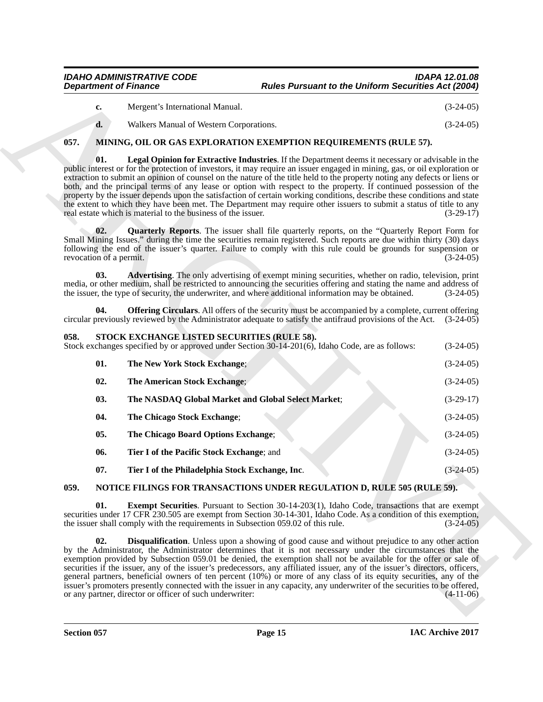| <b>IDAHO ADMINISTRATIVE CODE</b> | <b>IDAPA 12.01.08</b>                                      |
|----------------------------------|------------------------------------------------------------|
| <b>Department of Finance</b>     | <b>Rules Pursuant to the Uniform Securities Act (2004)</b> |

<span id="page-14-5"></span><span id="page-14-3"></span>

| Mergent's International Manual. |                                           |
|---------------------------------|-------------------------------------------|
| $- - - - - -$                   | $\sim$ $\sim$ $\sim$ $\sim$ $\sim$ $\sim$ |

#### <span id="page-14-7"></span><span id="page-14-0"></span>**057. MINING, OIL OR GAS EXPLORATION EXEMPTION REQUIREMENTS (RULE 57).**

## <span id="page-14-16"></span><span id="page-14-15"></span><span id="page-14-14"></span><span id="page-14-12"></span><span id="page-14-11"></span><span id="page-14-6"></span><span id="page-14-4"></span><span id="page-14-1"></span>**058.** STOCK EXCHANGE LISTED SECURITIES (RULE 58).<br>Stock exchanges specified by or approved under Section 30-14-201(6),

| <b>Department of Finance</b>                                                                                                                                                                                                                                                                                                                                                                                                                                                                                                                                                                                                                                                                          |                                                                                  | <b>Rules Pursuant to the Uniform Securities Act (2004)</b>                                                                                                                                                                                                                                                                                                                                                                                                                                                                                                                                                                                                                                                                   |             |
|-------------------------------------------------------------------------------------------------------------------------------------------------------------------------------------------------------------------------------------------------------------------------------------------------------------------------------------------------------------------------------------------------------------------------------------------------------------------------------------------------------------------------------------------------------------------------------------------------------------------------------------------------------------------------------------------------------|----------------------------------------------------------------------------------|------------------------------------------------------------------------------------------------------------------------------------------------------------------------------------------------------------------------------------------------------------------------------------------------------------------------------------------------------------------------------------------------------------------------------------------------------------------------------------------------------------------------------------------------------------------------------------------------------------------------------------------------------------------------------------------------------------------------------|-------------|
| c.                                                                                                                                                                                                                                                                                                                                                                                                                                                                                                                                                                                                                                                                                                    | Mergent's International Manual.                                                  |                                                                                                                                                                                                                                                                                                                                                                                                                                                                                                                                                                                                                                                                                                                              | $(3-24-05)$ |
| d.                                                                                                                                                                                                                                                                                                                                                                                                                                                                                                                                                                                                                                                                                                    | Walkers Manual of Western Corporations.                                          |                                                                                                                                                                                                                                                                                                                                                                                                                                                                                                                                                                                                                                                                                                                              | $(3-24-05)$ |
| 057.                                                                                                                                                                                                                                                                                                                                                                                                                                                                                                                                                                                                                                                                                                  |                                                                                  | MINING, OIL OR GAS EXPLORATION EXEMPTION REQUIREMENTS (RULE 57).                                                                                                                                                                                                                                                                                                                                                                                                                                                                                                                                                                                                                                                             |             |
| 01.<br>public interest or for the protection of investors, it may require an issuer engaged in mining, gas, or oil exploration or<br>extraction to submit an opinion of counsel on the nature of the title held to the property noting any defects or liens or<br>both, and the principal terms of any lease or option with respect to the property. If continued possession of the<br>property by the issuer depends upon the satisfaction of certain working conditions, describe these conditions and state<br>the extent to which they have been met. The Department may require other issuers to submit a status of title to any<br>real estate which is material to the business of the issuer. |                                                                                  | Legal Opinion for Extractive Industries. If the Department deems it necessary or advisable in the                                                                                                                                                                                                                                                                                                                                                                                                                                                                                                                                                                                                                            | $(3-29-17)$ |
| 02.<br>revocation of a permit.                                                                                                                                                                                                                                                                                                                                                                                                                                                                                                                                                                                                                                                                        |                                                                                  | <b>Quarterly Reports.</b> The issuer shall file quarterly reports, on the "Quarterly Report Form for<br>Small Mining Issues." during the time the securities remain registered. Such reports are due within thirty (30) days<br>following the end of the issuer's quarter. Failure to comply with this rule could be grounds for suspension or                                                                                                                                                                                                                                                                                                                                                                               | $(3-24-05)$ |
| 03.                                                                                                                                                                                                                                                                                                                                                                                                                                                                                                                                                                                                                                                                                                   |                                                                                  | Advertising. The only advertising of exempt mining securities, whether on radio, television, print<br>media, or other medium, shall be restricted to announcing the securities offering and stating the name and address of<br>the issuer, the type of security, the underwriter, and where additional information may be obtained.                                                                                                                                                                                                                                                                                                                                                                                          | $(3-24-05)$ |
| 04.                                                                                                                                                                                                                                                                                                                                                                                                                                                                                                                                                                                                                                                                                                   |                                                                                  | <b>Offering Circulars.</b> All offers of the security must be accompanied by a complete, current offering<br>circular previously reviewed by the Administrator adequate to satisfy the antifraud provisions of the Act. (3-24-05)                                                                                                                                                                                                                                                                                                                                                                                                                                                                                            |             |
| 058.                                                                                                                                                                                                                                                                                                                                                                                                                                                                                                                                                                                                                                                                                                  | STOCK EXCHANGE LISTED SECURITIES (RULE 58).                                      | Stock exchanges specified by or approved under Section 30-14-201(6), Idaho Code, are as follows:                                                                                                                                                                                                                                                                                                                                                                                                                                                                                                                                                                                                                             | $(3-24-05)$ |
| 01.                                                                                                                                                                                                                                                                                                                                                                                                                                                                                                                                                                                                                                                                                                   | The New York Stock Exchange;                                                     |                                                                                                                                                                                                                                                                                                                                                                                                                                                                                                                                                                                                                                                                                                                              | $(3-24-05)$ |
| 02.                                                                                                                                                                                                                                                                                                                                                                                                                                                                                                                                                                                                                                                                                                   | The American Stock Exchange;                                                     |                                                                                                                                                                                                                                                                                                                                                                                                                                                                                                                                                                                                                                                                                                                              | $(3-24-05)$ |
| 03.                                                                                                                                                                                                                                                                                                                                                                                                                                                                                                                                                                                                                                                                                                   | The NASDAQ Global Market and Global Select Market;                               |                                                                                                                                                                                                                                                                                                                                                                                                                                                                                                                                                                                                                                                                                                                              | $(3-29-17)$ |
| 04.                                                                                                                                                                                                                                                                                                                                                                                                                                                                                                                                                                                                                                                                                                   | The Chicago Stock Exchange;                                                      |                                                                                                                                                                                                                                                                                                                                                                                                                                                                                                                                                                                                                                                                                                                              | $(3-24-05)$ |
| 05.                                                                                                                                                                                                                                                                                                                                                                                                                                                                                                                                                                                                                                                                                                   | The Chicago Board Options Exchange;                                              |                                                                                                                                                                                                                                                                                                                                                                                                                                                                                                                                                                                                                                                                                                                              | $(3-24-05)$ |
| 06.                                                                                                                                                                                                                                                                                                                                                                                                                                                                                                                                                                                                                                                                                                   | Tier I of the Pacific Stock Exchange; and                                        |                                                                                                                                                                                                                                                                                                                                                                                                                                                                                                                                                                                                                                                                                                                              | $(3-24-05)$ |
| 07.                                                                                                                                                                                                                                                                                                                                                                                                                                                                                                                                                                                                                                                                                                   | Tier I of the Philadelphia Stock Exchange, Inc.                                  |                                                                                                                                                                                                                                                                                                                                                                                                                                                                                                                                                                                                                                                                                                                              | $(3-24-05)$ |
| 059.                                                                                                                                                                                                                                                                                                                                                                                                                                                                                                                                                                                                                                                                                                  |                                                                                  | NOTICE FILINGS FOR TRANSACTIONS UNDER REGULATION D, RULE 505 (RULE 59).                                                                                                                                                                                                                                                                                                                                                                                                                                                                                                                                                                                                                                                      |             |
| 01.                                                                                                                                                                                                                                                                                                                                                                                                                                                                                                                                                                                                                                                                                                   | the issuer shall comply with the requirements in Subsection 059.02 of this rule. | <b>Exempt Securities.</b> Pursuant to Section 30-14-203(1), Idaho Code, transactions that are exempt<br>securities under 17 CFR 230.505 are exempt from Section 30-14-301, Idaho Code. As a condition of this exemption,                                                                                                                                                                                                                                                                                                                                                                                                                                                                                                     | $(3-24-05)$ |
| 02.                                                                                                                                                                                                                                                                                                                                                                                                                                                                                                                                                                                                                                                                                                   | or any partner, director or officer of such underwriter:                         | <b>Disqualification</b> . Unless upon a showing of good cause and without prejudice to any other action<br>by the Administrator, the Administrator determines that it is not necessary under the circumstances that the<br>exemption provided by Subsection 059.01 be denied, the exemption shall not be available for the offer or sale of<br>securities if the issuer, any of the issuer's predecessors, any affiliated issuer, any of the issuer's directors, officers,<br>general partners, beneficial owners of ten percent (10%) or more of any class of its equity securities, any of the<br>issuer's promoters presently connected with the issuer in any capacity, any underwriter of the securities to be offered, | $(4-11-06)$ |
|                                                                                                                                                                                                                                                                                                                                                                                                                                                                                                                                                                                                                                                                                                       |                                                                                  |                                                                                                                                                                                                                                                                                                                                                                                                                                                                                                                                                                                                                                                                                                                              |             |

#### <span id="page-14-18"></span><span id="page-14-17"></span><span id="page-14-13"></span><span id="page-14-10"></span><span id="page-14-9"></span><span id="page-14-8"></span><span id="page-14-2"></span>**059. NOTICE FILINGS FOR TRANSACTIONS UNDER REGULATION D, RULE 505 (RULE 59).**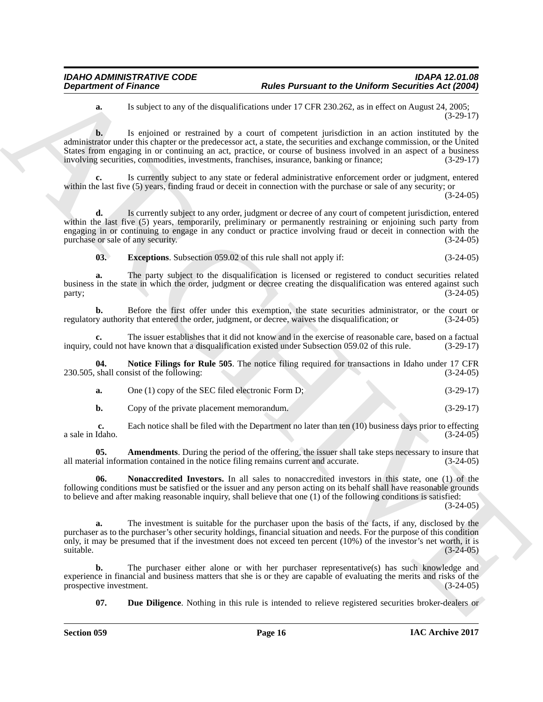**a.** Is subject to any of the disqualifications under 17 CFR 230.262, as in effect on August 24, 2005; (3-29-17)

**Department of Frances \* Photon Development on the Division Securities Act (2003)**<br> **A** last spin of the state of the state of the state of the state of the state of the state of the state of the state of the state of t **b.** Is enjoined or restrained by a court of competent jurisdiction in an action instituted by the administrator under this chapter or the predecessor act, a state, the securities and exchange commission, or the United States from engaging in or continuing an act, practice, or course of business involved in an aspect of a business involving securities, commodities, investments, franchises, insurance, banking or finance: (3-29-17) involving securities, commodities, investments, franchises, insurance, banking or finance;

**c.** Is currently subject to any state or federal administrative enforcement order or judgment, entered within the last five (5) years, finding fraud or deceit in connection with the purchase or sale of any security; or (3-24-05)

**d.** Is currently subject to any order, judgment or decree of any court of competent jurisdiction, entered within the last five (5) years, temporarily, preliminary or permanently restraining or enjoining such party from engaging in or continuing to engage in any conduct or practice involving fraud or deceit in connection with the purchase or sale of any security. (3-24-05) purchase or sale of any security.

<span id="page-15-2"></span>**03.** Exceptions. Subsection 059.02 of this rule shall not apply if: (3-24-05)

**a.** The party subject to the disqualification is licensed or registered to conduct securities related business in the state in which the order, judgment or decree creating the disqualification was entered against such party; (3-24-05)  $party$ ; (3-24-05)

**b.** Before the first offer under this exemption, the state securities administrator, or the court or regulatory authority that entered the order, judgment, or decree, waives the disqualification; or (3-24-05)

**c.** The issuer establishes that it did not know and in the exercise of reasonable care, based on a factual could not have known that a disqualification existed under Subsection 059.02 of this rule. (3-29-17) inquiry, could not have known that a disqualification existed under Subsection 059.02 of this rule.

**04.** Notice Filings for Rule 505. The notice filing required for transactions in Idaho under 17 CFR shall consist of the following: (3-24-05)  $230.505$ , shall consist of the following:

<span id="page-15-4"></span>

| One $(1)$ copy of the SEC filed electronic Form D; | $(3-29-17)$ |
|----------------------------------------------------|-------------|
| Copy of the private placement memorandum.          | $(3-29-17)$ |

**c.** Each notice shall be filed with the Department no later than ten (10) business days prior to effecting (daho. (3-24-05) a sale in Idaho.

<span id="page-15-0"></span>**05.** Amendments. During the period of the offering, the issuer shall take steps necessary to insure that ial information contained in the notice filing remains current and accurate.  $(3-24-05)$ all material information contained in the notice filing remains current and accurate.

<span id="page-15-3"></span>**06. Nonaccredited Investors.** In all sales to nonaccredited investors in this state, one (1) of the following conditions must be satisfied or the issuer and any person acting on its behalf shall have reasonable grounds to believe and after making reasonable inquiry, shall believe that one (1) of the following conditions is satisfied:

 $(3-24-05)$ 

**a.** The investment is suitable for the purchaser upon the basis of the facts, if any, disclosed by the purchaser as to the purchaser's other security holdings, financial situation and needs. For the purpose of this condition only, it may be presumed that if the investment does not exceed ten percent  $(10%)$  of the investor's net worth, it is suitable.  $(3-24-05)$ suitable.  $(3-24-05)$ 

**b.** The purchaser either alone or with her purchaser representative(s) has such knowledge and experience in financial and business matters that she is or they are capable of evaluating the merits and risks of the prospective investment. (3-24-05) prospective investment.

<span id="page-15-1"></span>**07. Due Diligence**. Nothing in this rule is intended to relieve registered securities broker-dealers or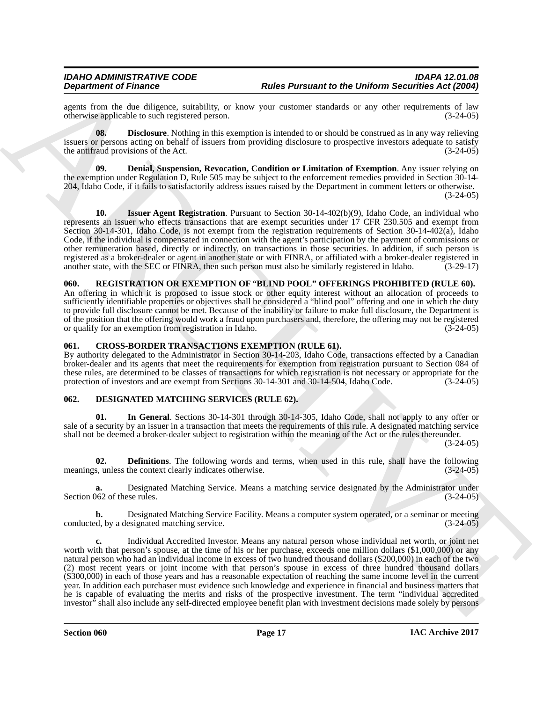agents from the due diligence, suitability, or know your customer standards or any other requirements of law<br>otherwise applicable to such registered person. (3-24-05) otherwise applicable to such registered person.

<span id="page-16-8"></span>**08. Disclosure**. Nothing in this exemption is intended to or should be construed as in any way relieving issuers or persons acting on behalf of issuers from providing disclosure to prospective investors adequate to satisfy the antifraud provisions of the Act. (3-24-05)

<span id="page-16-7"></span>**09. Denial, Suspension, Revocation, Condition or Limitation of Exemption**. Any issuer relying on the exemption under Regulation D, Rule 505 may be subject to the enforcement remedies provided in Section 30-14- 204, Idaho Code, if it fails to satisfactorily address issues raised by the Department in comment letters or otherwise.  $(3-24-05)$ 

<span id="page-16-9"></span>**10. Issuer Agent Registration**. Pursuant to Section 30-14-402(b)(9), Idaho Code, an individual who represents an issuer who effects transactions that are exempt securities under 17 CFR 230.505 and exempt from Section 30-14-301, Idaho Code, is not exempt from the registration requirements of Section 30-14-402(a), Idaho Code, if the individual is compensated in connection with the agent's participation by the payment of commissions or other remuneration based, directly or indirectly, on transactions in those securities. In addition, if such person is registered as a broker-dealer or agent in another state or with FINRA, or affiliated with a broker-dealer registered in another state, with the SEC or FINRA, then such person must also be similarly registered in Idaho. (3-29-17)

#### <span id="page-16-10"></span><span id="page-16-0"></span>**060. REGISTRATION OR EXEMPTION OF** "**BLIND POOL" OFFERINGS PROHIBITED (RULE 60).**

An offering in which it is proposed to issue stock or other equity interest without an allocation of proceeds to sufficiently identifiable properties or objectives shall be considered a "blind pool" offering and one in which the duty to provide full disclosure cannot be met. Because of the inability or failure to make full disclosure, the Department is of the position that the offering would work a fraud upon purchasers and, therefore, the offering may not be registered or qualify for an exemption from registration in Idaho. (3-24-05)

#### <span id="page-16-3"></span><span id="page-16-1"></span>**061. CROSS-BORDER TRANSACTIONS EXEMPTION (RULE 61).**

By authority delegated to the Administrator in Section 30-14-203, Idaho Code, transactions effected by a Canadian broker-dealer and its agents that meet the requirements for exemption from registration pursuant to Section 084 of these rules, are determined to be classes of transactions for which registration is not necessary or appropriate for the protection of investors and are exempt from Sections 30-14-301 and 30-14-504, Idaho Code. (3-24-05)

#### <span id="page-16-4"></span><span id="page-16-2"></span>**062. DESIGNATED MATCHING SERVICES (RULE 62).**

<span id="page-16-6"></span>**01. In General**. Sections 30-14-301 through 30-14-305, Idaho Code, shall not apply to any offer or sale of a security by an issuer in a transaction that meets the requirements of this rule. A designated matching service shall not be deemed a broker-dealer subject to registration within the meaning of the Act or the rules thereunder.

 $(3-24-05)$ 

<span id="page-16-5"></span>**02. Definitions**. The following words and terms, when used in this rule, shall have the following s, unless the context clearly indicates otherwise. (3-24-05) meanings, unless the context clearly indicates otherwise.

**a.** Designated Matching Service. Means a matching service designated by the Administrator under (3-24-05) (3-24-05) Section 062 of these rules.

**b.** Designated Matching Service Facility. Means a computer system operated, or a seminar or meeting conducted, by a designated matching service. (3-24-05)

**Experimental Franchises** Construction 1986 Parament to the Dinform Securities Add 2000<br>
equal both the difference spin different states and the distribution in the distribution of the distribution of the distribution of **c.** Individual Accredited Investor. Means any natural person whose individual net worth, or joint net worth with that person's spouse, at the time of his or her purchase, exceeds one million dollars (\$1,000,000) or any natural person who had an individual income in excess of two hundred thousand dollars (\$200,000) in each of the two (2) most recent years or joint income with that person's spouse in excess of three hundred thousand dollars (\$300,000) in each of those years and has a reasonable expectation of reaching the same income level in the current year. In addition each purchaser must evidence such knowledge and experience in financial and business matters that he is capable of evaluating the merits and risks of the prospective investment. The term "individual accredited investor" shall also include any self-directed employee benefit plan with investment decisions made solely by persons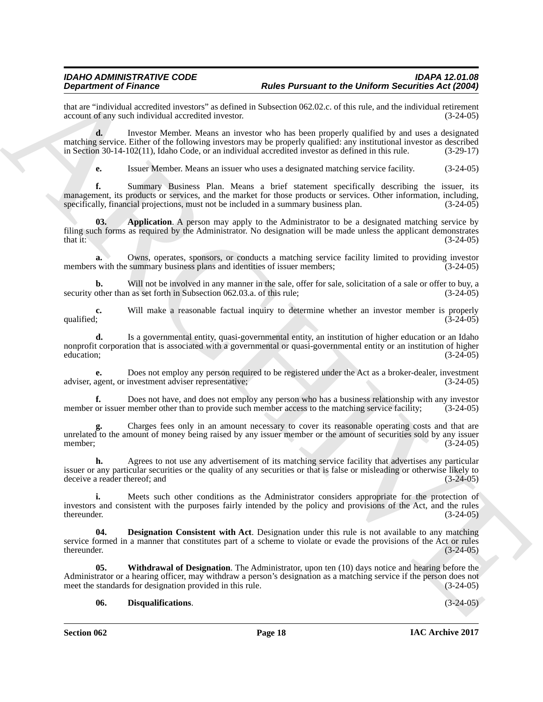that are "individual accredited investors" as defined in Subsection 062.02.c. of this rule, and the individual retirement account of any such individual accredited investor. (3-24-05) account of any such individual accredited investor.

**d.** Investor Member. Means an investor who has been properly qualified by and uses a designated matching service. Either of the following investors may be properly qualified: any institutional investor as described in Section 30-14-102(11), Idaho Code, or an individual accredited investor as defined in this rule. (3-29-17)

<span id="page-17-0"></span>**e.** Issuer Member. Means an issuer who uses a designated matching service facility. (3-24-05)

**f.** Summary Business Plan. Means a brief statement specifically describing the issuer, its management, its products or services, and the market for those products or services. Other information, including, specifically, financial projections, must not be included in a summary business plan.  $(3-24-05)$ specifically, financial projections, must not be included in a summary business plan.

**Proposition of Finance C** and the **Parameter of the Division Architecture**<br> **ARCHIVE CONSULTER CONSULTER CONSULTER CONSULTER CONSULTER CONSULTER CONSULTER CONSULTER CONSULTER CONSULTER CONSULTER CONSULTER CONSULTER CONSU 03. Application**. A person may apply to the Administrator to be a designated matching service by filing such forms as required by the Administrator. No designation will be made unless the applicant demonstrates that it: (3-24-05) that it:  $(3-24-05)$ 

**a.** Owns, operates, sponsors, or conducts a matching service facility limited to providing investor members with the summary business plans and identities of issuer members; (3-24-05)

**b.** Will not be involved in any manner in the sale, offer for sale, solicitation of a sale or offer to buy, a other than as set forth in Subsection 062.03.a. of this rule: (3-24-05) security other than as set forth in Subsection 062.03.a. of this rule;

**c.** Will make a reasonable factual inquiry to determine whether an investor member is properly  $(3-24-05)$ qualified;  $(3-24-05)$ 

**d.** Is a governmental entity, quasi-governmental entity, an institution of higher education or an Idaho nonprofit corporation that is associated with a governmental or quasi-governmental entity or an institution of higher education; (3-24-05) education;  $(3-24-05)$ 

**e.** Does not employ any person required to be registered under the Act as a broker-dealer, investment adviser representative; (3-24-05) adviser, agent, or investment adviser representative;

**f.** Does not have, and does not employ any person who has a business relationship with any investor or issuer member other than to provide such member access to the matching service facility; (3-24-05) member or issuer member other than to provide such member access to the matching service facility;

**g.** Charges fees only in an amount necessary to cover its reasonable operating costs and that are unrelated to the amount of money being raised by any issuer member or the amount of securities sold by any issuer member;<br>(3-24-05) member; (3-24-05)

**h.** Agrees to not use any advertisement of its matching service facility that advertises any particular issuer or any particular securities or the quality of any securities or that is false or misleading or otherwise likely to deceive a reader thereof; and (3-24-05)

**i.** Meets such other conditions as the Administrator considers appropriate for the protection of investors and consistent with the purposes fairly intended by the policy and provisions of the Act, and the rules thereunder.  $(3-24-05)$ 

<span id="page-17-1"></span>**04. Designation Consistent with Act**. Designation under this rule is not available to any matching service formed in a manner that constitutes part of a scheme to violate or evade the provisions of the Act or rules<br>thereunder. (3-24-05) thereunder.  $(3-24-05)$ 

**05. Withdrawal of Designation**. The Administrator, upon ten (10) days notice and hearing before the Administrator or a hearing officer, may withdraw a person's designation as a matching service if the person does not meet the standards for designation provided in this rule. (3-24-05) meet the standards for designation provided in this rule.

#### <span id="page-17-3"></span><span id="page-17-2"></span>**06. Disqualifications**. (3-24-05)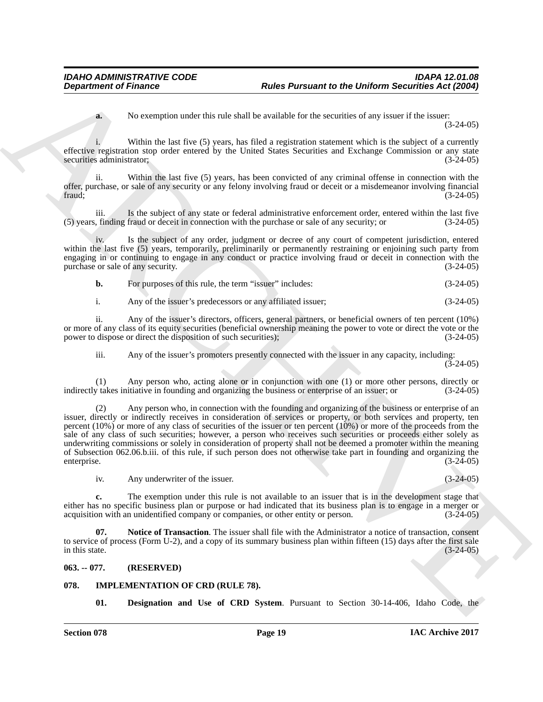**a.** No exemption under this rule shall be available for the securities of any issuer if the issuer: (3-24-05)

i. Within the last five (5) years, has filed a registration statement which is the subject of a currently effective registration stop order entered by the United States Securities and Exchange Commission or any state<br>securities administrator: (3-24-05) securities administrator;

ii. Within the last five (5) years, has been convicted of any criminal offense in connection with the offer, purchase, or sale of any security or any felony involving fraud or deceit or a misdemeanor involving financial  $frac; (3-24-05)$ 

iii. Is the subject of any state or federal administrative enforcement order, entered within the last five (5) years, finding fraud or deceit in connection with the purchase or sale of any security; or (3-24-05)

iv. Is the subject of any order, judgment or decree of any court of competent jurisdiction, entered within the last five (5) years, temporarily, preliminarily or permanently restraining or enjoining such party from engaging in or continuing to engage in any conduct or practice involving fraud or deceit in connection with the purchase or sale of any security. (3-24-05)

| b. | For purposes of this rule, the term "issuer" includes: | $(3-24-05)$ |
|----|--------------------------------------------------------|-------------|
|----|--------------------------------------------------------|-------------|

i. Any of the issuer's predecessors or any affiliated issuer; (3-24-05)

ii. Any of the issuer's directors, officers, general partners, or beneficial owners of ten percent (10%) or more of any class of its equity securities (beneficial ownership meaning the power to vote or direct the vote or the power to dispose or direct the disposition of such securities); (3-24-05) power to dispose or direct the disposition of such securities);

iii. Any of the issuer's promoters presently connected with the issuer in any capacity, including:

(3-24-05)

(1) Any person who, acting alone or in conjunction with one (1) or more other persons, directly or  $y$  takes initiative in founding and organizing the business or enterprise of an issuer; or  $(3-24-05)$ indirectly takes initiative in founding and organizing the business or enterprise of an issuer; or

**Expansion of Finance Control of the Parameter Redesign Parameter Redesign Control of the Control of the Control of the Control of the Control of the Control of the Control of the Control of the Control of the Control of** (2) Any person who, in connection with the founding and organizing of the business or enterprise of an issuer, directly or indirectly receives in consideration of services or property, or both services and property, ten percent (10%) or more of any class of securities of the issuer or ten percent (10%) or more of the proceeds from the sale of any class of such securities; however, a person who receives such securities or proceeds either solely as underwriting commissions or solely in consideration of property shall not be deemed a promoter within the meaning of Subsection 062.06.b.iii. of this rule, if such person does not otherwise take part in founding and organizing the enterprise. (3-24-05)

<span id="page-18-2"></span>iv. Any underwriter of the issuer. (3-24-05)

**c.** The exemption under this rule is not available to an issuer that is in the development stage that either has no specific business plan or purpose or had indicated that its business plan is to engage in a merger or acquisition with an unidentified company or companies, or other entity or person. (3-24-05)

**07. Notice of Transaction**. The issuer shall file with the Administrator a notice of transaction, consent to service of process (Form U-2), and a copy of its summary business plan within fifteen (15) days after the first sale<br>(3-24-05) in this state.  $(3-24-05)$ 

#### <span id="page-18-0"></span>**063. -- 077. (RESERVED)**

#### <span id="page-18-1"></span>**078. IMPLEMENTATION OF CRD (RULE 78).**

<span id="page-18-4"></span><span id="page-18-3"></span>**01. Designation and Use of CRD System**. Pursuant to Section 30-14-406, Idaho Code, the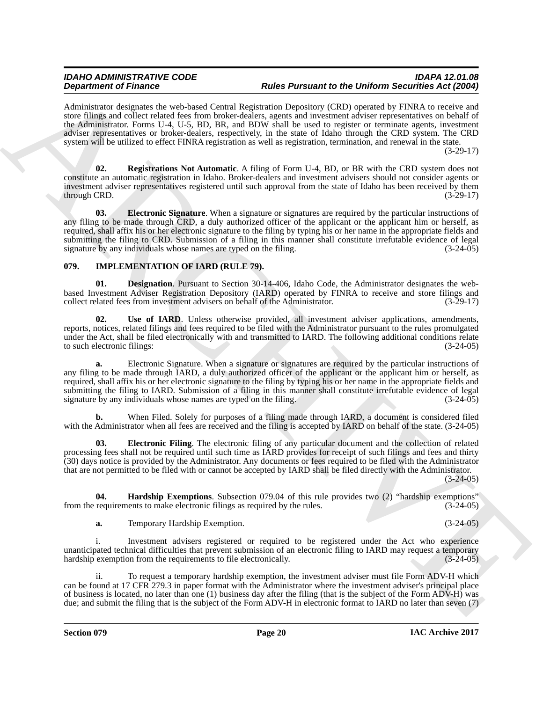Administrator designates the web-based Central Registration Depository (CRD) operated by FINRA to receive and store filings and collect related fees from broker-dealers, agents and investment adviser representatives on behalf of the Administrator. Forms U-4, U-5, BD, BR, and BDW shall be used to register or terminate agents, investment adviser representatives or broker-dealers, respectively, in the state of Idaho through the CRD system. The CRD system will be utilized to effect FINRA registration as well as registration, termination, and renewal in the state.

(3-29-17)

<span id="page-19-2"></span><span id="page-19-1"></span>**02. Registrations Not Automatic**. A filing of Form U-4, BD, or BR with the CRD system does not constitute an automatic registration in Idaho. Broker-dealers and investment advisers should not consider agents or investment adviser representatives registered until such approval from the state of Idaho has been received by them  $\mu$  through CRD.  $(3-29-17)$ 

**Dependent of Finance denta and the Parameter of He Direct Scheme and the Universe of Equivariant Scheme and the Columb Taxable Parameter of Equivarian Scheme and the Columb Taxable and the Columb Taxable and the Columb T 03. Electronic Signature**. When a signature or signatures are required by the particular instructions of any filing to be made through CRD, a duly authorized officer of the applicant or the applicant him or herself, as required, shall affix his or her electronic signature to the filing by typing his or her name in the appropriate fields and submitting the filing to CRD. Submission of a filing in this manner shall constitute irrefutable evidence of legal signature by any individuals whose names are typed on the filing. (3-24-05) signature by any individuals whose names are typed on the filing.

#### <span id="page-19-3"></span><span id="page-19-0"></span>**079. IMPLEMENTATION OF IARD (RULE 79).**

<span id="page-19-4"></span>**01. Designation**. Pursuant to Section 30-14-406, Idaho Code, the Administrator designates the webbased Investment Adviser Registration Depository (IARD) operated by FINRA to receive and store filings and collect related fees from investment advisers on behalf of the Administrator. (3-29-17) collect related fees from investment advisers on behalf of the Administrator.

<span id="page-19-7"></span>**02. Use of IARD**. Unless otherwise provided, all investment adviser applications, amendments, reports, notices, related filings and fees required to be filed with the Administrator pursuant to the rules promulgated under the Act, shall be filed electronically with and transmitted to IARD. The following additional conditions relate<br>to such electronic filings: (3-24-05) to such electronic filings:

**a.** Electronic Signature. When a signature or signatures are required by the particular instructions of any filing to be made through IARD, a duly authorized officer of the applicant or the applicant him or herself, as required, shall affix his or her electronic signature to the filing by typing his or her name in the appropriate fields and submitting the filing to IARD. Submission of a filing in this manner shall constitute irrefutable evidence of legal signature by any individuals whose names are typed on the filing. (3-24-05) (3-24-05)

**b.** When Filed. Solely for purposes of a filing made through IARD, a document is considered filed with the Administrator when all fees are received and the filing is accepted by IARD on behalf of the state. (3-24-05)

<span id="page-19-5"></span>**03. Electronic Filing**. The electronic filing of any particular document and the collection of related processing fees shall not be required until such time as IARD provides for receipt of such filings and fees and thirty (30) days notice is provided by the Administrator. Any documents or fees required to be filed with the Administrator that are not permitted to be filed with or cannot be accepted by IARD shall be filed directly with the Administrator.

 $(3-24-05)$ 

**04. Hardship Exemptions**. Subsection 079.04 of this rule provides two (2) "hardship exemptions" requirements to make electronic filings as required by the rules.  $(3-24-05)$ from the requirements to make electronic filings as required by the rules.

<span id="page-19-6"></span>**a.** Temporary Hardship Exemption. (3-24-05)

i. Investment advisers registered or required to be registered under the Act who experience unanticipated technical difficulties that prevent submission of an electronic filing to IARD may request a temporary hardship exemption from the requirements to file electronically. (3-24-05)

ii. To request a temporary hardship exemption, the investment adviser must file Form ADV-H which can be found at 17 CFR 279.3 in paper format with the Administrator where the investment adviser's principal place of business is located, no later than one (1) business day after the filing (that is the subject of the Form ADV-H) was due; and submit the filing that is the subject of the Form ADV-H in electronic format to IARD no later than seven (7)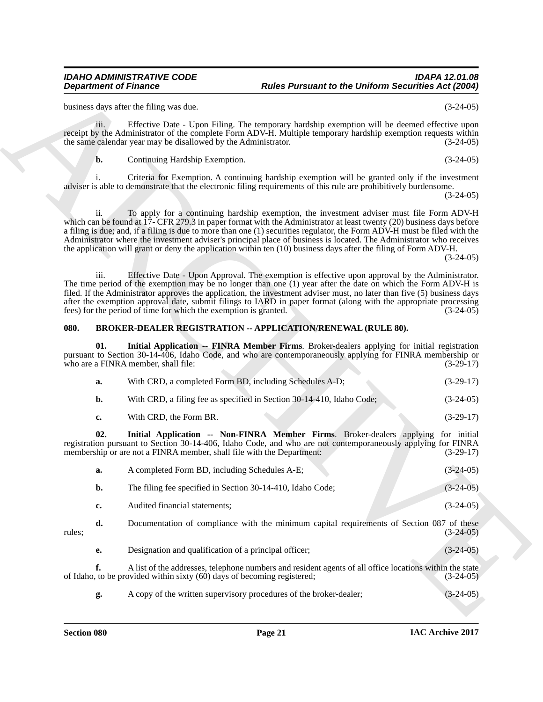#### <span id="page-20-3"></span><span id="page-20-2"></span><span id="page-20-1"></span><span id="page-20-0"></span>**080. BROKER-DEALER REGISTRATION -- APPLICATION/RENEWAL (RULE 80).**

|                            | <b>Department of Finance</b>                                                                                                                                                                                                                                                                                                                                                                                                                                                                                                                                                                     |  |
|----------------------------|--------------------------------------------------------------------------------------------------------------------------------------------------------------------------------------------------------------------------------------------------------------------------------------------------------------------------------------------------------------------------------------------------------------------------------------------------------------------------------------------------------------------------------------------------------------------------------------------------|--|
| $(3-24-05)$                | business days after the filing was due.                                                                                                                                                                                                                                                                                                                                                                                                                                                                                                                                                          |  |
| $(3-24-05)$                | Effective Date - Upon Filing. The temporary hardship exemption will be deemed effective upon<br>iii.<br>receipt by the Administrator of the complete Form ADV-H. Multiple temporary hardship exemption requests within<br>the same calendar year may be disallowed by the Administrator.                                                                                                                                                                                                                                                                                                         |  |
| $(3-24-05)$                | b.<br>Continuing Hardship Exemption.                                                                                                                                                                                                                                                                                                                                                                                                                                                                                                                                                             |  |
| $(3-24-05)$                | Criteria for Exemption. A continuing hardship exemption will be granted only if the investment<br>adviser is able to demonstrate that the electronic filing requirements of this rule are prohibitively burdensome.                                                                                                                                                                                                                                                                                                                                                                              |  |
| $(3-24-05)$                | To apply for a continuing hardship exemption, the investment adviser must file Form ADV-H<br>ii.<br>which can be found at 17- CFR 279.3 in paper format with the Administrator at least twenty (20) business days before<br>a filing is due; and, if a filing is due to more than one (1) securities regulator, the Form ADV-H must be filed with the<br>Administrator where the investment adviser's principal place of business is located. The Administrator who receives<br>the application will grant or deny the application within ten (10) business days after the filing of Form ADV-H. |  |
| $(3-24-05)$                | iii.<br>Effective Date - Upon Approval. The exemption is effective upon approval by the Administrator.<br>The time period of the exemption may be no longer than one (1) year after the date on which the Form ADV-H is<br>filed. If the Administrator approves the application, the investment adviser must, no later than five (5) business days<br>after the exemption approval date, submit filings to IARD in paper format (along with the appropriate processing<br>fees) for the period of time for which the exemption is granted.                                                       |  |
|                            | 080.<br><b>BROKER-DEALER REGISTRATION -- APPLICATION/RENEWAL (RULE 80).</b>                                                                                                                                                                                                                                                                                                                                                                                                                                                                                                                      |  |
| $(3-29-17)$                | Initial Application -- FINRA Member Firms. Broker-dealers applying for initial registration<br>01.<br>pursuant to Section 30-14-406, Idaho Code, and who are contemporaneously applying for FINRA membership or<br>who are a FINRA member, shall file:                                                                                                                                                                                                                                                                                                                                           |  |
| $(3-29-17)$                | With CRD, a completed Form BD, including Schedules A-D;<br>a.                                                                                                                                                                                                                                                                                                                                                                                                                                                                                                                                    |  |
| $(3-24-05)$                | b.<br>With CRD, a filing fee as specified in Section 30-14-410, Idaho Code;                                                                                                                                                                                                                                                                                                                                                                                                                                                                                                                      |  |
| $(3-29-17)$                | With CRD, the Form BR.<br>c.                                                                                                                                                                                                                                                                                                                                                                                                                                                                                                                                                                     |  |
| for initial<br>$(3-29-17)$ | 02.<br>Initial Application -- Non-FINRA Member Firms. Broker-dealers applying<br>registration pursuant to Section 30-14-406, Idaho Code, and who are not contemporaneously applying for FINRA<br>membership or are not a FINRA member, shall file with the Department:                                                                                                                                                                                                                                                                                                                           |  |
| $(3-24-05)$                | A completed Form BD, including Schedules A-E;<br>a.                                                                                                                                                                                                                                                                                                                                                                                                                                                                                                                                              |  |
| $(3-24-05)$                | b.<br>The filing fee specified in Section 30-14-410, Idaho Code;                                                                                                                                                                                                                                                                                                                                                                                                                                                                                                                                 |  |
| $(3-24-05)$                | Audited financial statements;<br>c.                                                                                                                                                                                                                                                                                                                                                                                                                                                                                                                                                              |  |
|                            | Documentation of compliance with the minimum capital requirements of Section 087 of these<br>d.<br>rules;                                                                                                                                                                                                                                                                                                                                                                                                                                                                                        |  |
| $(3-24-05)$                |                                                                                                                                                                                                                                                                                                                                                                                                                                                                                                                                                                                                  |  |
| $(3-24-05)$                | Designation and qualification of a principal officer;<br>е.                                                                                                                                                                                                                                                                                                                                                                                                                                                                                                                                      |  |
| $(3-24-05)$                | f.<br>A list of the addresses, telephone numbers and resident agents of all office locations within the state<br>of Idaho, to be provided within sixty (60) days of becoming registered;                                                                                                                                                                                                                                                                                                                                                                                                         |  |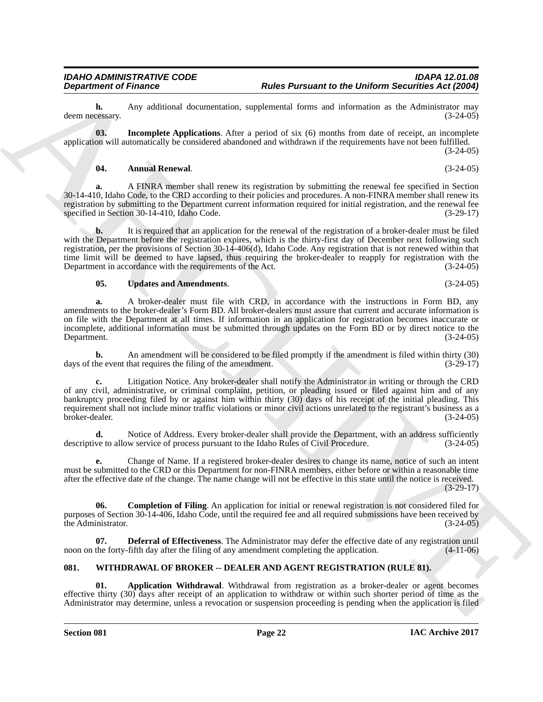**h.** Any additional documentation, supplemental forms and information as the Administrator may ressary. (3-24-05) deem necessary.

**03. Incomplete Applications**. After a period of six (6) months from date of receipt, an incomplete application will automatically be considered abandoned and withdrawn if the requirements have not been fulfilled. (3-24-05)

#### <span id="page-21-4"></span><span id="page-21-1"></span>**04. Annual Renewal**. (3-24-05)

**a.** A FINRA member shall renew its registration by submitting the renewal fee specified in Section 30-14-410, Idaho Code, to the CRD according to their policies and procedures. A non-FINRA member shall renew its registration by submitting to the Department current information required for initial registration, and the renewal fee<br>(3-29-17) (3-29-17) specified in Section 30-14-410, Idaho Code.

**b.** It is required that an application for the renewal of the registration of a broker-dealer must be filed with the Department before the registration expires, which is the thirty-first day of December next following such registration, per the provisions of Section 30-14-406(d), Idaho Code. Any registration that is not renewed within that time limit will be deemed to have lapsed, thus requiring the broker-dealer to reapply for registration with the Department in accordance with the requirements of the Act. (3-24-05)

<span id="page-21-5"></span>**05. Updates and Amendments**. (3-24-05)

**a.** A broker-dealer must file with CRD, in accordance with the instructions in Form BD, any amendments to the broker-dealer's Form BD. All broker-dealers must assure that current and accurate information is on file with the Department at all times. If information in an application for registration becomes inaccurate or incomplete, additional information must be submitted through updates on the Form BD or by direct notice to the<br>(3-24-05) (3-24-05) Department. (3-24-05)

**b.** An amendment will be considered to be filed promptly if the amendment is filed within thirty (30) he event that requires the filing of the amendment. (3-29-17) days of the event that requires the filing of the amendment.

**Department of Frances Control is a Parameter of the Division of the Division Securities Act 2000<br>
Jacques Control is a subjective and control interest in equivalent and the securities are a forestly as a particular contr c.** Litigation Notice. Any broker-dealer shall notify the Administrator in writing or through the CRD of any civil, administrative, or criminal complaint, petition, or pleading issued or filed against him and of any bankruptcy proceeding filed by or against him within thirty (30) days of his receipt of the initial pleading. This requirement shall not include minor traffic violations or minor civil actions unrelated to the registrant's business as a broker-dealer. (3-24-05) broker-dealer. (3-24-05)

**d.** Notice of Address. Every broker-dealer shall provide the Department, with an address sufficiently ve to allow service of process pursuant to the Idaho Rules of Civil Procedure. (3-24-05) descriptive to allow service of process pursuant to the Idaho Rules of Civil Procedure.

**e.** Change of Name. If a registered broker-dealer desires to change its name, notice of such an intent must be submitted to the CRD or this Department for non-FINRA members, either before or within a reasonable time after the effective date of the change. The name change will not be effective in this state until the notice is received.

(3-29-17)

<span id="page-21-2"></span>**Completion of Filing**. An application for initial or renewal registration is not considered filed for purposes of Section 30-14-406, Idaho Code, until the required fee and all required submissions have been received by the Administrator. (3-24-05)

<span id="page-21-3"></span>**07. Deferral of Effectiveness**. The Administrator may defer the effective date of any registration until the forty-fifth day after the filing of any amendment completing the application. (4-11-06) noon on the forty-fifth day after the filing of any amendment completing the application.

#### <span id="page-21-6"></span><span id="page-21-0"></span>**081. WITHDRAWAL OF BROKER -- DEALER AND AGENT REGISTRATION (RULE 81).**

<span id="page-21-7"></span>**01. Application Withdrawal**. Withdrawal from registration as a broker-dealer or agent becomes effective thirty (30) days after receipt of an application to withdraw or within such shorter period of time as the Administrator may determine, unless a revocation or suspension proceeding is pending when the application is filed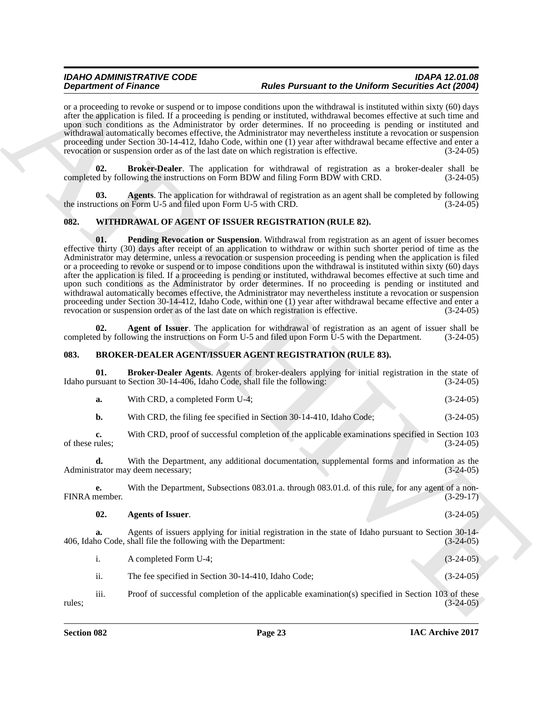or a proceeding to revoke or suspend or to impose conditions upon the withdrawal is instituted within sixty (60) days after the application is filed. If a proceeding is pending or instituted, withdrawal becomes effective at such time and upon such conditions as the Administrator by order determines. If no proceeding is pending or instituted and withdrawal automatically becomes effective, the Administrator may nevertheless institute a revocation or suspension proceeding under Section 30-14-412, Idaho Code, within one (1) year after withdrawal became effective and enter a revocation or suspension order as of the last date on which registration is effective. (3-24-05)

<span id="page-22-9"></span>**Broker-Dealer**. The application for withdrawal of registration as a broker-dealer shall be owing the instructions on Form BDW and filing Form BDW with CRD. (3-24-05) completed by following the instructions on Form BDW and filing Form BDW with CRD.

<span id="page-22-8"></span>**03.** Agents. The application for withdrawal of registration as an agent shall be completed by following actions on Form U-5 and filed upon Form U-5 with CRD.  $(3-24-05)$ the instructions on Form U-5 and filed upon Form U-5 with CRD.

#### <span id="page-22-7"></span><span id="page-22-5"></span><span id="page-22-0"></span>**082. WITHDRAWAL OF AGENT OF ISSUER REGISTRATION (RULE 82).**

**Dependent of Frainers** constructions and the Parameter of the DeParton in the Children Constraint in the Children Children Children Children Children Children Children Children Children Children Children Children Childre **01. Pending Revocation or Suspension**. Withdrawal from registration as an agent of issuer becomes effective thirty (30) days after receipt of an application to withdraw or within such shorter period of time as the Administrator may determine, unless a revocation or suspension proceeding is pending when the application is filed or a proceeding to revoke or suspend or to impose conditions upon the withdrawal is instituted within sixty (60) days after the application is filed. If a proceeding is pending or instituted, withdrawal becomes effective at such time and upon such conditions as the Administrator by order determines. If no proceeding is pending or instituted and withdrawal automatically becomes effective, the Administrator may nevertheless institute a revocation or suspension proceeding under Section 30-14-412, Idaho Code, within one (1) year after withdrawal became effective and enter a revocation or suspension order as of the last date on which registration is effective. (3-24-05) revocation or suspension order as of the last date on which registration is effective.

<span id="page-22-6"></span>**02. Agent of Issuer**. The application for withdrawal of registration as an agent of issuer shall be ed by following the instructions on Form U-5 and filed upon Form U-5 with the Department. (3-24-05) completed by following the instructions on Form U-5 and filed upon Form U-5 with the Department.

#### <span id="page-22-2"></span><span id="page-22-1"></span>**083. BROKER-DEALER AGENT/ISSUER AGENT REGISTRATION (RULE 83).**

**01. Broker-Dealer Agents**. Agents of broker-dealers applying for initial registration in the state of rsuant to Section 30-14-406, Idaho Code, shall file the following: (3-24-05) Idaho pursuant to Section  $30-14-406$ , Idaho Čode, shall file the following:

<span id="page-22-4"></span>

|  | With CRD, a completed Form U-4: |  | $(3-24-05)$ |
|--|---------------------------------|--|-------------|
|--|---------------------------------|--|-------------|

**b.** With CRD, the filing fee specified in Section 30-14-410, Idaho Code; (3-24-05)

**c.** With CRD, proof of successful completion of the applicable examinations specified in Section 103 rules; (3-24-05) of these rules;

**d.** With the Department, any additional documentation, supplemental forms and information as the trator may deem necessary: (3-24-05) Administrator may deem necessary;

**e.** With the Department, Subsections 083.01.a. through 083.01.d. of this rule, for any agent of a non-nember.  $(3-29-17)$ FINRA member.

<span id="page-22-3"></span>

| 02. | <b>Agents of Issuer.</b> | $(3-24-05)$ |
|-----|--------------------------|-------------|
|     |                          |             |

**a.** Agents of issuers applying for initial registration in the state of Idaho pursuant to Section 30-14-<br>10 Code, shall file the following with the Department: (3-24-05) 406, Idaho Code, shall file the following with the Department:

i. A completed Form U-4; (3-24-05)

ii. The fee specified in Section 30-14-410, Idaho Code; (3-24-05)

iii. Proof of successful completion of the applicable examination(s) specified in Section 103 of these (3-24-05) rules; (3-24-05)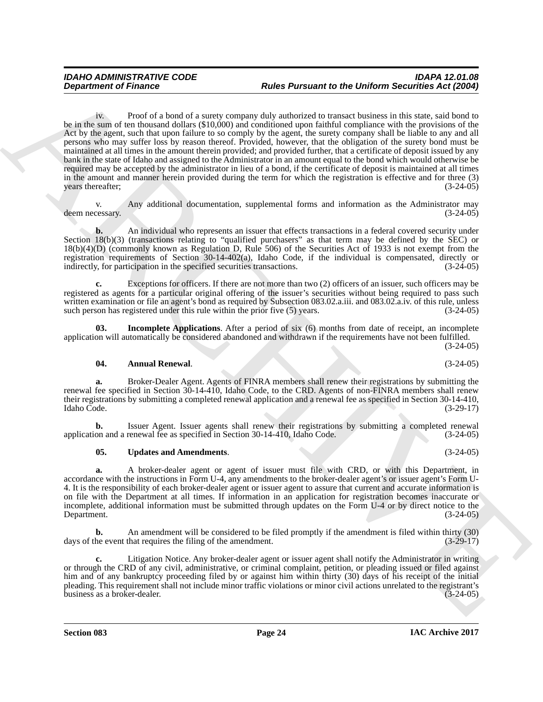**Department of Finance Photo of a branchive range but the Puristant to the Uniform Securities Act (2009)<br>
Solution The Constitution of a starty compare due to start the mean and the start and the start and the start<br>
Act** iv. Proof of a bond of a surety company duly authorized to transact business in this state, said bond to be in the sum of ten thousand dollars (\$10,000) and conditioned upon faithful compliance with the provisions of the Act by the agent, such that upon failure to so comply by the agent, the surety company shall be liable to any and all persons who may suffer loss by reason thereof. Provided, however, that the obligation of the surety bond must be maintained at all times in the amount therein provided; and provided further, that a certificate of deposit issued by any bank in the state of Idaho and assigned to the Administrator in an amount equal to the bond which would otherwise be required may be accepted by the administrator in lieu of a bond, if the certificate of deposit is maintained at all times in the amount and manner herein provided during the term for which the registration is effective and for three (3) years thereafter; (3-24-05)

v. Any additional documentation, supplemental forms and information as the Administrator may<br>(3-24-05) deem necessary.

**b.** An individual who represents an issuer that effects transactions in a federal covered security under Section 18(b)(3) (transactions relating to "qualified purchasers" as that term may be defined by the SEC) or 18(b)(4)(D) (commonly known as Regulation D, Rule 506) of the Securities Act of 1933 is not exempt from the registration requirements of Section 30-14-402(a), Idaho Code, if the individual is compensated, directly or indirectly, for participation in the specified securities transactions. (3-24-05)

**c.** Exceptions for officers. If there are not more than two (2) officers of an issuer, such officers may be registered as agents for a particular original offering of the issuer's securities without being required to pass such written examination or file an agent's bond as required by Subsection 083.02.a.iii. and 083.02.a.iv. of this rule, unless such person has registered under this rule within the prior five (5) years. (3-24-05)

**03. Incomplete Applications**. After a period of six (6) months from date of receipt, an incomplete application will automatically be considered abandoned and withdrawn if the requirements have not been fulfilled. (3-24-05)

#### <span id="page-23-1"></span><span id="page-23-0"></span>**04. Annual Renewal**. (3-24-05)

**a.** Broker-Dealer Agent. Agents of FINRA members shall renew their registrations by submitting the renewal fee specified in Section 30-14-410, Idaho Code, to the CRD. Agents of non-FINRA members shall renew their registrations by submitting a completed renewal application and a renewal fee as specified in Section 30-14-410,<br>(3-29-17) Idaho Code. Idaho Code. (3-29-17)

**b.** Issuer Agent. Issuer agents shall renew their registrations by submitting a completed renewal fee as specified in Section 30-14-410, Idaho Code.  $(3-24-05)$ application and a renewal fee as specified in Section 30-14-410, Idaho Code.

#### <span id="page-23-2"></span>**05. Updates and Amendments**. (3-24-05)

**a.** A broker-dealer agent or agent of issuer must file with CRD, or with this Department, in accordance with the instructions in Form U-4, any amendments to the broker-dealer agent's or issuer agent's Form U-4. It is the responsibility of each broker-dealer agent or issuer agent to assure that current and accurate information is on file with the Department at all times. If information in an application for registration becomes inaccurate or incomplete, additional information must be submitted through updates on the Form U-4 or by direct notice to the Department. (3-24-05)

**b.** An amendment will be considered to be filed promptly if the amendment is filed within thirty (30) he event that requires the filing of the amendment. (3-29-17) days of the event that requires the filing of the amendment.

**c.** Litigation Notice. Any broker-dealer agent or issuer agent shall notify the Administrator in writing or through the CRD of any civil, administrative, or criminal complaint, petition, or pleading issued or filed against him and of any bankruptcy proceeding filed by or against him within thirty (30) days of his receipt of the initial pleading. This requirement shall not include minor traffic violations or minor civil actions unrelated to the registrant's business as a broker-dealer.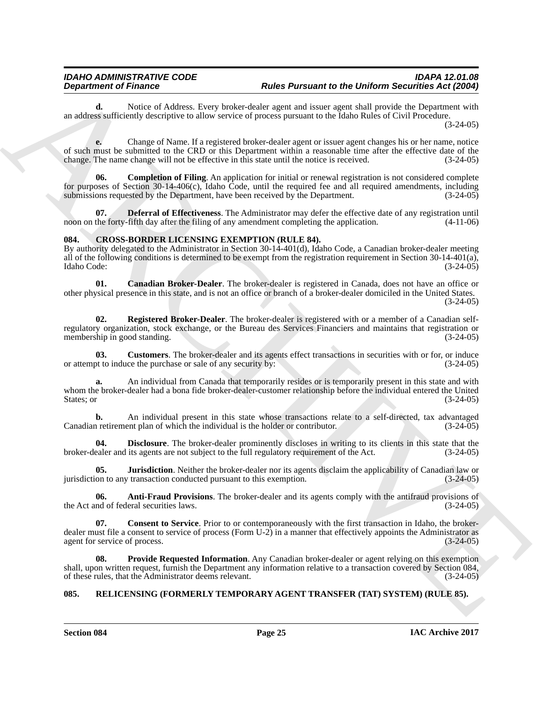**d.** Notice of Address. Every broker-dealer agent and issuer agent shall provide the Department with an address sufficiently descriptive to allow service of process pursuant to the Idaho Rules of Civil Procedure.

(3-24-05)

**e.** Change of Name. If a registered broker-dealer agent or issuer agent changes his or her name, notice of such must be submitted to the CRD or this Department within a reasonable time after the effective date of the change. The name change will not be effective in this state until the notice is received. (3-24-05) change. The name change will not be effective in this state until the notice is received.

<span id="page-24-2"></span>**06.** Completion of Filing. An application for initial or renewal registration is not considered complete for purposes of Section 30-14-406(c), Idaho Code, until the required fee and all required amendments, including submissions requested by the Department, have been received by the Department. (3-24-05) submissions requested by the Department, have been received by the Department.

<span id="page-24-3"></span>**07. Deferral of Effectiveness**. The Administrator may defer the effective date of any registration until the forty-fifth day after the filing of any amendment completing the application. (4-11-06) noon on the forty-fifth day after the filing of any amendment completing the application.

#### <span id="page-24-4"></span><span id="page-24-0"></span>**084. CROSS-BORDER LICENSING EXEMPTION (RULE 84).**

By authority delegated to the Administrator in Section 30-14-401(d), Idaho Code, a Canadian broker-dealer meeting all of the following conditions is determined to be exempt from the registration requirement in Section 30-14-401(a), Idaho Code: (3-24-05)

<span id="page-24-6"></span>**01. Canadian Broker-Dealer**. The broker-dealer is registered in Canada, does not have an office or other physical presence in this state, and is not an office or branch of a broker-dealer domiciled in the United States. (3-24-05)

<span id="page-24-12"></span>**02. Registered Broker-Dealer**. The broker-dealer is registered with or a member of a Canadian selfregulatory organization, stock exchange, or the Bureau des Services Financiers and maintains that registration or membership in good standing.

<span id="page-24-8"></span>**Customers**. The broker-dealer and its agents effect transactions in securities with or for, or induce the purchase or sale of any security by:  $(3-24-05)$ or attempt to induce the purchase or sale of any security by:

**Department of France.** And the Particular and the **Example of the Division Securities** Archives and the state of the **Example of the Control Control Control Control Control Control Control Control Control Control Control a.** An individual from Canada that temporarily resides or is temporarily present in this state and with whom the broker-dealer had a bona fide broker-dealer-customer relationship before the individual entered the United States; or  $(3-24-05)$ 

**b.** An individual present in this state whose transactions relate to a self-directed, tax advantaged a retirement plan of which the individual is the holder or contributor. (3-24-05) Canadian retirement plan of which the individual is the holder or contributor.

<span id="page-24-9"></span>**04. Disclosure**. The broker-dealer prominently discloses in writing to its clients in this state that the ealer and its agents are not subject to the full regulatory requirement of the Act. (3-24-05) broker-dealer and its agents are not subject to the full regulatory requirement of the Act.

<span id="page-24-10"></span>**05. Jurisdiction**. Neither the broker-dealer nor its agents disclaim the applicability of Canadian law or jurisdiction to any transaction conducted pursuant to this exemption. (3-24-05)

<span id="page-24-5"></span>**06. Anti-Fraud Provisions**. The broker-dealer and its agents comply with the antifraud provisions of md of federal securities laws. (3-24-05) the Act and of federal securities laws.

<span id="page-24-7"></span>**Consent to Service**. Prior to or contemporaneously with the first transaction in Idaho, the brokerdealer must file a consent to service of process (Form U-2) in a manner that effectively appoints the Administrator as agent for service of process. (3-24-05) agent for service of process.

<span id="page-24-11"></span>**08. Provide Requested Information**. Any Canadian broker-dealer or agent relying on this exemption shall, upon written request, furnish the Department any information relative to a transaction covered by Section 084, of these rules, that the Administrator deems relevant. (3-24-05) of these rules, that the Administrator deems relevant.

#### <span id="page-24-13"></span><span id="page-24-1"></span>**085. RELICENSING (FORMERLY TEMPORARY AGENT TRANSFER (TAT) SYSTEM) (RULE 85).**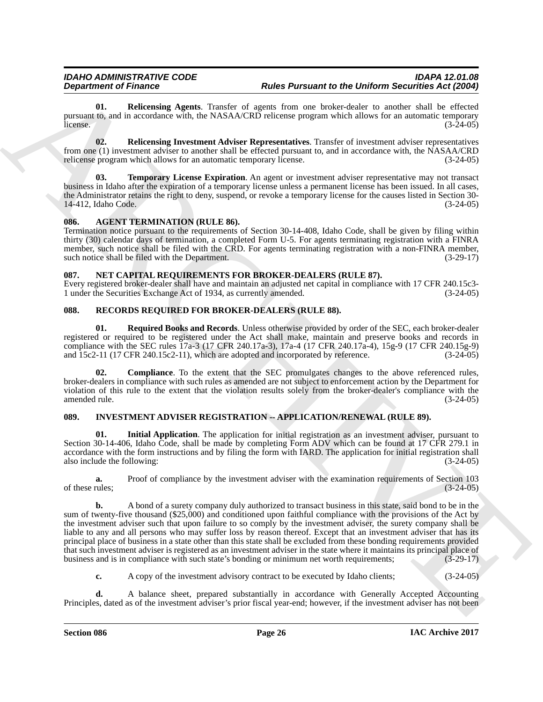<span id="page-25-11"></span>**01. Relicensing Agents**. Transfer of agents from one broker-dealer to another shall be effected pursuant to, and in accordance with, the NASAA/CRD relicense program which allows for an automatic temporary<br>(3-24-05)  $l$  (3-24-05)  $(3-24-05)$ 

<span id="page-25-12"></span>**02. Relicensing Investment Adviser Representatives**. Transfer of investment adviser representatives from one (1) investment adviser to another shall be effected pursuant to, and in accordance with, the NASAA/CRD relicense program which allows for an automatic temporary license. (3-24-05) relicense program which allows for an automatic temporary license.

<span id="page-25-13"></span>**Temporary License Expiration**. An agent or investment adviser representative may not transact business in Idaho after the expiration of a temporary license unless a permanent license has been issued. In all cases, the Administrator retains the right to deny, suspend, or revoke a temporary license for the causes listed in Section 30-<br>14-412, Idaho Code. (3-24-05) 14-412, Idaho Code.

#### <span id="page-25-4"></span><span id="page-25-0"></span>**086. AGENT TERMINATION (RULE 86).**

Termination notice pursuant to the requirements of Section 30-14-408, Idaho Code, shall be given by filing within thirty (30) calendar days of termination, a completed Form U-5. For agents terminating registration with a FINRA member, such notice shall be filed with the CRD. For agents terminating registration with a non-FINRA member, such notice shall be filed with the Department. (3-29-17) such notice shall be filed with the Department.

#### <span id="page-25-7"></span><span id="page-25-1"></span>**087. NET CAPITAL REQUIREMENTS FOR BROKER-DEALERS (RULE 87).**

Every registered broker-dealer shall have and maintain an adjusted net capital in compliance with 17 CFR 240.15c3- 1 under the Securities Exchange Act of 1934, as currently amended.

#### <span id="page-25-8"></span><span id="page-25-2"></span>**088. RECORDS REQUIRED FOR BROKER-DEALERS (RULE 88).**

<span id="page-25-10"></span>**01. Required Books and Records**. Unless otherwise provided by order of the SEC, each broker-dealer registered or required to be registered under the Act shall make, maintain and preserve books and records in compliance with the SEC rules  $17a-3$  (17 CFR 240.17a-3), 17a-4 (17 CFR 240.17a-4), 15g-9 (17 CFR 240.15g-9) and 15c2-11 (17 CFR 240.15c2-11), which are adopted and incorporated by reference. (3-24-05) and  $15c2-11$  (17 CFR 240.15c2-11), which are adopted and incorporated by reference.

<span id="page-25-9"></span>**02. Compliance**. To the extent that the SEC promulgates changes to the above referenced rules, broker-dealers in compliance with such rules as amended are not subject to enforcement action by the Department for violation of this rule to the extent that the violation results solely from the broker-dealer's compliance with the amended rule. (3-24-05)

#### <span id="page-25-5"></span><span id="page-25-3"></span>**089. INVESTMENT ADVISER REGISTRATION -- APPLICATION/RENEWAL (RULE 89).**

<span id="page-25-6"></span>**01. Initial Application**. The application for initial registration as an investment adviser, pursuant to Section 30-14-406, Idaho Code, shall be made by completing Form ADV which can be found at 17 CFR 279.1 in accordance with the form instructions and by filing the form with IARD. The application for initial registration shall also include the following: (3-24-05)

**a.** Proof of compliance by the investment adviser with the examination requirements of Section 103 rules; (3-24-05) of these rules;

**Department of Hustonian Association** Role Parameter to the Delform Association of the Delform Association Association Association Association Association Association Association Association Association Association Associ **b.** A bond of a surety company duly authorized to transact business in this state, said bond to be in the sum of twenty-five thousand (\$25,000) and conditioned upon faithful compliance with the provisions of the Act by the investment adviser such that upon failure to so comply by the investment adviser, the surety company shall be liable to any and all persons who may suffer loss by reason thereof. Except that an investment adviser that has its principal place of business in a state other than this state shall be excluded from these bonding requirements provided that such investment adviser is registered as an investment adviser in the state where it maintains its principal place of business and is in compliance with such state's bonding or minimum net worth requirements; (3-29-17)

**c.** A copy of the investment advisory contract to be executed by Idaho clients;  $(3-24-05)$ 

**d.** A balance sheet, prepared substantially in accordance with Generally Accepted Accounting Principles, dated as of the investment adviser's prior fiscal year-end; however, if the investment adviser has not been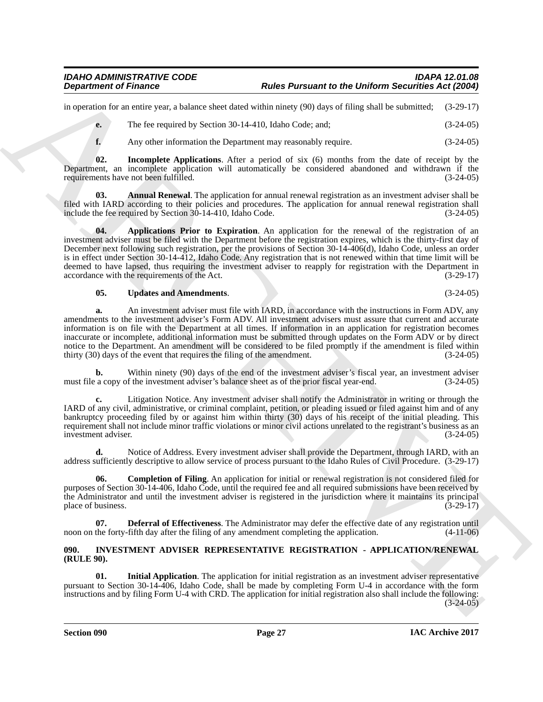in operation for an entire year, a balance sheet dated within ninety (90) days of filing shall be submitted; (3-29-17)

**e.** The fee required by Section 30-14-410, Idaho Code; and; (3-24-05)

<span id="page-26-5"></span><span id="page-26-1"></span>**f.** Any other information the Department may reasonably require. (3-24-05)

**02. Incomplete Applications**. After a period of six (6) months from the date of receipt by the Department, an incomplete application will automatically be considered abandoned and withdrawn if the requirements have not been fulfilled. (3-24-05)

<span id="page-26-2"></span>**03. Annual Renewal**. The application for annual renewal registration as an investment adviser shall be filed with IARD according to their policies and procedures. The application for annual renewal registration shall include the fee required by Section 30-14-410. Idaho Code. (3-24-05) include the fee required by Section  $30-14-410$ , Idaho Code.

**Department of Frances Construction 16 and Partment for the Division and European Construction 20 and 2008)<br>
Archives a busine state of the state of the state of the state of the state of the state of the state of the sta 04. Applications Prior to Expiration**. An application for the renewal of the registration of an investment adviser must be filed with the Department before the registration expires, which is the thirty-first day of December next following such registration, per the provisions of Section 30-14-406(d), Idaho Code, unless an order is in effect under Section 30-14-412, Idaho Code. Any registration that is not renewed within that time limit will be deemed to have lapsed, thus requiring the investment adviser to reapply for registration with the Department in accordance with the requirements of the Act. (3-29-17)

#### <span id="page-26-6"></span>**05. Updates and Amendments**. (3-24-05)

**a.** An investment adviser must file with IARD, in accordance with the instructions in Form ADV, any amendments to the investment adviser's Form ADV. All investment advisers must assure that current and accurate information is on file with the Department at all times. If information in an application for registration becomes inaccurate or incomplete, additional information must be submitted through updates on the Form ADV or by direct notice to the Department. An amendment will be considered to be filed promptly if the amendment is filed within thirty (30) days of the event that requires the filing of the amendment. (3-24-05) thirty  $(30)$  days of the event that requires the filing of the amendment.

**b.** Within ninety (90) days of the end of the investment adviser's fiscal year, an investment adviser a copy of the investment adviser's balance sheet as of the prior fiscal year-end. (3-24-05) must file a copy of the investment adviser's balance sheet as of the prior fiscal year-end.

**c.** Litigation Notice. Any investment adviser shall notify the Administrator in writing or through the IARD of any civil, administrative, or criminal complaint, petition, or pleading issued or filed against him and of any bankruptcy proceeding filed by or against him within thirty (30) days of his receipt of the initial pleading. This requirement shall not include minor traffic violations or minor civil actions unrelated to the registrant's business as an investment adviser. (3-24-05) investment adviser.

**d.** Notice of Address. Every investment adviser shall provide the Department, through IARD, with an address sufficiently descriptive to allow service of process pursuant to the Idaho Rules of Civil Procedure. (3-29-17)

<span id="page-26-3"></span>**06. Completion of Filing**. An application for initial or renewal registration is not considered filed for purposes of Section 30-14-406, Idaho Code, until the required fee and all required submissions have been received by the Administrator and until the investment adviser is registered in the jurisdiction where it maintains its principal<br>(3-29-17) place of business.

<span id="page-26-4"></span>**07. Deferral of Effectiveness**. The Administrator may defer the effective date of any registration until noon on the forty-fifth day after the filing of any amendment completing the application. (4-11-06)

#### <span id="page-26-7"></span><span id="page-26-0"></span>**090. INVESTMENT ADVISER REPRESENTATIVE REGISTRATION - APPLICATION/RENEWAL (RULE 90).**

<span id="page-26-8"></span>**01. Initial Application**. The application for initial registration as an investment adviser representative pursuant to Section 30-14-406, Idaho Code, shall be made by completing Form U-4 in accordance with the form instructions and by filing Form U-4 with CRD. The application for initial registration also shall include the following:  $(3-24-05)$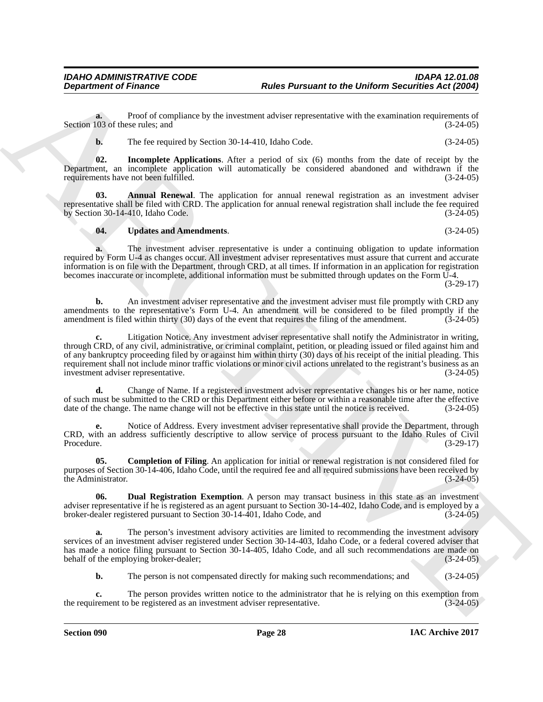**a.** Proof of compliance by the investment adviser representative with the examination requirements of 103 of these rules; and (3-24-05) Section 103 of these rules; and

<span id="page-27-3"></span>**b.** The fee required by Section 30-14-410, Idaho Code. (3-24-05)

**02. Incomplete Applications**. After a period of six (6) months from the date of receipt by the Department, an incomplete application will automatically be considered abandoned and withdrawn if the requirements have not been fulfilled. (3-24-05)

**03. Annual Renewal**. The application for annual renewal registration as an investment adviser representative shall be filed with CRD. The application for annual renewal registration shall include the fee required<br>by Section 30-14-410. Idaho Code. (3-24-05) by Section 30-14-410, Idaho Code.

#### <span id="page-27-4"></span><span id="page-27-0"></span>**04. Updates and Amendments**. (3-24-05)

**a.** The investment adviser representative is under a continuing obligation to update information required by Form U-4 as changes occur. All investment adviser representatives must assure that current and accurate information is on file with the Department, through CRD, at all times. If information in an application for registration becomes inaccurate or incomplete, additional information must be submitted through updates on the Form U-4.

(3-29-17)

**b.** An investment adviser representative and the investment adviser must file promptly with CRD any amendments to the representative's Form U-4. An amendment will be considered to be filed promptly if the amendment is filed within thirty (30) days of the event that requires the filing of the amendment. (3-24-05)

**Department of Finance Proceedings Factor Proceeding Parameter the Uniform Securities Add 2009**<br>Section 187 whose distance by the investment advise representative with the continuation requirement of the computer spin **c.** Litigation Notice. Any investment adviser representative shall notify the Administrator in writing, through CRD, of any civil, administrative, or criminal complaint, petition, or pleading issued or filed against him and of any bankruptcy proceeding filed by or against him within thirty (30) days of his receipt of the initial pleading. This requirement shall not include minor traffic violations or minor civil actions unrelated to the registrant's business as an investment adviser representative. investment adviser representative.

**d.** Change of Name. If a registered investment adviser representative changes his or her name, notice of such must be submitted to the CRD or this Department either before or within a reasonable time after the effective date of the change. The name change will not be effective in this state until the notice is received. (3 date of the change. The name change will not be effective in this state until the notice is received.

**e.** Notice of Address. Every investment adviser representative shall provide the Department, through CRD, with an address sufficiently descriptive to allow service of process pursuant to the Idaho Rules of Civil<br>Procedure. (3-29-17) Procedure. (3-29-17)

<span id="page-27-1"></span>**05.** Completion of Filing. An application for initial or renewal registration is not considered filed for purposes of Section 30-14-406, Idaho Code, until the required fee and all required submissions have been received by the Administrator. (3-24-05)

<span id="page-27-2"></span>**06. Dual Registration Exemption**. A person may transact business in this state as an investment adviser representative if he is registered as an agent pursuant to Section 30-14-402, Idaho Code, and is employed by a broker-dealer registered pursuant to Section 30-14-401, Idaho Code, and (3-24-05)

**a.** The person's investment advisory activities are limited to recommending the investment advisory services of an investment adviser registered under Section 30-14-403, Idaho Code, or a federal covered adviser that has made a notice filing pursuant to Section 30-14-405, Idaho Code, and all such recommendations are made on behalf of the employing broker-dealer; (3-24-05)

**b.** The person is not compensated directly for making such recommendations; and (3-24-05)

The person provides written notice to the administrator that he is relying on this exemption from b be registered as an investment adviser representative.  $(3-24-05)$ the requirement to be registered as an investment adviser representative.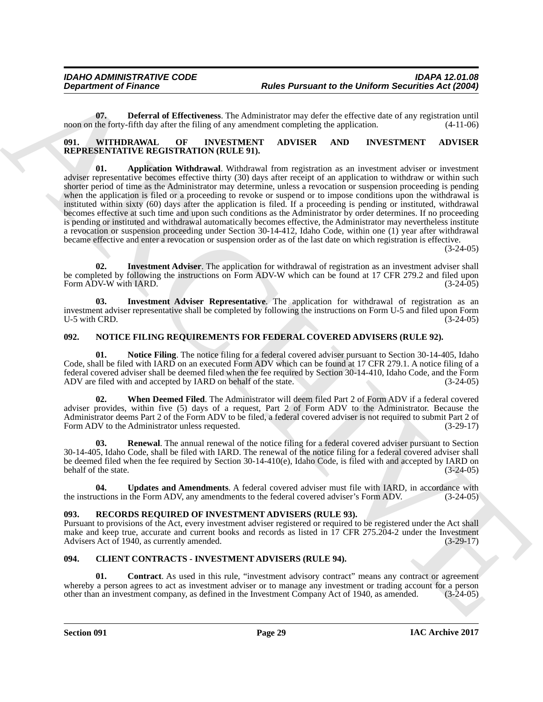<span id="page-28-6"></span>**07. Deferral of Effectiveness**. The Administrator may defer the effective date of any registration until noon on the forty-fifth day after the filing of any amendment completing the application. (4-11-06)

#### <span id="page-28-14"></span><span id="page-28-13"></span><span id="page-28-0"></span>**091. WITHDRAWAL OF INVESTMENT ADVISER AND INVESTMENT ADVISER REPRESENTATIVE REGISTRATION (RULE 91).**

**Department of Frances Control in the Division of the Division and the Division Action Securities Act (2006)<br>
And SE Control in the United SE Control in the Control in the Control in the Control in the Control in the Cont 01. Application Withdrawal**. Withdrawal from registration as an investment adviser or investment adviser representative becomes effective thirty (30) days after receipt of an application to withdraw or within such shorter period of time as the Administrator may determine, unless a revocation or suspension proceeding is pending when the application is filed or a proceeding to revoke or suspend or to impose conditions upon the withdrawal is instituted within sixty (60) days after the application is filed. If a proceeding is pending or instituted, withdrawal becomes effective at such time and upon such conditions as the Administrator by order determines. If no proceeding is pending or instituted and withdrawal automatically becomes effective, the Administrator may nevertheless institute a revocation or suspension proceeding under Section 30-14-412, Idaho Code, within one (1) year after withdrawal became effective and enter a revocation or suspension order as of the last date on which registration is effective.

(3-24-05)

<span id="page-28-15"></span>**Investment Adviser**. The application for withdrawal of registration as an investment adviser shall be completed by following the instructions on Form ADV-W which can be found at 17 CFR 279.2 and filed upon Form ADV-W with IARD. (3-24-05) Form ADV-W with IARD.

<span id="page-28-16"></span>**03. Investment Adviser Representative**. The application for withdrawal of registration as an investment adviser representative shall be completed by following the instructions on Form U-5 and filed upon Form U-5 with CRD.  $(3-24-05)$ 

#### <span id="page-28-7"></span><span id="page-28-1"></span>**092. NOTICE FILING REQUIREMENTS FOR FEDERAL COVERED ADVISERS (RULE 92).**

<span id="page-28-8"></span>**01. Notice Filing**. The notice filing for a federal covered adviser pursuant to Section 30-14-405, Idaho Code, shall be filed with IARD on an executed Form ADV which can be found at 17 CFR 279.1. A notice filing of a federal covered adviser shall be deemed filed when the fee required by Section 30-14-410, Idaho Code, and the Form ADV are filed with and accepted by IARD on behalf of the state. (3-24-05)

<span id="page-28-11"></span>**02. When Deemed Filed**. The Administrator will deem filed Part 2 of Form ADV if a federal covered adviser provides, within five (5) days of a request, Part 2 of Form ADV to the Administrator. Because the Administrator deems Part 2 of the Form ADV to be filed, a federal covered adviser is not required to submit Part 2 of Form ADV to the Administrator unless requested. (3-29-17)

<span id="page-28-9"></span>**03.** Renewal. The annual renewal of the notice filing for a federal covered adviser pursuant to Section 30-14-405, Idaho Code, shall be filed with IARD. The renewal of the notice filing for a federal covered adviser shall be deemed filed when the fee required by Section 30-14-410(e), Idaho Code, is filed with and accepted by IARD on behalf of the state. (3-24-05)

<span id="page-28-10"></span>**04. Updates and Amendments**. A federal covered adviser must file with IARD, in accordance with actions in the Form ADV, any amendments to the federal covered adviser's Form ADV. (3-24-05) the instructions in the Form ADV, any amendments to the federal covered adviser's Form ADV.

#### <span id="page-28-12"></span><span id="page-28-2"></span>**093. RECORDS REQUIRED OF INVESTMENT ADVISERS (RULE 93).**

Pursuant to provisions of the Act, every investment adviser registered or required to be registered under the Act shall make and keep true, accurate and current books and records as listed in 17 CFR 275.204-2 under the Investment Advisers Act of 1940, as currently amended. (3-29-17) Advisers Act of 1940, as currently amended.

#### <span id="page-28-4"></span><span id="page-28-3"></span>**094. CLIENT CONTRACTS - INVESTMENT ADVISERS (RULE 94).**

<span id="page-28-5"></span>**01. Contract**. As used in this rule, "investment advisory contract" means any contract or agreement whereby a person agrees to act as investment adviser or to manage any investment or trading account for a person other than an investment company, as defined in the Investment Company Act of 1940, as amended. (3-24-05)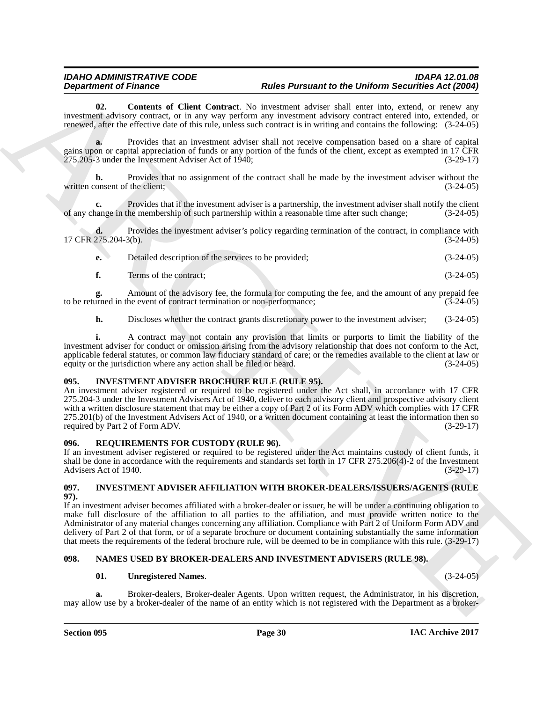<span id="page-29-4"></span>**02. Contents of Client Contract**. No investment adviser shall enter into, extend, or renew any investment advisory contract, or in any way perform any investment advisory contract entered into, extended, or renewed, after the effective date of this rule, unless such contract is in writing and contains the following: (3-24-05)

**a.** Provides that an investment adviser shall not receive compensation based on a share of capital gains upon or capital appreciation of funds or any portion of the funds of the client, except as exempted in 17 CFR 275.205-3 under the Investment Adviser Act of 1940; (3-29-17)

**b.** Provides that no assignment of the contract shall be made by the investment adviser without the written consent of the client; (3-24-05)

**c.** Provides that if the investment adviser is a partnership, the investment adviser shall notify the client nange in the membership of such partnership within a reasonable time after such change: (3-24-05) of any change in the membership of such partnership within a reasonable time after such change; (3-24-05)

**d.** Provides the investment adviser's policy regarding termination of the contract, in compliance with 17 CFR 275.204-3(b). (3-24-05)

| Detailed description of the services to be provided; | $(3-24-05)$ |
|------------------------------------------------------|-------------|
| Terms of the contract;                               | $(3-24-05)$ |

**g.** Amount of the advisory fee, the formula for computing the fee, and the amount of any prepaid fee urned in the event of contract termination or non-performance:  $(3-24-05)$ to be returned in the event of contract termination or non-performance;

**h.** Discloses whether the contract grants discretionary power to the investment adviser; (3-24-05)

**i.** A contract may not contain any provision that limits or purports to limit the liability of the investment adviser for conduct or omission arising from the advisory relationship that does not conform to the Act, applicable federal statutes, or common law fiduciary standard of care; or the remedies available to the client at law or equity or the jurisdiction where any action shall be filed or heard.  $(3-24-05)$ equity or the jurisdiction where any action shall be filed or heard.

#### <span id="page-29-6"></span><span id="page-29-0"></span>**095. INVESTMENT ADVISER BROCHURE RULE (RULE 95).**

**Department of Finance Control Anti-Brazile Development and the Bureau of the Distribution Section Section 2018<br>
increases the state of Client Control Associates Are increases above control and anti-particle of the state** An investment adviser registered or required to be registered under the Act shall, in accordance with 17 CFR 275.204-3 under the Investment Advisers Act of 1940, deliver to each advisory client and prospective advisory client with a written disclosure statement that may be either a copy of Part 2 of its Form ADV which complies with 17 CFR 275.201(b) of the Investment Advisers Act of 1940, or a written document containing at least the information then so required by Part 2 of Form ADV.

#### <span id="page-29-9"></span><span id="page-29-1"></span>**096. REQUIREMENTS FOR CUSTODY (RULE 96).**

If an investment adviser registered or required to be registered under the Act maintains custody of client funds, it shall be done in accordance with the requirements and standards set forth in 17 CFR 275.206(4)-2 of the Investment Advisers Act of 1940. Advisers Act of 1940.

#### <span id="page-29-5"></span><span id="page-29-2"></span>**097. INVESTMENT ADVISER AFFILIATION WITH BROKER-DEALERS/ISSUERS/AGENTS (RULE 97).**

If an investment adviser becomes affiliated with a broker-dealer or issuer, he will be under a continuing obligation to make full disclosure of the affiliation to all parties to the affiliation, and must provide written notice to the Administrator of any material changes concerning any affiliation. Compliance with Part 2 of Uniform Form ADV and delivery of Part 2 of that form, or of a separate brochure or document containing substantially the same information that meets the requirements of the federal brochure rule, will be deemed to be in compliance with this rule. (3-29-17)

#### <span id="page-29-3"></span>**098. NAMES USED BY BROKER-DEALERS AND INVESTMENT ADVISERS (RULE 98).**

#### <span id="page-29-8"></span><span id="page-29-7"></span>**01. Unregistered Names**. (3-24-05)

**a.** Broker-dealers, Broker-dealer Agents. Upon written request, the Administrator, in his discretion, may allow use by a broker-dealer of the name of an entity which is not registered with the Department as a broker-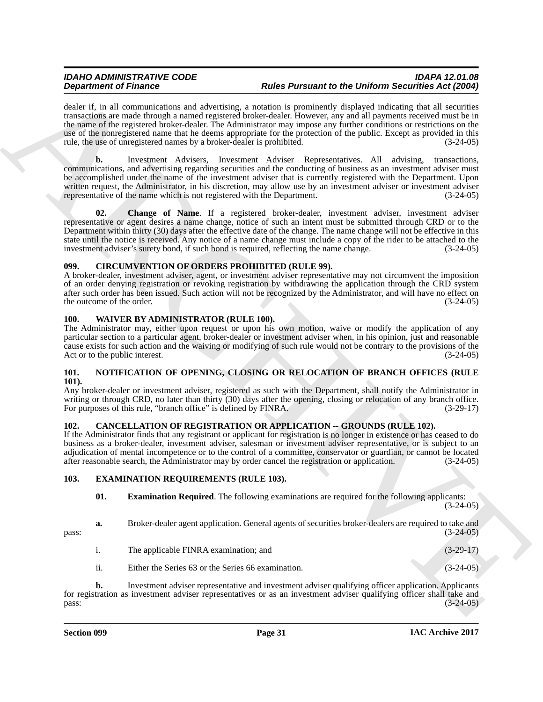dealer if, in all communications and advertising, a notation is prominently displayed indicating that all securities transactions are made through a named registered broker-dealer. However, any and all payments received must be in the name of the registered broker-dealer. The Administrator may impose any further conditions or restrictions on the use of the nonregistered name that he deems appropriate for the protection of the public. Except as provided in this rule, the use of unregistered names by a broker-dealer is prohibited. (3-24-05)

**Dependent of Finance in the control in the Parameter of the Diversion of the Diversion Section Action Control in the control in the control in the control in the control in the control in the control in the control in t b.** Investment Advisers, Investment Adviser Representatives. All advising, transactions, communications, and advertising regarding securities and the conducting of business as an investment adviser must be accomplished under the name of the investment adviser that is currently registered with the Department. Upon written request, the Administrator, in his discretion, may allow use by an investment adviser or investment adviser representative of the name which is not registered with the Department. (3-24-05) representative of the name which is not registered with the Department.

<span id="page-30-9"></span>**02. Change of Name**. If a registered broker-dealer, investment adviser, investment adviser representative or agent desires a name change, notice of such an intent must be submitted through CRD or to the Department within thirty (30) days after the effective date of the change. The name change will not be effective in this state until the notice is received. Any notice of a name change must include a copy of the rider to be attached to the investment adviser's surety bond, if such bond is required, reflecting the name change.  $(3-24-05)$ investment adviser's surety bond, if such bond is required, reflecting the name change.

#### <span id="page-30-6"></span><span id="page-30-0"></span>**099. CIRCUMVENTION OF ORDERS PROHIBITED (RULE 99).**

A broker-dealer, investment adviser, agent, or investment adviser representative may not circumvent the imposition of an order denying registration or revoking registration by withdrawing the application through the CRD system after such order has been issued. Such action will not be recognized by the Administrator, and will have no effect on the outcome of the order. (3-24-05) the outcome of the order.

#### <span id="page-30-11"></span><span id="page-30-1"></span>**100. WAIVER BY ADMINISTRATOR (RULE 100).**

The Administrator may, either upon request or upon his own motion, waive or modify the application of any particular section to a particular agent, broker-dealer or investment adviser when, in his opinion, just and reasonable cause exists for such action and the waiving or modifying of such rule would not be contrary to the provisions of the Act or to the public interest. (3-24-05)

#### <span id="page-30-10"></span><span id="page-30-2"></span>**101. NOTIFICATION OF OPENING, CLOSING OR RELOCATION OF BRANCH OFFICES (RULE 101).**

Any broker-dealer or investment adviser, registered as such with the Department, shall notify the Administrator in writing or through CRD, no later than thirty (30) days after the opening, closing or relocation of any branch office.<br>For purposes of this rule, "branch office" is defined by FINRA. (3-29-17) For purposes of this rule, "branch office" is defined by FINRA.

#### <span id="page-30-5"></span><span id="page-30-3"></span>**102. CANCELLATION OF REGISTRATION OR APPLICATION -- GROUNDS (RULE 102).**

If the Administrator finds that any registrant or applicant for registration is no longer in existence or has ceased to do business as a broker-dealer, investment adviser, salesman or investment adviser representative, or is subject to an adjudication of mental incompetence or to the control of a committee, conservator or guardian, or cannot be located after reasonable search, the Administrator may by order cancel the registration or application. (3-24-05)

#### <span id="page-30-4"></span>**103. EXAMINATION REQUIREMENTS (RULE 103).**

<span id="page-30-8"></span><span id="page-30-7"></span>**01. Examination Required**. The following examinations are required for the following applicants:  $(3-24-05)$ 

**a.** Broker-dealer agent application. General agents of securities broker-dealers are required to take and (3-24-05)  $pass:$  (3-24-05)

- i. The applicable FINRA examination; and (3-29-17)
- ii. Either the Series 63 or the Series 66 examination. (3-24-05)

**b.** Investment adviser representative and investment adviser qualifying officer application. Applicants for registration as investment adviser representatives or as an investment adviser qualifying officer shall take and pass: (3-24-05)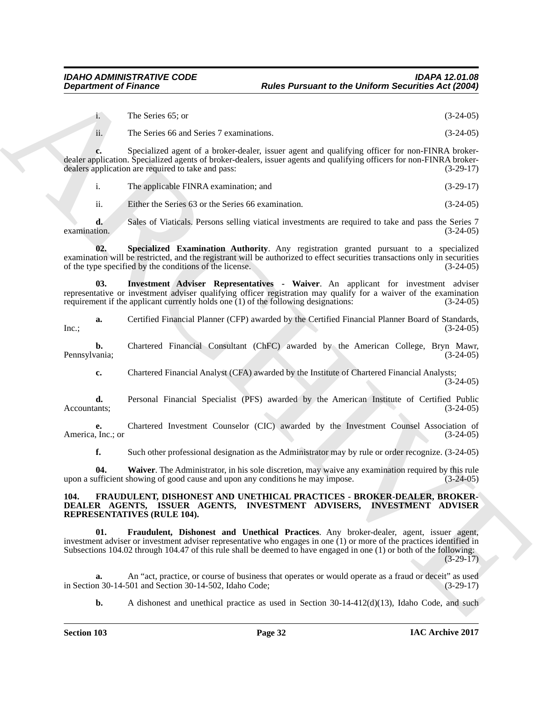i. The Series 65; or (3-24-05)

ii. The Series 66 and Series 7 examinations. (3-24-05)

**c.** Specialized agent of a broker-dealer, issuer agent and qualifying officer for non-FINRA brokerdealer application. Specialized agents of broker-dealers, issuer agents and qualifying officers for non-FINRA brokerdealers application are required to take and pass: (3-29-17)

i. The applicable FINRA examination; and (3-29-17)

<span id="page-31-2"></span>ii. Either the Series 63 or the Series 66 examination. (3-24-05)

**d.** Sales of Viaticals. Persons selling viatical investments are required to take and pass the Series 7  $\alpha$  examination.  $(3-24-05)$ 

**02. Specialized Examination Authority**. Any registration granted pursuant to a specialized examination will be restricted, and the registrant will be authorized to effect securities transactions only in securities of the type specified by the conditions of the license. (3-24-05)

<span id="page-31-1"></span>**03. Investment Adviser Representatives - Waiver**. An applicant for investment adviser representative or investment adviser qualifying officer registration may qualify for a waiver of the examination requirement if the applicant currently holds one (1) of the following designations:  $(3-24-05)$ requirement if the applicant currently holds one  $(1)$  of the following designations:

**a.** Certified Financial Planner (CFP) awarded by the Certified Financial Planner Board of Standards, (3-24-05)  $Inc.;$  (3-24-05)

**b.** Chartered Financial Consultant (ChFC) awarded by the American College, Bryn Mawr, (ania; (3-24-05) Pennsylvania;

**c.** Chartered Financial Analyst (CFA) awarded by the Institute of Chartered Financial Analysts; (3-24-05)

**d.** Personal Financial Specialist (PFS) awarded by the American Institute of Certified Public Accountants; (3-24-05) Accountants; (3-24-05)

**e.** Chartered Investment Counselor (CIC) awarded by the Investment Counsel Association of (Inc.; or America, Inc.; or

<span id="page-31-3"></span>**f.** Such other professional designation as the Administrator may by rule or order recognize. (3-24-05)

**04.** Waiver. The Administrator, in his sole discretion, may waive any examination required by this rule ufficient showing of good cause and upon any conditions he may impose. (3-24-05) upon a sufficient showing of good cause and upon any conditions he may impose.

#### <span id="page-31-5"></span><span id="page-31-4"></span><span id="page-31-0"></span>**104. FRAUDULENT, DISHONEST AND UNETHICAL PRACTICES - BROKER-DEALER, BROKER-DEALER AGENTS, ISSUER AGENTS, INVESTMENT ADVISERS, INVESTMENT ADVISER REPRESENTATIVES (RULE 104).**

**Department of Finance Process Compare to the Uniform Securities Act (2004)<br>
1.** The Seine 6S, or<br>
1. The Seine 6S, or<br>
1. The Seine 8S and Seine Procedure, and the Uniform Securities (3.21-05)<br>
4. The Seine 6S and Seine **01. Fraudulent, Dishonest and Unethical Practices**. Any broker-dealer, agent, issuer agent, investment adviser or investment adviser representative who engages in one (1) or more of the practices identified in Subsections 104.02 through 104.47 of this rule shall be deemed to have engaged in one (1) or both of the following: (3-29-17)

**a.** An "act, practice, or course of business that operates or would operate as a fraud or deceit" as used n 30-14-501 and Section 30-14-502, Idaho Code:  $(3-29-17)$ in Section 30-14-501 and Section 30-14-502, Idaho Code;

**b.** A dishonest and unethical practice as used in Section 30-14-412(d)(13), Idaho Code, and such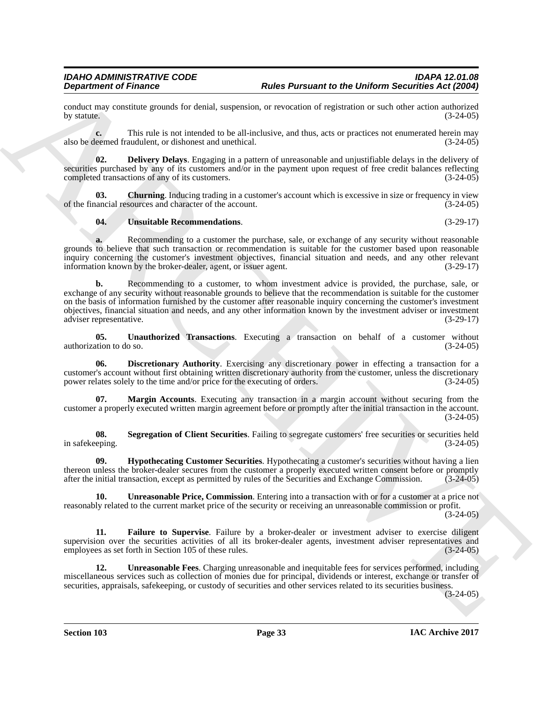conduct may constitute grounds for denial, suspension, or revocation of registration or such other action authorized by statute.  $(3-24-05)$ 

**c.** This rule is not intended to be all-inclusive, and thus, acts or practices not enumerated herein may also be deemed fraudulent, or dishonest and unethical. (3-24-05)

<span id="page-32-1"></span>**02. Delivery Delays**. Engaging in a pattern of unreasonable and unjustifiable delays in the delivery of securities purchased by any of its customers and/or in the payment upon request of free credit balances reflecting completed transactions of any of its customers. (3-24-05)

**03.** Churning. Inducing trading in a customer's account which is excessive in size or frequency in view ancial resources and character of the account. (3-24-05) of the financial resources and character of the account.

#### <span id="page-32-10"></span><span id="page-32-0"></span>**04. Unsuitable Recommendations**. (3-29-17)

**a.** Recommending to a customer the purchase, sale, or exchange of any security without reasonable grounds to believe that such transaction or recommendation is suitable for the customer based upon reasonable inquiry concerning the customer's investment objectives, financial situation and needs, and any other relevant information known by the broker-dealer, agent, or issuer agent. (3-29-17)

**Dependent of Frances<sup>-1</sup> these Parameter the Uniform Securities Additional Constraints and the Uniform Securities Additional Constraints and the system of the United Securities and the United Securities and the United Se b.** Recommending to a customer, to whom investment advice is provided, the purchase, sale, or exchange of any security without reasonable grounds to believe that the recommendation is suitable for the customer on the basis of information furnished by the customer after reasonable inquiry concerning the customer's investment objectives, financial situation and needs, and any other information known by the investment adviser or investment adviser representative. (3-29-17)

<span id="page-32-7"></span>**05. Unauthorized Transactions**. Executing a transaction on behalf of a customer without ition to do so. (3-24-05) authorization to do so.

<span id="page-32-2"></span>**06. Discretionary Authority**. Exercising any discretionary power in effecting a transaction for a customer's account without first obtaining written discretionary authority from the customer, unless the discretionary power relates solely to the time and/or price for the executing of orders. (3-24-05)

<span id="page-32-5"></span>**07. Margin Accounts**. Executing any transaction in a margin account without securing from the customer a properly executed written margin agreement before or promptly after the initial transaction in the account.  $(3-24-05)$ 

<span id="page-32-6"></span>**08.** Segregation of Client Securities. Failing to segregate customers' free securities or securities held in safekeeping. (3-24-05)

<span id="page-32-4"></span>**09. Hypothecating Customer Securities**. Hypothecating a customer's securities without having a lien thereon unless the broker-dealer secures from the customer a properly executed written consent before or promptly after the initial transaction, except as permitted by rules of the Securities and Exchange Commission. (3-24-05)

<span id="page-32-9"></span>**10. Unreasonable Price, Commission**. Entering into a transaction with or for a customer at a price not reasonably related to the current market price of the security or receiving an unreasonable commission or profit. (3-24-05)

<span id="page-32-3"></span>**11. Failure to Supervise**. Failure by a broker-dealer or investment adviser to exercise diligent supervision over the securities activities of all its broker-dealer agents, investment adviser representatives and employees as set forth in Section 105 of these rules. (3-24-05) employees as set forth in Section 105 of these rules.

<span id="page-32-8"></span>**12. Unreasonable Fees**. Charging unreasonable and inequitable fees for services performed, including miscellaneous services such as collection of monies due for principal, dividends or interest, exchange or transfer of securities, appraisals, safekeeping, or custody of securities and other services related to its securities business.

 $(3-24-05)$ 

**Section 103 Page 33**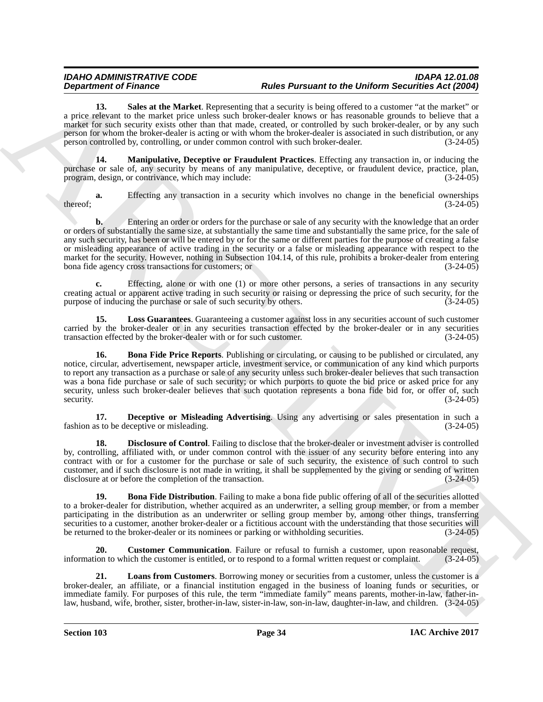<span id="page-33-8"></span>13. Sales at the Market. Representing that a security is being offered to a customer "at the market" or a price relevant to the market price unless such broker-dealer knows or has reasonable grounds to believe that a market for such security exists other than that made, created, or controlled by such broker-dealer, or by any such person for whom the broker-dealer is acting or with whom the broker-dealer is associated in such distribution, or any person controlled by, controlling, or under common control with such broker-dealer. (3-24-05)

<span id="page-33-7"></span>**14. Manipulative, Deceptive or Fraudulent Practices**. Effecting any transaction in, or inducing the purchase or sale of, any security by means of any manipulative, deceptive, or fraudulent device, practice, plan, program, design, or contrivance, which may include: (3-24-05)

**a.** Effecting any transaction in a security which involves no change in the beneficial ownerships (3-24-05)  $t = (3-24-05)$ 

**b.** Entering an order or orders for the purchase or sale of any security with the knowledge that an order or orders of substantially the same size, at substantially the same time and substantially the same price, for the sale of any such security, has been or will be entered by or for the same or different parties for the purpose of creating a false or misleading appearance of active trading in the security or a false or misleading appearance with respect to the market for the security. However, nothing in Subsection 104.14, of this rule, prohibits a broker-dealer from entering bona fide agency cross transactions for customers; or (3-24-05)

**c.** Effecting, alone or with one (1) or more other persons, a series of transactions in any security creating actual or apparent active trading in such security or raising or depressing the price of such security, for the purpose of inducing the purchase or sale of such security by others. (3-24-05) purpose of inducing the purchase or sale of such security by others.

<span id="page-33-6"></span><span id="page-33-1"></span>**15. Loss Guarantees**. Guaranteeing a customer against loss in any securities account of such customer carried by the broker-dealer or in any securities transaction effected by the broker-dealer or in any securities transaction effected by the broker-dealer with or for such customer. (3-24-05) transaction effected by the broker-dealer with or for such customer.

**Department of France C**<br>**ARCHIVES CONSULTER AND PARCHITER INTERFERIENCE INTERFERIENCE CONSULTER CONSULTER AND CONSULTER CONSULTER AND CONSULTER AND ARCHIVES CONSULTER AND CONSULTER AND A SURVEY CONSULTER AND A SURVEY CON 16. Bona Fide Price Reports**. Publishing or circulating, or causing to be published or circulated, any notice, circular, advertisement, newspaper article, investment service, or communication of any kind which purports to report any transaction as a purchase or sale of any security unless such broker-dealer believes that such transaction was a bona fide purchase or sale of such security; or which purports to quote the bid price or asked price for any security, unless such broker-dealer believes that such quotation represents a bona fide bid for, or offer of, such security.  $(3-24-05)$ 

<span id="page-33-3"></span>**17. Deceptive or Misleading Advertising**. Using any advertising or sales presentation in such a fashion as to be deceptive or misleading. (3-24-05)

<span id="page-33-4"></span>**18. Disclosure of Control**. Failing to disclose that the broker-dealer or investment adviser is controlled by, controlling, affiliated with, or under common control with the issuer of any security before entering into any contract with or for a customer for the purchase or sale of such security, the existence of such control to such customer, and if such disclosure is not made in writing, it shall be supplemented by the giving or sending of written disclosure at or before the completion of the transaction. (3-24-05)

<span id="page-33-0"></span>**19. Bona Fide Distribution**. Failing to make a bona fide public offering of all of the securities allotted to a broker-dealer for distribution, whether acquired as an underwriter, a selling group member, or from a member participating in the distribution as an underwriter or selling group member by, among other things, transferring securities to a customer, another broker-dealer or a fictitious account with the understanding that those securities will<br>be returned to the broker-dealer or its nominees or parking or withholding securities. (3-24-05) be returned to the broker-dealer or its nominees or parking or withholding securities.

<span id="page-33-2"></span>**20.** Customer Communication. Failure or refusal to furnish a customer, upon reasonable request, information to which the customer is entitled, or to respond to a formal written request or complaint. (3-24-05)

<span id="page-33-5"></span>**21. Loans from Customers**. Borrowing money or securities from a customer, unless the customer is a broker-dealer, an affiliate, or a financial institution engaged in the business of loaning funds or securities, or immediate family. For purposes of this rule, the term "immediate family" means parents, mother-in-law, father-inlaw, husband, wife, brother, sister, brother-in-law, sister-in-law, son-in-law, daughter-in-law, and children. (3-24-05)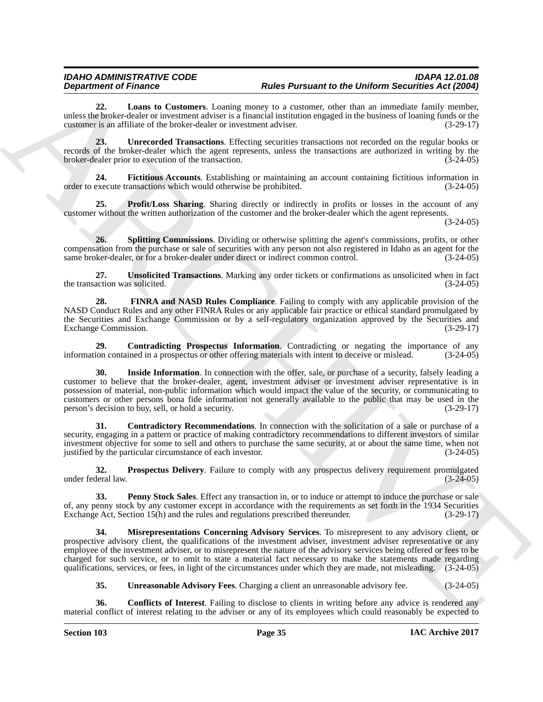<span id="page-34-6"></span>**22. Loans to Customers**. Loaning money to a customer, other than an immediate family member, unless the broker-dealer or investment adviser is a financial institution engaged in the business of loaning funds or the customer is an affiliate of the broker-dealer or investment adviser. (3-29-17)

<span id="page-34-13"></span>**23. Unrecorded Transactions**. Effecting securities transactions not recorded on the regular books or records of the broker-dealer which the agent represents, unless the transactions are authorized in writing by the broker-dealer prior to execution of the transaction. (3-24-05) broker-dealer prior to execution of the transaction.

<span id="page-34-3"></span>**24. Fictitious Accounts**. Establishing or maintaining an account containing fictitious information in order to execute transactions which would otherwise be prohibited. (3-24-05)

<span id="page-34-9"></span>**25. Profit/Loss Sharing**. Sharing directly or indirectly in profits or losses in the account of any customer without the written authorization of the customer and the broker-dealer which the agent represents.

(3-24-05)

<span id="page-34-11"></span>**26. Splitting Commissions**. Dividing or otherwise splitting the agent's commissions, profits, or other compensation from the purchase or sale of securities with any person not also registered in Idaho as an agent for the same broker-dealer, or for a broker-dealer under direct or indirect common control. (3-24-05) same broker-dealer, or for a broker-dealer under direct or indirect common control.

<span id="page-34-14"></span>**27. Unsolicited Transactions**. Marking any order tickets or confirmations as unsolicited when in fact the transaction was solicited.

<span id="page-34-4"></span>**28. FINRA and NASD Rules Compliance**. Failing to comply with any applicable provision of the NASD Conduct Rules and any other FINRA Rules or any applicable fair practice or ethical standard promulgated by the Securities and Exchange Commission or by a self-regulatory organization approved by the Securities and Exchange Commission. (3-29-17) Exchange Commission.

<span id="page-34-5"></span><span id="page-34-1"></span>**29. Contradicting Prospectus Information**. Contradicting or negating the importance of any ion contained in a prospectus or other offering materials with intent to deceive or mislead. (3-24-05) information contained in a prospectus or other offering materials with intent to deceive or mislead.

**Department of France Constructions** Photons are not the DeFormation the DeFormation Section 2014. Section 2014<br>
and 22. Learn to Construct include the main statistical properties in the specific construction in the speci **30.** Inside Information. In connection with the offer, sale, or purchase of a security, falsely leading a customer to believe that the broker-dealer, agent, investment adviser or investment adviser representative is in possession of material, non-public information which would impact the value of the security, or communicating to customers or other persons bona fide information not generally available to the public that may be used in the person's decision to buy, sell, or hold a security. person's decision to buy, sell, or hold a security.

<span id="page-34-2"></span>**31. Contradictory Recommendations**. In connection with the solicitation of a sale or purchase of a security, engaging in a pattern or practice of making contradictory recommendations to different investors of similar investment objective for some to sell and others to purchase the same security, at or about the same time, when not justified by the particular circumstance of each investor. (3-24-05) justified by the particular circumstance of each investor.

<span id="page-34-10"></span>**32. Prospectus Delivery**. Failure to comply with any prospectus delivery requirement promulgated under federal law. (3-24-05)

<span id="page-34-8"></span>**33. Penny Stock Sales**. Effect any transaction in, or to induce or attempt to induce the purchase or sale of, any penny stock by any customer except in accordance with the requirements as set forth in the 1934 Securities Exchange Act, Section 15(h) and the rules and regulations prescribed thereunder. (3-29-17)

<span id="page-34-7"></span>**34. Misrepresentations Concerning Advisory Services**. To misrepresent to any advisory client, or prospective advisory client, the qualifications of the investment adviser, investment adviser representative or any employee of the investment adviser, or to misrepresent the nature of the advisory services being offered or fees to be charged for such service, or to omit to state a material fact necessary to make the statements made regarding qualifications, services, or fees, in light of the circumstances under which they are made, not misleading. (3-24-05)

<span id="page-34-12"></span><span id="page-34-0"></span>**35. Unreasonable Advisory Fees**. Charging a client an unreasonable advisory fee. (3-24-05)

**36. Conflicts of Interest**. Failing to disclose to clients in writing before any advice is rendered any material conflict of interest relating to the adviser or any of its employees which could reasonably be expected to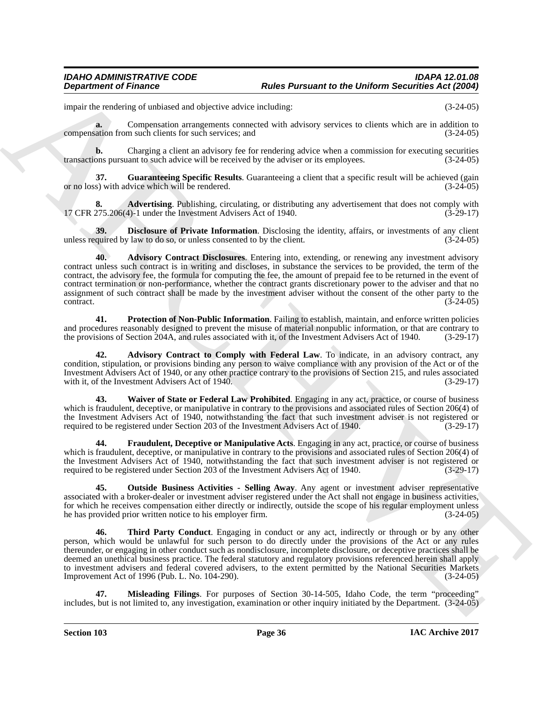impair the rendering of unbiased and objective advice including: (3-24-05)

**a.** Compensation arrangements connected with advisory services to clients which are in addition to compensation from such clients for such services; and (3-24-05)

**b.** Charging a client an advisory fee for rendering advice when a commission for executing securities ons pursuant to such advice will be received by the adviser or its employees.  $(3-24-05)$ transactions pursuant to such advice will be received by the adviser or its employees.

<span id="page-35-5"></span>**37.** Guaranteeing Specific Results. Guaranteeing a client that a specific result will be achieved (gain or no loss) with advice which will be rendered. (3-24-05)

<span id="page-35-0"></span>**8.** Advertising. Publishing, circulating, or distributing any advertisement that does not comply with 275.206(4)-1 under the Investment Advisers Act of 1940. (3-29-17) 17 CFR 275.206(4)-1 under the Investment Advisers Act of 1940.

<span id="page-35-3"></span><span id="page-35-1"></span>**39. Disclosure of Private Information**. Disclosing the identity, affairs, or investments of any client quired by law to do so, or unless consented to by the client. (3-24-05) unless required by law to do so, or unless consented to by the client.

**Department of Frances Constructions of the Pursuant to the Uniform Securities Act (260)<br>
mass be constructed as a component a neurogeneous constraints and a strength securities are a strength of the strength of the const 40. Advisory Contract Disclosures**. Entering into, extending, or renewing any investment advisory contract unless such contract is in writing and discloses, in substance the services to be provided, the term of the contract, the advisory fee, the formula for computing the fee, the amount of prepaid fee to be returned in the event of contract termination or non-performance, whether the contract grants discretionary power to the adviser and that no assignment of such contract shall be made by the investment adviser without the consent of the other party to the contract. (3-24-05)  $\frac{(3-24-05)}{ }$ 

<span id="page-35-8"></span>**41. Protection of Non-Public Information**. Failing to establish, maintain, and enforce written policies and procedures reasonably designed to prevent the misuse of material nonpublic information, or that are contrary to the provisions of Section 204A, and rules associated with it, of the Investment Advisers Act of 1940. (3-2 the provisions of Section 204A, and rules associated with it, of the Investment Advisers Act of 1940.

<span id="page-35-2"></span>**42. Advisory Contract to Comply with Federal Law**. To indicate, in an advisory contract, any condition, stipulation, or provisions binding any person to waive compliance with any provision of the Act or of the Investment Advisers Act of 1940, or any other practice contrary to the provisions of Section 215, and rules associated with it, of the Investment Advisers Act of 1940. (3-29-17)

<span id="page-35-10"></span>**43. Waiver of State or Federal Law Prohibited**. Engaging in any act, practice, or course of business which is fraudulent, deceptive, or manipulative in contrary to the provisions and associated rules of Section 206(4) of the Investment Advisers Act of 1940, notwithstanding the fact that such investment adviser is not registered or<br>required to be registered under Section 203 of the Investment Advisers Act of 1940. (3-29-17) required to be registered under Section 203 of the Investment Advisers Act of 1940.

<span id="page-35-4"></span>**44. Fraudulent, Deceptive or Manipulative Acts**. Engaging in any act, practice, or course of business which is fraudulent, deceptive, or manipulative in contrary to the provisions and associated rules of Section 206(4) of the Investment Advisers Act of 1940, notwithstanding the fact that such investment adviser is not registered or<br>required to be registered under Section 203 of the Investment Advisers Act of 1940. (3-29-17) required to be registered under Section 203 of the Investment Advisers Act of 1940.

<span id="page-35-7"></span>**45. Outside Business Activities - Selling Away**. Any agent or investment adviser representative associated with a broker-dealer or investment adviser registered under the Act shall not engage in business activities, for which he receives compensation either directly or indirectly, outside the scope of his regular employment unless he has provided prior written notice to his employer firm. (3-24-05)

<span id="page-35-9"></span>**46. Third Party Conduct**. Engaging in conduct or any act, indirectly or through or by any other person, which would be unlawful for such person to do directly under the provisions of the Act or any rules thereunder, or engaging in other conduct such as nondisclosure, incomplete disclosure, or deceptive practices shall be deemed an unethical business practice. The federal statutory and regulatory provisions referenced herein shall apply to investment advisers and federal covered advisers, to the extent permitted by the National Securities Markets<br>Improvement Act of 1996 (Pub. L. No. 104-290). (3-24-05) Improvement Act of 1996 (Pub. L. No. 104-290).

<span id="page-35-6"></span>**47. Misleading Filings**. For purposes of Section 30-14-505, Idaho Code, the term "proceeding" includes, but is not limited to, any investigation, examination or other inquiry initiated by the Department. (3-24-05)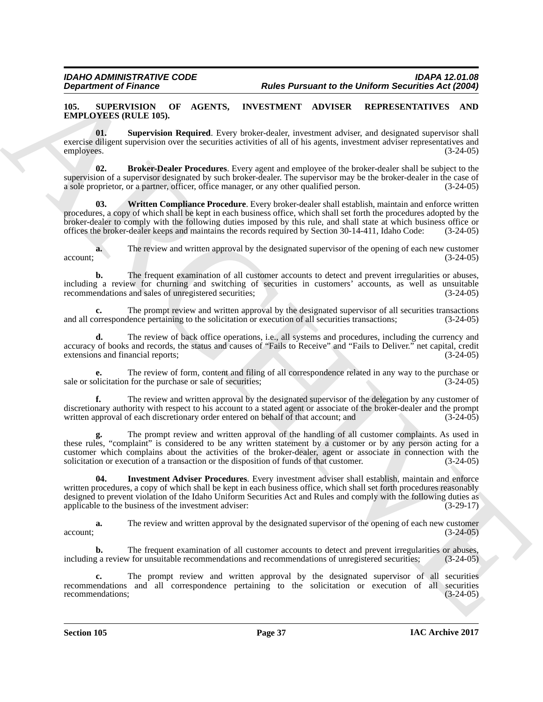#### <span id="page-36-1"></span><span id="page-36-0"></span>**105. SUPERVISION OF AGENTS, INVESTMENT ADVISER REPRESENTATIVES AND EMPLOYEES (RULE 105).**

<span id="page-36-4"></span>**01. Supervision Required**. Every broker-dealer, investment adviser, and designated supervisor shall exercise diligent supervision over the securities activities of all of his agents, investment adviser representatives and employees. (3-24-05) employees. (3-24-05)

<span id="page-36-2"></span>**02. Broker-Dealer Procedures**. Every agent and employee of the broker-dealer shall be subject to the supervision of a supervisor designated by such broker-dealer. The supervisor may be the broker-dealer in the case of a sole proprietor, or a partner, officer, office manager, or any other qualified person. (3-24-05)

<span id="page-36-5"></span>**03. Written Compliance Procedure**. Every broker-dealer shall establish, maintain and enforce written procedures, a copy of which shall be kept in each business office, which shall set forth the procedures adopted by the broker-dealer to comply with the following duties imposed by this rule, and shall state at which business office or offices the broker-dealer keeps and maintains the records required by Section 30-14-411, Idaho Code: (3-24-05)

**a.** The review and written approval by the designated supervisor of the opening of each new customer (3-24-05)  $\alpha$  account;  $(3-24-05)$ 

**b.** The frequent examination of all customer accounts to detect and prevent irregularities or abuses, including a review for churning and switching of securities in customers' accounts, as well as unsuitable recommendations and sales of unregistered securities; (3-24-05) recommendations and sales of unregistered securities;

**c.** The prompt review and written approval by the designated supervisor of all securities transactions or execution of all securities transactions: (3-24-05) and all correspondence pertaining to the solicitation or execution of all securities transactions;

**d.** The review of back office operations, i.e., all systems and procedures, including the currency and accuracy of books and records, the status and causes of "Fails to Receive" and "Fails to Deliver." net capital, credit extensions and financial reports; (3-24-05) extensions and financial reports;

**e.** The review of form, content and filing of all correspondence related in any way to the purchase or solicitation for the purchase or sale of securities; sale or solicitation for the purchase or sale of securities;

**f.** The review and written approval by the designated supervisor of the delegation by any customer of discretionary authority with respect to his account to a stated agent or associate of the broker-dealer and the prompt written approval of each discretionary order entered on behalf of that account; and (3-24-05) written approval of each discretionary order entered on behalf of that account; and

<span id="page-36-3"></span>**g.** The prompt review and written approval of the handling of all customer complaints. As used in these rules, "complaint" is considered to be any written statement by a customer or by any person acting for a customer which complains about the activities of the broker-dealer, agent or associate in connection with the solicitation or execution of a transaction or the disposition of funds of that customer. (3-24-05)

**Example for Energy of Philosopher Control in the Phermann to the Division Registre of Fig. (2006)<br>
EXPLOITENTS ON CONTROL INTERNATION CONTROL INTERNATION CONTROL INTERNATION AND RESERVATION AND EXPLOITENTS ON THE SECOND 04. Investment Adviser Procedures**. Every investment adviser shall establish, maintain and enforce written procedures, a copy of which shall be kept in each business office, which shall set forth procedures reasonably designed to prevent violation of the Idaho Uniform Securities Act and Rules and comply with the following duties as<br>applicable to the business of the investment adviser: (3-29-17) applicable to the business of the investment adviser:

**a.** The review and written approval by the designated supervisor of the opening of each new customer (3-24-05)  $\alpha$  account;  $(3-24-05)$ 

**b.** The frequent examination of all customer accounts to detect and prevent irregularities or abuses, including a review for unsuitable recommendations and recommendations of unregistered securities; (3-24-05)

The prompt review and written approval by the designated supervisor of all securities recommendations and all correspondence pertaining to the solicitation or execution of all securities recommendations; (3-24-05) recommendations;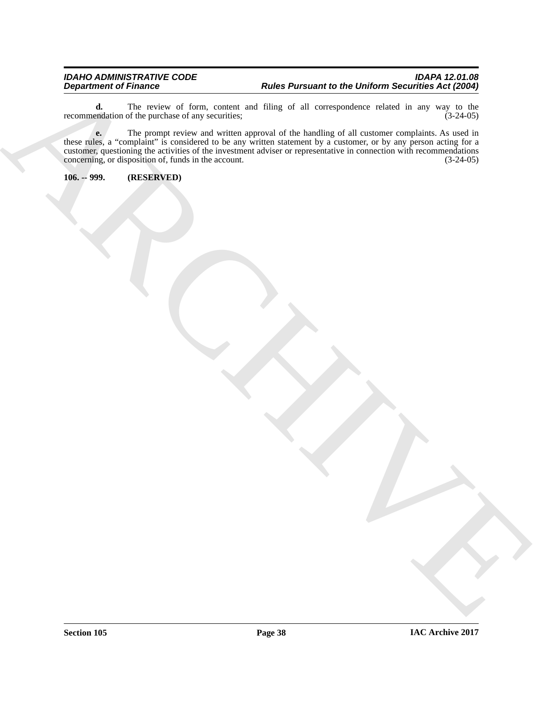**d.** The review of form, content and filing of all correspondence related in any way to the endation of the purchase of any securities; (3-24-05) recommendation of the purchase of any securities;

Beginning of Primary 2002.<br>
Note: Persons and the United States of the United States of the United States of the United States of the United States of the United States of the United States of the United States of the Unit **e.** The prompt review and written approval of the handling of all customer complaints. As used in these rules, a "complaint" is considered to be any written statement by a customer, or by any person acting for a customer, questioning the activities of the investment adviser or representative in connection with recommendations concerning, or disposition of, funds in the account. (3-24-05) concerning, or disposition of, funds in the account.

<span id="page-37-0"></span>**106. -- 999. (RESERVED)**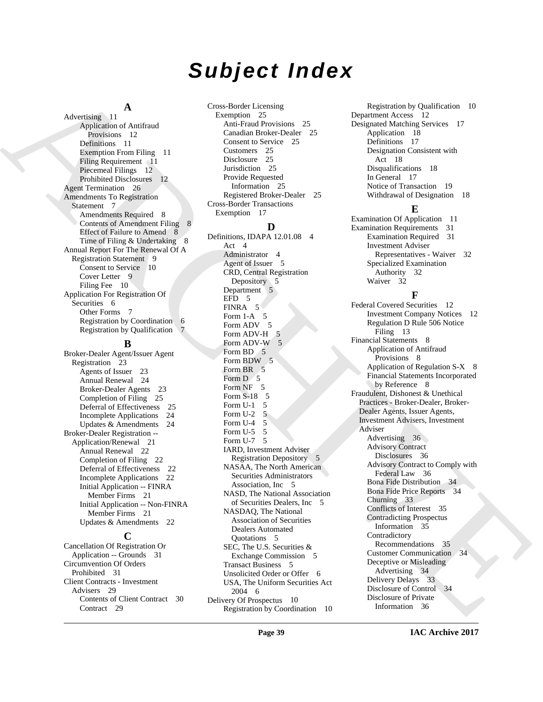## *Subject Index*

#### **A**

Advertising 11 Application of Antifraud Provisions 12 Definitions 11 Exemption From Filing 11 Filing Requirement 11 Piecemeal Filings 12 Prohibited Disclosures 12 Agent Termination 26 Amendments To Registration Statement 7 Amendments Required 8 Contents of Amendment Filing 8 Effect of Failure to Amend 8 Time of Filing & Undertaking 8 Annual Report For The Renewal Of A Registration Statement 9 Consent to Service 10 Cover Letter 9 Filing Fee 10 Application For Registration Of Securities 6 Other Forms 7 Registration by Coordination 6 Registration by Qualification 7

#### **B**

Broker-Dealer Agent/Issuer Agent Registration 23 Agents of Issuer 23 Annual Renewal 24 Broker-Dealer Agents 23 Completion of Filing 25 Deferral of Effectiveness 25 Incomplete Applications 24 Updates & Amendments 24 Broker-Dealer Registration -- Application/Renewal 21 Annual Renewal 22 Completion of Filing 22 Deferral of Effectiveness 22 Incomplete Applications 22 Initial Application -- FINRA Member Firms 21 Initial Application -- Non-FINRA Member Firms 21 Updates & Amendments 22

#### **C**

Cancellation Of Registration Or Application -- Grounds 31 Circumvention Of Orders Prohibited 31 Client Contracts - Investment Advisers 29 Contents of Client Contract 30 Contract 29

Cross-Border Licensing Exemption 25 Anti-Fraud Provisions 25 Canadian Broker-Dealer 25 Consent to Service 25 Customers 25 Disclosure 25 Jurisdiction 25 Provide Requested Information 25 Registered Broker-Dealer 25 Cross-Border Transactions Exemption 17

### **D**

[A](#page-11-4) Andre a [C](#page-4-1)onstitution Constitution Constitution Constitution Constitution Constitution Constitution Constitution Constitution Constitution Constitution Constitution Constitution Constitution Constitution Constitution Con Definitions, IDAPA 12.01.08 4 Act 4 Administrator 4 Agent of Issuer 5 CRD, Central Registration Depository 5 Department 5 EFD 5 FINRA 5 Form  $1-A$  5 Form ADV 5 Form ADV-H 5 Form ADV-W 5 Form BD 5 Form BDW 5 Form BR<sub>5</sub> Form  $D$  5 Form NF 5 Form S-18 5 Form U-1 5 Form U-2 5 Form U-4 5 Form  $U-5$  5 Form U-7 5 IARD, Investment Adviser Registration Depository 5 NASAA, The North American Securities Administrators Association, Inc 5 NASD, The National Association of Securities Dealers, Inc 5 NASDAQ, The National Association of Securities Dealers Automated Quotations 5 SEC, The U.S. Securities & Exchange Commission 5 Transact Business 5 Unsolicited Order or Offer 6 USA, The Uniform Securities Act 2004 6 Delivery Of Prospectus 10 Registration by Coordination 10

Registration by Qualification 10 Department Access 12 Designated Matching Services 17 Application 18 Definitions 17 Designation Consistent with Act 18 Disqualifications 18 In General 17 Notice of Transaction 19 Withdrawal of Designation 18

#### **E**

Examination Of Application 11 Examination Requirements 31 Examination Required 31 Investment Adviser Representatives - Waiver 32 Specialized Examination Authority 32 Waiver 32

### **F**

Federal Covered Securities 12 Investment Company Notices 12 Regulation D Rule 506 Notice Filing 13 Financial Statements 8 Application of Antifraud Provisions 8 Application of Regulation S-X 8 Financial Statements Incorporated by Reference 8 Fraudulent, Dishonest & Unethical Practices - Broker-Dealer, Broker-Dealer Agents, Issuer Agents, Investment Advisers, Investment Adviser Advertising 36 Advisory Contract Disclosures 36 Advisory Contract to Comply with Federal Law 36 Bona Fide Distribution 34 Bona Fide Price Reports 34 Churning 33 Conflicts of Interest 35 Contradicting Prospectus Information 35 Contradictory Recommendations 35 Customer Communication 34 Deceptive or Misleading Advertising 34 Delivery Delays 33 Disclosure of Control 34 Disclosure of Private Information 36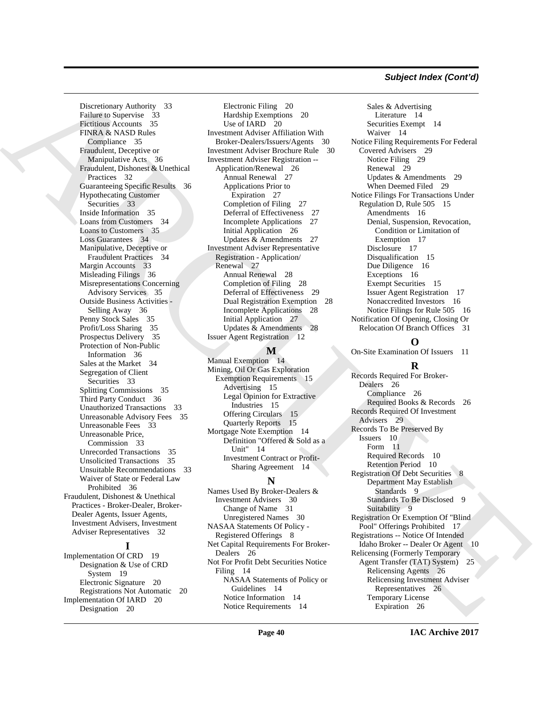#### *Subject Index (Cont'd)*

Distributed [E](#page-16-10)ntrepreneurs of the control of the control of the control of the control of the control of the control of the control of the control of the control of the control of the control of the control of the control Discretionary Authority 33 Failure to Supervise 33 Fictitious Accounts 35 FINRA & NASD Rules Compliance 35 Fraudulent, Deceptive or Manipulative Acts 36 Fraudulent, Dishonest & Unethical Practices 32 Guaranteeing Specific Results 36 Hypothecating Customer Securities 33 Inside Information 35 Loans from Customers 34 Loans to Customers 35 Loss Guarantees 34 Manipulative, Deceptive or Fraudulent Practices 34 Margin Accounts 33 Misleading Filings 36 Misrepresentations Concerning Advisory Services 35 Outside Business Activities - Selling Away 36 Penny Stock Sales 35 Profit/Loss Sharing 35 Prospectus Delivery 35 Protection of Non-Public Information 36 Sales at the Market 34 Segregation of Client Securities 33 Splitting Commissions 35 Third Party Conduct 36 Unauthorized Transactions 33 Unreasonable Advisory Fees 35 Unreasonable Fees 33 Unreasonable Price, Commission 33 Unrecorded Transactions 35 Unsolicited Transactions 35 Unsuitable Recommendations 33 Waiver of State or Federal Law Prohibited 36 Fraudulent, Dishonest & Unethical Practices - Broker-Dealer, Broker-Dealer Agents, Issuer Agents, Investment Advisers, Investment Adviser Representatives 32

### **I**

Implementation Of CRD 19 Designation & Use of CRD System 19 Electronic Signature 20 Registrations Not Automatic 20 Implementation Of IARD 20 Designation 20

Electronic Filing 20 Hardship Exemptions 20 Use of IARD 20 Investment Adviser Affiliation With Broker-Dealers/Issuers/Agents 30 Investment Adviser Brochure Rule 30 Investment Adviser Registration -- Application/Renewal 26 Annual Renewal 27 Applications Prior to Expiration 27 Completion of Filing 27 Deferral of Effectiveness 27 Incomplete Applications 27 Initial Application 26 Updates & Amendments 27 Investment Adviser Representative Registration - Application/ Renewal 27 Annual Renewal 28 Completion of Filing 28 Deferral of Effectiveness 29 Dual Registration Exemption 28 Incomplete Applications 28 Initial Application 27 Updates & Amendments 28 Issuer Agent Registration 12

#### **M**

Manual Exemption 14 Mining, Oil Or Gas Exploration Exemption Requirements 15 Advertising 15 Legal Opinion for Extractive Industries 15 Offering Circulars 15 Quarterly Reports 15 Mortgage Note Exemption 14 Definition "Offered & Sold as a Unit" 14 Investment Contract or Profit-Sharing Agreement 14

#### **N**

Names Used By Broker-Dealers & Investment Advisers 30 Change of Name 31 Unregistered Names 30 NASAA Statements Of Policy - Registered Offerings 8 Net Capital Requirements For Broker-Dealers 26 Not For Profit Debt Securities Notice Filing 14 NASAA Statements of Policy or Guidelines 14 Notice Information 14 Notice Requirements 14

Sales & Advertising Literature 14 Securities Exempt 14 Waiver 14 Notice Filing Requirements For Federal Covered Advisers 29 Notice Filing 29 Renewal 29 Updates & Amendments 29 When Deemed Filed 29 Notice Filings For Transactions Under Regulation D, Rule 505 15 Amendments 16 Denial, Suspension, Revocation, Condition or Limitation of Exemption 17 Disclosure 17 Disqualification 15 Due Diligence 16 Exceptions 16 Exempt Securities 15 Issuer Agent Registration 17 Nonaccredited Investors 16 Notice Filings for Rule 505 16 Notification Of Opening, Closing Or Relocation Of Branch Offices 31

#### **O**

On-Site Examination Of Issuers 11

#### **R**

Records Required For Broker-Dealers 26 Compliance 26 Required Books & Records 26 Records Required Of Investment Advisers 29 Records To Be Preserved By Issuers 10 Form 11 Required Records 10 Retention Period 10 Registration Of Debt Securities 8 Department May Establish Standards 9 Standards To Be Disclosed 9 Suitability 9 Registration Or Exemption Of "Blind Pool" Offerings Prohibited 17 Registrations -- Notice Of Intended Idaho Broker -- Dealer Or Agent 10 Relicensing (Formerly Temporary Agent Transfer (TAT) System) 25 Relicensing Agents 26 Relicensing Investment Adviser Representatives 26 Temporary License Expiration 26